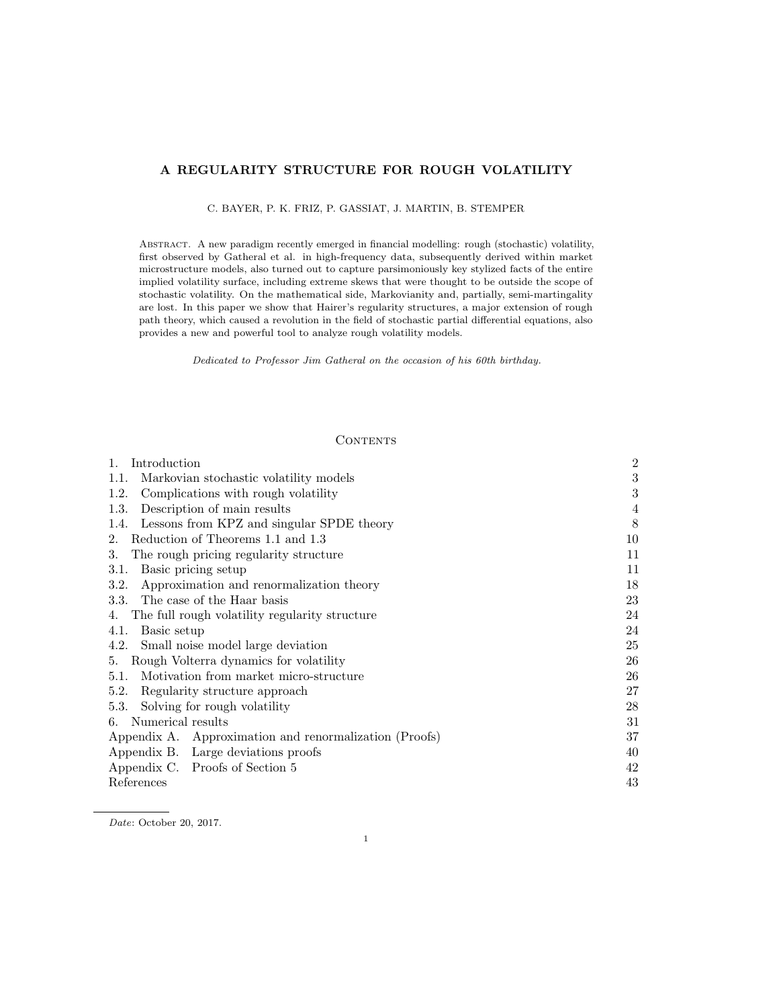# A REGULARITY STRUCTURE FOR ROUGH VOLATILITY

C. BAYER, P. K. FRIZ, P. GASSIAT, J. MARTIN, B. STEMPER

Abstract. A new paradigm recently emerged in financial modelling: rough (stochastic) volatility, first observed by Gatheral et al. in high-frequency data, subsequently derived within market microstructure models, also turned out to capture parsimoniously key stylized facts of the entire implied volatility surface, including extreme skews that were thought to be outside the scope of stochastic volatility. On the mathematical side, Markovianity and, partially, semi-martingality are lost. In this paper we show that Hairer's regularity structures, a major extension of rough path theory, which caused a revolution in the field of stochastic partial differential equations, also provides a new and powerful tool to analyze rough volatility models.

Dedicated to Professor Jim Gatheral on the occasion of his 60th birthday.

### **CONTENTS**

| Introduction<br>1.                                     | $\overline{2}$ |
|--------------------------------------------------------|----------------|
| Markovian stochastic volatility models<br>1.1.         | 3              |
| Complications with rough volatility<br>1.2.            | 3              |
| Description of main results<br>1.3.                    | 4              |
| Lessons from KPZ and singular SPDE theory<br>1.4.      | 8              |
| Reduction of Theorems 1.1 and 1.3<br>2.                | 10             |
| The rough pricing regularity structure<br>3.           | 11             |
| Basic pricing setup<br>3.1.                            | 11             |
| 3.2.<br>Approximation and renormalization theory       | 18             |
| The case of the Haar basis<br>3.3.                     | 23             |
| The full rough volatility regularity structure<br>4.   | 24             |
| 4.1.<br>Basic setup                                    | 24             |
| Small noise model large deviation<br>4.2.              | 25             |
| Rough Volterra dynamics for volatility<br>5.           | 26             |
| 5.1. Motivation from market micro-structure            | 26             |
| 5.2.<br>Regularity structure approach                  | 27             |
| Solving for rough volatility<br>5.3.                   | 28             |
| 6. Numerical results                                   | 31             |
| Appendix A. Approximation and renormalization (Proofs) | 37             |
| Appendix B. Large deviations proofs                    | 40             |
| Appendix C. Proofs of Section 5                        | 42             |
| References                                             | 43             |

Date: October 20, 2017.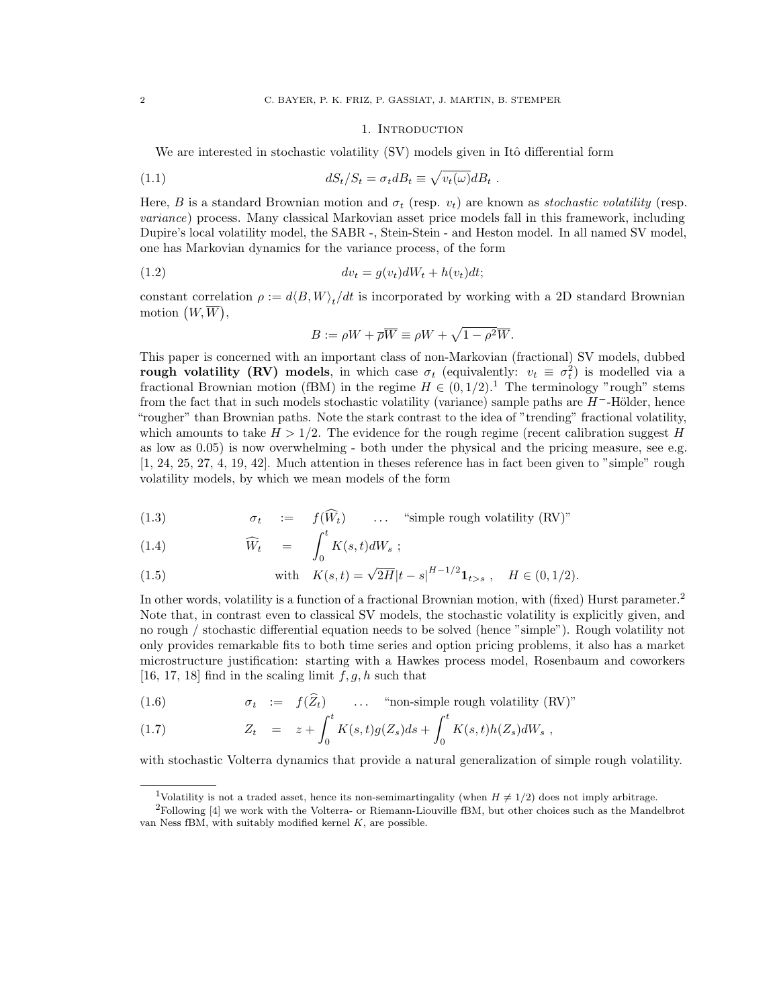#### <span id="page-1-3"></span>1. Introduction

<span id="page-1-0"></span>We are interested in stochastic volatility (SV) models given in Itô differential form

(1.1) 
$$
dS_t/S_t = \sigma_t dB_t \equiv \sqrt{v_t(\omega)}dB_t.
$$

Here, B is a standard Brownian motion and  $\sigma_t$  (resp.  $v_t$ ) are known as *stochastic volatility* (resp. variance) process. Many classical Markovian asset price models fall in this framework, including Dupire's local volatility model, the SABR -, Stein-Stein - and Heston model. In all named SV model, one has Markovian dynamics for the variance process, of the form

$$
(1.2) \t dv_t = g(v_t)dW_t + h(v_t)dt;
$$

constant correlation  $\rho := d\langle B, W \rangle_t/dt$  is incorporated by working with a 2D standard Brownian motion  $(W, \overline{W}),$ 

<span id="page-1-5"></span>
$$
B := \rho W + \overline{\rho W} \equiv \rho W + \sqrt{1 - \rho^2 W}.
$$

This paper is concerned with an important class of non-Markovian (fractional) SV models, dubbed rough volatility (RV) models, in which case  $\sigma_t$  (equivalently:  $v_t \equiv \sigma_t^2$ ) is modelled via a fractional Brownian motion (fBM) in the regime  $H \in (0, 1/2)$  $H \in (0, 1/2)$  $H \in (0, 1/2)$ .<sup>1</sup> The terminology "rough" stems from the fact that in such models stochastic volatility (variance) sample paths are  $H^-$ -Hölder, hence "rougher" than Brownian paths. Note the stark contrast to the idea of "trending" fractional volatility, which amounts to take  $H > 1/2$ . The evidence for the rough regime (recent calibration suggest H as low as 0.05) is now overwhelming - both under the physical and the pricing measure, see e.g. [\[1,](#page-42-1) [24,](#page-42-2) [25,](#page-42-3) [27,](#page-42-4) [4,](#page-42-5) [19,](#page-42-6) [42\]](#page-43-0). Much attention in theses reference has in fact been given to "simple" rough volatility models, by which we mean models of the form

<span id="page-1-4"></span>(1.3) 
$$
\sigma_t \quad := \quad f(\widehat{W}_t) \qquad \dots \quad \text{``simple rough volatility (RV)"}
$$

(1.4) 
$$
\widehat{W}_t = \int_0^t K(s,t)dW_s ;
$$

(1.5) with 
$$
K(s,t) = \sqrt{2H}|t-s|^{H-1/2}1_{t>s}
$$
,  $H \in (0,1/2)$ .

In other words, volatility is a function of a fractional Brownian motion, with (fixed) Hurst parameter.<sup>[2](#page-1-2)</sup> Note that, in contrast even to classical SV models, the stochastic volatility is explicitly given, and no rough / stochastic differential equation needs to be solved (hence "simple"). Rough volatility not only provides remarkable fits to both time series and option pricing problems, it also has a market microstructure justification: starting with a Hawkes process model, Rosenbaum and coworkers [\[16,](#page-42-7) [17,](#page-42-8) [18\]](#page-42-9) find in the scaling limit  $f, g, h$  such that

<span id="page-1-6"></span>(1.6) 
$$
\sigma_t := f(Z_t) \quad \dots \quad \text{``non-simple rough volatility (RV)"}
$$

(1.7) 
$$
Z_t = z + \int_0^t K(s,t)g(Z_s)ds + \int_0^t K(s,t)h(Z_s)dW_s,
$$

with stochastic Volterra dynamics that provide a natural generalization of simple rough volatility.

<span id="page-1-2"></span><span id="page-1-1"></span><sup>&</sup>lt;sup>1</sup>Volatility is not a traded asset, hence its non-semimartingality (when  $H \neq 1/2$ ) does not imply arbitrage.

<sup>2</sup>Following [\[4\]](#page-42-5) we work with the Volterra- or Riemann-Liouville fBM, but other choices such as the Mandelbrot van Ness fBM, with suitably modified kernel  $K$ , are possible.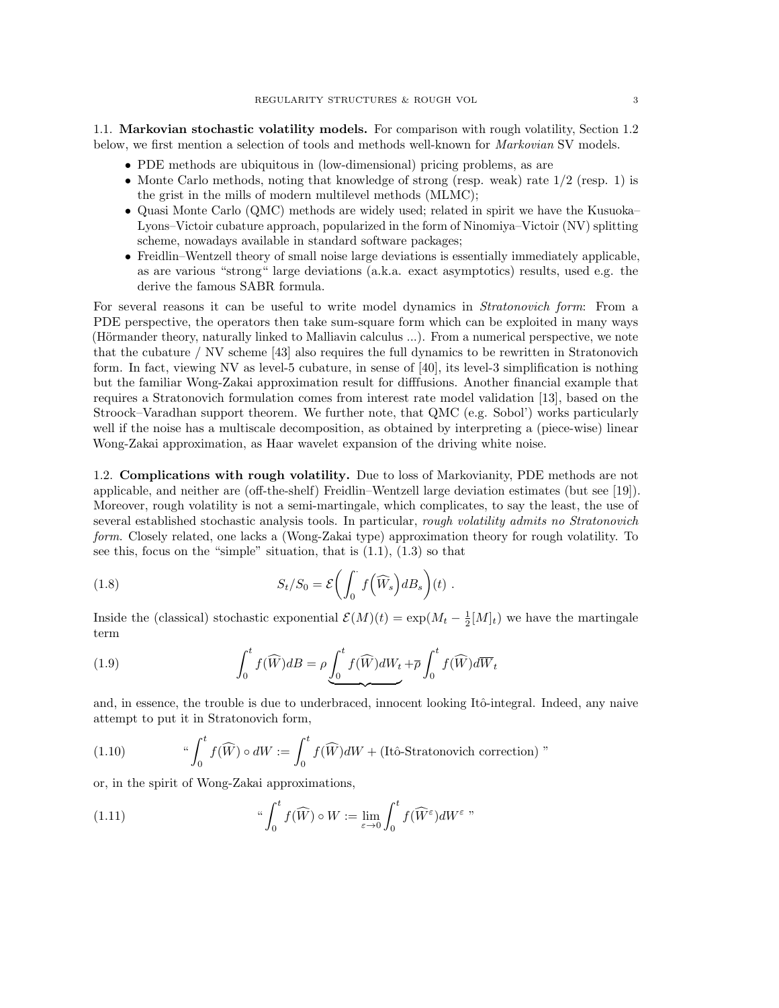<span id="page-2-0"></span>1.1. Markovian stochastic volatility models. For comparison with rough volatility, Section [1.2](#page-2-1) below, we first mention a selection of tools and methods well-known for Markovian SV models.

- PDE methods are ubiquitous in (low-dimensional) pricing problems, as are
- Monte Carlo methods, noting that knowledge of strong (resp. weak) rate  $1/2$  (resp. 1) is the grist in the mills of modern multilevel methods (MLMC);
- Quasi Monte Carlo (QMC) methods are widely used; related in spirit we have the Kusuoka– Lyons–Victoir cubature approach, popularized in the form of Ninomiya–Victoir (NV) splitting scheme, nowadays available in standard software packages;
- Freidlin–Wentzell theory of small noise large deviations is essentially immediately applicable, as are various "strong" large deviations (a.k.a. exact asymptotics) results, used e.g. the derive the famous SABR formula.

For several reasons it can be useful to write model dynamics in *Stratonovich form*: From a PDE perspective, the operators then take sum-square form which can be exploited in many ways (Hörmander theory, naturally linked to Malliavin calculus ...). From a numerical perspective, we note that the cubature / NV scheme [\[43\]](#page-43-1) also requires the full dynamics to be rewritten in Stratonovich form. In fact, viewing NV as level-5 cubature, in sense of [\[40\]](#page-43-2), its level-3 simplification is nothing but the familiar Wong-Zakai approximation result for difffusions. Another financial example that requires a Stratonovich formulation comes from interest rate model validation [\[13\]](#page-42-10), based on the Stroock–Varadhan support theorem. We further note, that QMC (e.g. Sobol') works particularly well if the noise has a multiscale decomposition, as obtained by interpreting a (piece-wise) linear Wong-Zakai approximation, as Haar wavelet expansion of the driving white noise.

<span id="page-2-1"></span>1.2. Complications with rough volatility. Due to loss of Markovianity, PDE methods are not applicable, and neither are (off-the-shelf) Freidlin–Wentzell large deviation estimates (but see [\[19\]](#page-42-6)). Moreover, rough volatility is not a semi-martingale, which complicates, to say the least, the use of several established stochastic analysis tools. In particular, rough volatility admits no Stratonovich form. Closely related, one lacks a (Wong-Zakai type) approximation theory for rough volatility. To see this, focus on the "simple" situation, that is  $(1.1)$ ,  $(1.3)$  so that

<span id="page-2-2"></span>(1.8) 
$$
S_t/S_0 = \mathcal{E}\left(\int_0^{\cdot} f\left(\widehat{W}_s\right) dB_s\right)(t) .
$$

Inside the (classical) stochastic exponential  $\mathcal{E}(M)(t) = \exp(M_t - \frac{1}{2}[M]_t)$  we have the martingale term

(1.9) 
$$
\int_0^t f(\widehat{W})dB = \rho \underbrace{\int_0^t f(\widehat{W})dW_t}_{\text{max}} + \overline{\rho} \int_0^t f(\widehat{W})d\overline{W}_t
$$

and, in essence, the trouble is due to underbraced, innocent looking Itô-integral. Indeed, any naive attempt to put it in Stratonovich form,

(1.10) 
$$
{}^{\omega} \int_0^t f(\widehat{W}) \circ dW := \int_0^t f(\widehat{W}) dW + (\text{Itô-Stratonovich correction})"
$$

or, in the spirit of Wong-Zakai approximations,

(1.11) 
$$
``\int_0^t f(\widehat{W}) \circ W := \lim_{\varepsilon \to 0} \int_0^t f(\widehat{W}^{\varepsilon}) dW^{\varepsilon} \text{''}
$$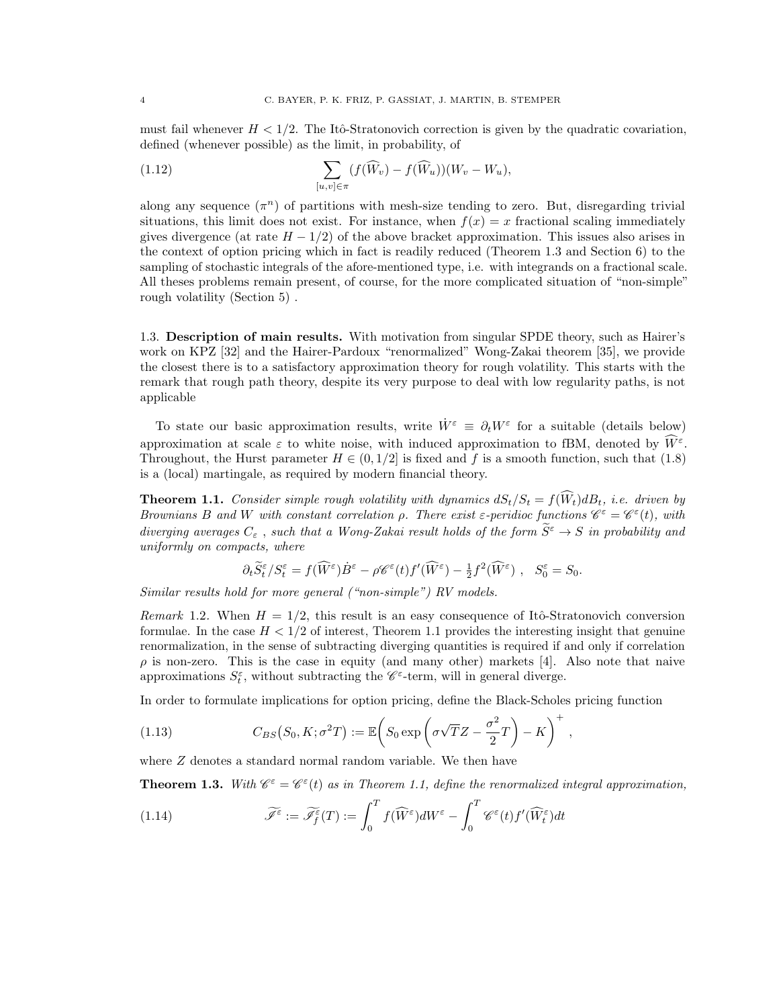must fail whenever  $H < 1/2$ . The Itô-Stratonovich correction is given by the quadratic covariation, defined (whenever possible) as the limit, in probability, of

(1.12) 
$$
\sum_{[u,v]\in\pi} (f(\widehat{W}_v) - f(\widehat{W}_u))(W_v - W_u),
$$

along any sequence  $(\pi^n)$  of partitions with mesh-size tending to zero. But, disregarding trivial situations, this limit does not exist. For instance, when  $f(x) = x$  fractional scaling immediately gives divergence (at rate  $H - 1/2$ ) of the above bracket approximation. This issues also arises in the context of option pricing which in fact is readily reduced (Theorem [1.3](#page-3-2) and Section [6\)](#page-30-0) to the sampling of stochastic integrals of the afore-mentioned type, i.e. with integrands on a fractional scale. All theses problems remain present, of course, for the more complicated situation of "non-simple" rough volatility (Section [5\)](#page-25-0) .

<span id="page-3-0"></span>1.3. Description of main results. With motivation from singular SPDE theory, such as Hairer's work on KPZ [\[32\]](#page-43-3) and the Hairer-Pardoux "renormalized" Wong-Zakai theorem [\[35\]](#page-43-4), we provide the closest there is to a satisfactory approximation theory for rough volatility. This starts with the remark that rough path theory, despite its very purpose to deal with low regularity paths, is not applicable

To state our basic approximation results, write  $\dot{W}^{\varepsilon} \equiv \partial_t W^{\varepsilon}$  for a suitable (details below) approximation at scale  $\varepsilon$  to white noise, with induced approximation to fBM, denoted by  $\widetilde{W}^{\varepsilon}$ . Throughout, the Hurst parameter  $H \in (0, 1/2]$  is fixed and f is a smooth function, such that [\(1.8\)](#page-2-2) is a (local) martingale, as required by modern financial theory.

<span id="page-3-1"></span>**Theorem 1.1.** Consider simple rough volatility with dynamics  $dS_t/S_t = f(\widehat{W}_t)dB_t$ , i.e. driven by Brownians B and W with constant correlation  $\rho$ . There exist  $\varepsilon$ -peridioc functions  $\mathscr{C}^{\varepsilon} = \mathscr{C}^{\varepsilon}(t)$ , with diverging averages  $C_\varepsilon$  , such that a Wong-Zakai result holds of the form  $\widetilde{S}^\varepsilon\to S$  in probability and uniformly on compacts, where

$$
\partial_t \widetilde{S}_t^{\varepsilon}/S_t^{\varepsilon} = f(\widehat{W}^{\varepsilon}) \dot{B}^{\varepsilon} - \rho \mathscr{C}^{\varepsilon}(t) f'(\widehat{W}^{\varepsilon}) - \frac{1}{2} f^2(\widehat{W}^{\varepsilon}) , \quad S_0^{\varepsilon} = S_0.
$$

Similar results hold for more general ("non-simple") RV models.

<span id="page-3-3"></span>Remark 1.2. When  $H = 1/2$ , this result is an easy consequence of Itô-Stratonovich conversion formulae. In the case  $H < 1/2$  of interest, Theorem [1.1](#page-3-1) provides the interesting insight that genuine renormalization, in the sense of subtracting diverging quantities is required if and only if correlation  $\rho$  is non-zero. This is the case in equity (and many other) markets [\[4\]](#page-42-5). Also note that naive approximations  $S_t^{\varepsilon}$ , without subtracting the  $\mathscr{C}^{\varepsilon}$ -term, will in general diverge.

In order to formulate implications for option pricing, define the Black-Scholes pricing function

(1.13) 
$$
C_{BS}(S_0, K; \sigma^2 T) := \mathbb{E}\left(S_0 \exp\left(\sigma\sqrt{T}Z - \frac{\sigma^2}{2}T\right) - K\right)^+,
$$

where  $Z$  denotes a standard normal random variable. We then have

<span id="page-3-2"></span>**Theorem 1.3.** With  $\mathscr{C}^{\varepsilon} = \mathscr{C}^{\varepsilon}(t)$  as in Theorem [1.1,](#page-3-1) define the renormalized integral approximation,

(1.14) 
$$
\widetilde{\mathscr{I}^{\varepsilon}} := \widetilde{\mathscr{I}^{\varepsilon}}_f(T) := \int_0^T f(\widehat{W}^{\varepsilon}) dW^{\varepsilon} - \int_0^T \mathscr{C}^{\varepsilon}(t) f'(\widehat{W}^{\varepsilon}_t) dt
$$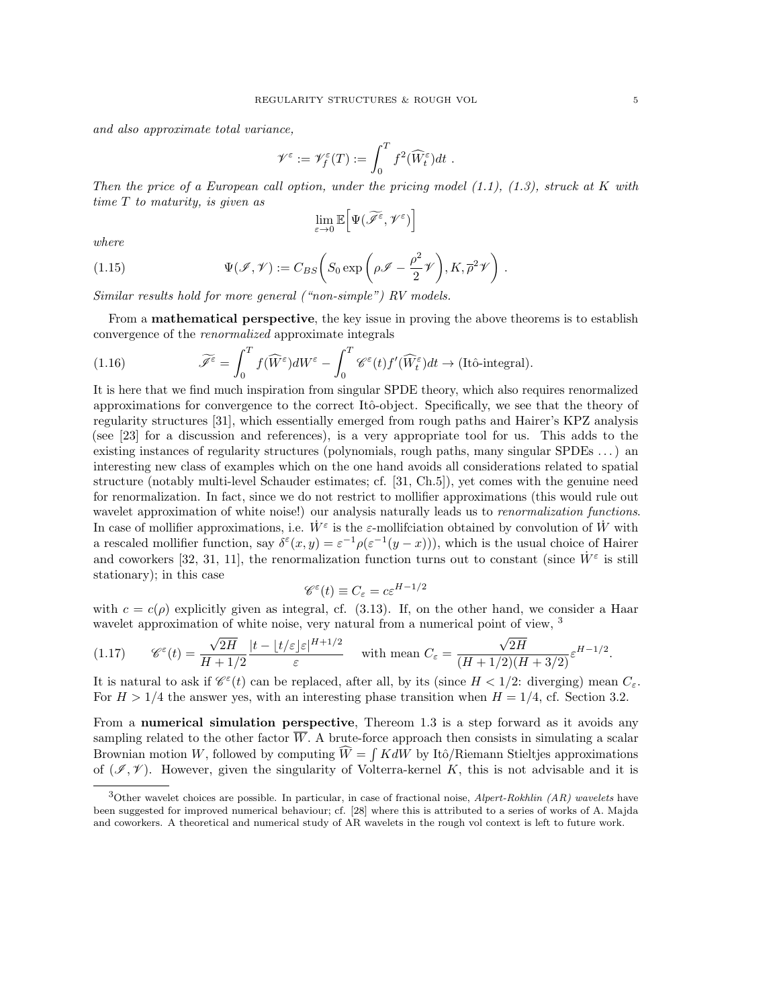and also approximate total variance,

$$
\mathscr{V}^\varepsilon:=\mathscr{V}^\varepsilon_f(T):=\int_0^T f^2(\widehat{W}^\varepsilon_t)dt\ .
$$

Then the price of a European call option, under the pricing model  $(1.1)$ ,  $(1.3)$ , struck at K with time T to maturity, is given as

$$
\lim_{\varepsilon \to 0} \mathbb{E} \Big[ \Psi(\widetilde{\mathscr{I}^{\varepsilon}}, \mathscr{V}^{\varepsilon}) \Big]
$$

.

where

(1.15) 
$$
\Psi(\mathscr{I}, \mathscr{V}) := C_{BS} \left( S_0 \exp \left( \rho \mathscr{I} - \frac{\rho^2}{2} \mathscr{V} \right), K, \overline{\rho}^2 \mathscr{V} \right)
$$

Similar results hold for more general ("non-simple") RV models.

From a mathematical perspective, the key issue in proving the above theorems is to establish convergence of the renormalized approximate integrals

<span id="page-4-1"></span>(1.16) 
$$
\widetilde{\mathscr{I}^{\varepsilon}} = \int_0^T f(\widehat{W}^{\varepsilon}) dW^{\varepsilon} - \int_0^T \mathscr{C}^{\varepsilon}(t) f'(\widehat{W}_t^{\varepsilon}) dt \to (\text{Itô-integral}).
$$

It is here that we find much inspiration from singular SPDE theory, which also requires renormalized approximations for convergence to the correct Itô-object. Specifically, we see that the theory of regularity structures [\[31\]](#page-43-5), which essentially emerged from rough paths and Hairer's KPZ analysis (see [\[23\]](#page-42-11) for a discussion and references), is a very appropriate tool for us. This adds to the existing instances of regularity structures (polynomials, rough paths, many singular SPDEs . . . ) an interesting new class of examples which on the one hand avoids all considerations related to spatial structure (notably multi-level Schauder estimates; cf. [\[31,](#page-43-5) Ch.5]), yet comes with the genuine need for renormalization. In fact, since we do not restrict to mollifier approximations (this would rule out wavelet approximation of white noise!) our analysis naturally leads us to *renormalization functions*. In case of mollifier approximations, i.e.  $\dot{W}^{\varepsilon}$  is the  $\varepsilon$ -mollifciation obtained by convolution of  $\dot{W}$  with a rescaled mollifier function, say  $\delta^{\epsilon}(x, y) = \epsilon^{-1} \rho(\epsilon^{-1}(y-x))$ , which is the usual choice of Hairer and coworkers [\[32,](#page-43-3) [31,](#page-43-5) [11\]](#page-42-12), the renormalization function turns out to constant (since  $\dot{W}^{\varepsilon}$  is still stationary); in this case

$$
\mathscr{C}^{\varepsilon}(t) \equiv C_{\varepsilon} = c \varepsilon^{H-1/2}
$$

with  $c = c(\rho)$  explicitly given as integral, cf. [\(3.13\)](#page-15-0). If, on the other hand, we consider a Haar wavelet approximation of white noise, very natural from a numerical point of view, <sup>[3](#page-4-0)</sup>

$$
(1.17) \qquad \mathscr{C}^{\varepsilon}(t) = \frac{\sqrt{2H}}{H + 1/2} \frac{|t - \lfloor t/\varepsilon \rfloor \varepsilon|^{H + 1/2}}{\varepsilon} \quad \text{with mean } C_{\varepsilon} = \frac{\sqrt{2H}}{(H + 1/2)(H + 3/2)} \varepsilon^{H - 1/2}.
$$

It is natural to ask if  $\mathcal{C}^{\varepsilon}(t)$  can be replaced, after all, by its (since  $H < 1/2$ : diverging) mean  $C_{\varepsilon}$ . For  $H > 1/4$  the answer yes, with an interesting phase transition when  $H = 1/4$ , cf. Section [3.2.](#page-17-0)

From a numerical simulation perspective, Thereom [1.3](#page-3-2) is a step forward as it avoids any sampling related to the other factor W. A brute-force approach then consists in simulating a scalar Brownian motion W, followed by computing  $W = \int K dW$  by Itô/Riemann Stieltjes approximations of  $(\mathscr{I}, \mathscr{V})$ . However, given the singularity of Volterra-kernel K, this is not advisable and it is

<span id="page-4-0"></span><sup>&</sup>lt;sup>3</sup>Other wavelet choices are possible. In particular, in case of fractional noise, *Alpert-Rokhlin (AR) wavelets* have been suggested for improved numerical behaviour; cf. [\[28\]](#page-43-6) where this is attributed to a series of works of A. Majda and coworkers. A theoretical and numerical study of AR wavelets in the rough vol context is left to future work.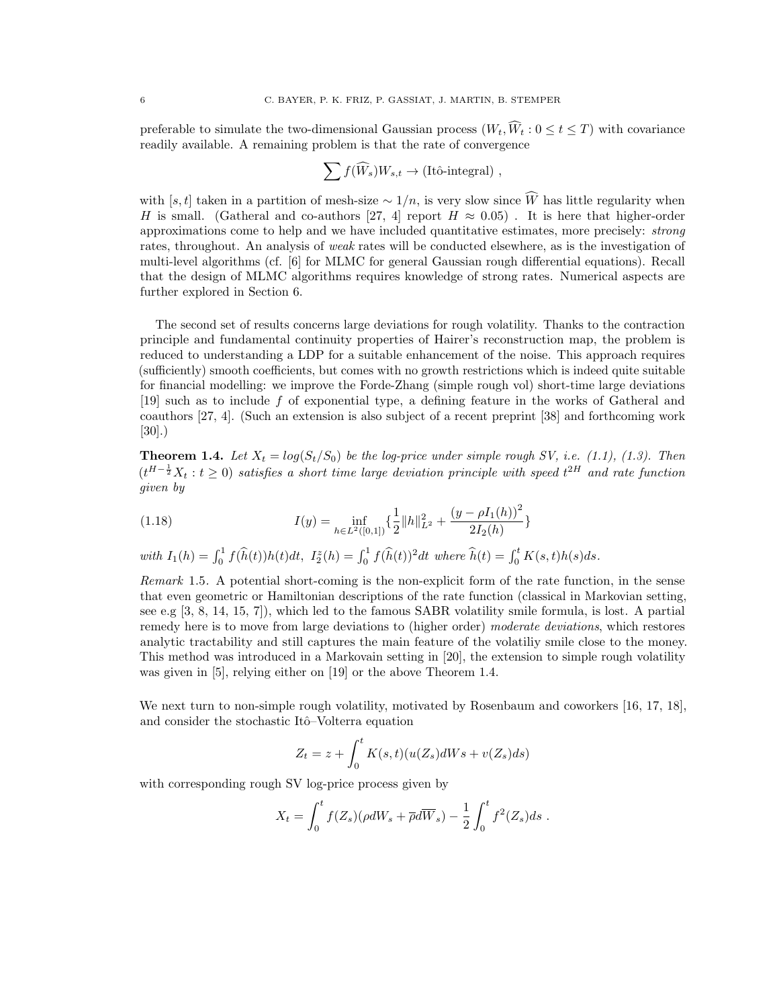preferable to simulate the two-dimensional Gaussian process  $(W_t, \widehat{W}_t : 0 \le t \le T)$  with covariance readily available. A remaining problem is that the rate of convergence

$$
\sum f(\widehat{W}_s)W_{s,t} \to (\text{Itô-integral}) ,
$$

with [s, t] taken in a partition of mesh-size  $\sim 1/n$ , is very slow since W has little regularity when H is small. (Gatheral and co-authors [\[27,](#page-42-4) [4\]](#page-42-5) report  $H \approx 0.05$ ). It is here that higher-order approximations come to help and we have included quantitative estimates, more precisely: strong rates, throughout. An analysis of weak rates will be conducted elsewhere, as is the investigation of multi-level algorithms (cf. [\[6\]](#page-42-13) for MLMC for general Gaussian rough differential equations). Recall that the design of MLMC algorithms requires knowledge of strong rates. Numerical aspects are further explored in Section [6.](#page-30-0)

The second set of results concerns large deviations for rough volatility. Thanks to the contraction principle and fundamental continuity properties of Hairer's reconstruction map, the problem is reduced to understanding a LDP for a suitable enhancement of the noise. This approach requires (sufficiently) smooth coefficients, but comes with no growth restrictions which is indeed quite suitable for financial modelling: we improve the Forde-Zhang (simple rough vol) short-time large deviations [\[19\]](#page-42-6) such as to include f of exponential type, a defining feature in the works of Gatheral and coauthors [\[27,](#page-42-4) [4\]](#page-42-5). (Such an extension is also subject of a recent preprint [\[38\]](#page-43-7) and forthcoming work [\[30\]](#page-43-8).)

<span id="page-5-0"></span>**Theorem 1.4.** Let  $X_t = log(S_t/S_0)$  be the log-price under simple rough SV, i.e. [\(1.1\)](#page-1-3), [\(1.3\)](#page-1-4). Then  $(t^{H-\frac{1}{2}}X_t : t \geq 0)$  satisfies a short time large deviation principle with speed  $t^{2H}$  and rate function given by

(1.18) 
$$
I(y) = \inf_{h \in L^{2}([0,1])} \left\{ \frac{1}{2} ||h||_{L^{2}}^{2} + \frac{(y - \rho I_{1}(h))^{2}}{2I_{2}(h)} \right\}
$$

with  $I_1(h) = \int_0^1 f(\hat{h}(t))h(t)dt$ ,  $I_2^z(h) = \int_0^1 f(\hat{h}(t))^2 dt$  where  $\hat{h}(t) = \int_0^t K(s,t)h(s)ds$ .

Remark 1.5. A potential short-coming is the non-explicit form of the rate function, in the sense that even geometric or Hamiltonian descriptions of the rate function (classical in Markovian setting, see e.g [\[3,](#page-42-14) [8,](#page-42-15) [14,](#page-42-16) [15,](#page-42-17) [7\]](#page-42-18)), which led to the famous SABR volatility smile formula, is lost. A partial remedy here is to move from large deviations to (higher order) moderate deviations, which restores analytic tractability and still captures the main feature of the volatiliy smile close to the money. This method was introduced in a Markovain setting in [\[20\]](#page-42-19), the extension to simple rough volatility was given in [\[5\]](#page-42-20), relying either on [\[19\]](#page-42-6) or the above Theorem [1.4.](#page-5-0)

We next turn to non-simple rough volatility, motivated by Rosenbaum and coworkers [\[16,](#page-42-7) [17,](#page-42-8) [18\]](#page-42-9), and consider the stochastic Itô–Volterra equation

$$
Z_t = z + \int_0^t K(s, t)(u(Z_s)dWs + v(Z_s)ds)
$$

with corresponding rough SV log-price process given by

$$
X_t = \int_0^t f(Z_s)(\rho dW_s + \overline{\rho} d\overline{W}_s) - \frac{1}{2} \int_0^t f^2(Z_s) ds.
$$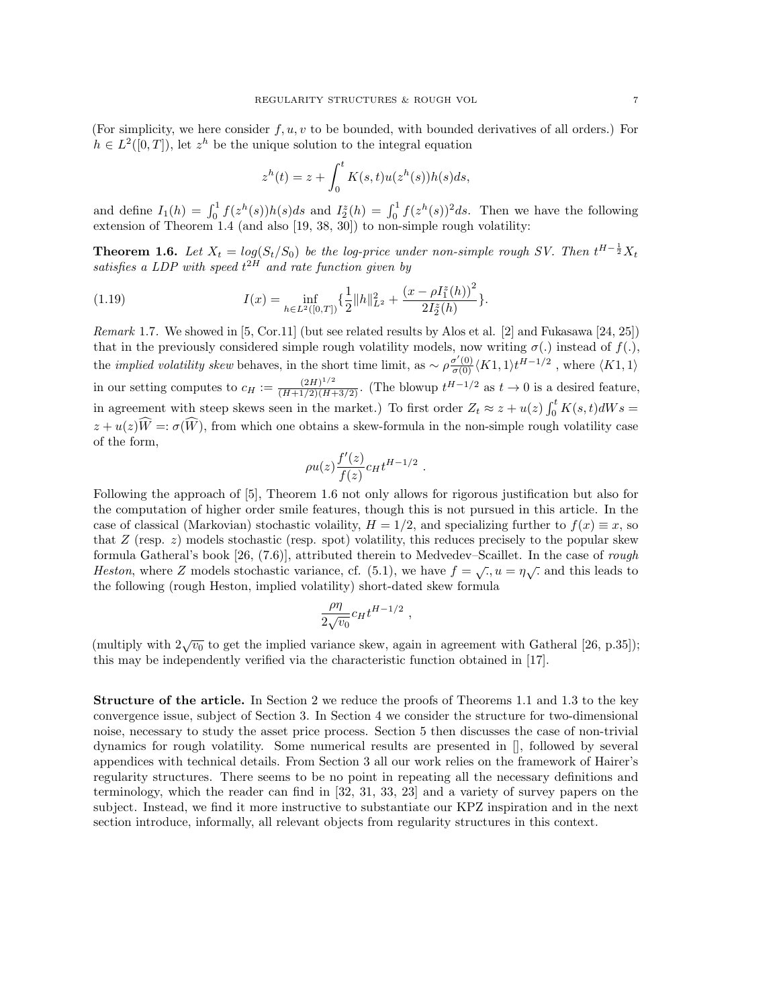(For simplicity, we here consider  $f, u, v$  to be bounded, with bounded derivatives of all orders.) For  $h \in L^2([0,T])$ , let  $z^h$  be the unique solution to the integral equation

$$
zh(t) = z + \int_0^t K(s,t)u(zh(s))h(s)ds,
$$

and define  $I_1(h) = \int_0^1 f(z^h(s))h(s)ds$  and  $I_2^z(h) = \int_0^1 f(z^h(s))^2ds$ . Then we have the following extension of Theorem [1.4](#page-5-0) (and also [\[19,](#page-42-6) [38,](#page-43-7) [30\]](#page-43-8)) to non-simple rough volatility:

<span id="page-6-0"></span>**Theorem 1.6.** Let  $X_t = log(S_t/S_0)$  be the log-price under non-simple rough SV. Then  $t^{H-\frac{1}{2}}X_t$ satisfies a LDP with speed  $t^{2H}$  and rate function given by

(1.19) 
$$
I(x) = \inf_{h \in L^{2}([0, T])} \left\{ \frac{1}{2} ||h||_{L^{2}}^{2} + \frac{(x - \rho I_{1}^{z}(h))^{2}}{2I_{2}^{z}(h)} \right\}.
$$

*Remark* 1.7. We showed in [\[5,](#page-42-20) Cor.11] (but see related results by Alos et al. [\[2\]](#page-42-21) and Fukasawa [\[24,](#page-42-2) [25\]](#page-42-3)) that in the previously considered simple rough volatility models, now writing  $\sigma(.)$  instead of  $f(.)$ , the *implied volatility skew* behaves, in the short time limit, as  $\sim \rho \frac{\sigma'(0)}{\sigma(0)} \langle K1, 1 \rangle t^{H-1/2}$ , where  $\langle K1, 1 \rangle$ in our setting computes to  $c_H := \frac{(2H)^{1/2}}{(H+1/2)(H+3/2)}$ . (The blowup  $t^{H-1/2}$  as  $t \to 0$  is a desired feature, in agreement with steep skews seen in the market.) To first order  $Z_t \approx z + u(z) \int_0^t K(s, t) dW s =$  $z + u(z)\widehat{W} =: \sigma(\widehat{W})$ , from which one obtains a skew-formula in the non-simple rough volatility case of the form,

$$
\rho u(z) \frac{f'(z)}{f(z)} c_H t^{H-1/2}
$$

.

Following the approach of [\[5\]](#page-42-20), Theorem [1.6](#page-6-0) not only allows for rigorous justification but also for the computation of higher order smile features, though this is not pursued in this article. In the case of classical (Markovian) stochastic volaility,  $H = 1/2$ , and specializing further to  $f(x) \equiv x$ , so that  $Z$  (resp.  $z$ ) models stochastic (resp. spot) volatility, this reduces precisely to the popular skew formula Gatheral's book [\[26,](#page-42-22) (7.6)], attributed therein to Medvedev–Scaillet. In the case of rough Heston, where Z models stochastic variance, cf. [\(5.1\)](#page-25-2), we have  $f = \sqrt{, u = \eta \sqrt{}}$  and this leads to the following (rough Heston, implied volatility) short-dated skew formula

$$
\frac{\rho\eta}{2\sqrt{v_0}}c_Ht^{H-1/2} ,
$$

(multiply with  $2\sqrt{v_0}$  to get the implied variance skew, again in agreement with Gatheral [\[26,](#page-42-22) p.35]); this may be independently verified via the characteristic function obtained in [\[17\]](#page-42-8).

Structure of the article. In Section [2](#page-9-0) we reduce the proofs of Theorems [1.1](#page-3-1) and [1.3](#page-3-2) to the key convergence issue, subject of Section [3.](#page-10-0) In Section [4](#page-23-0) we consider the structure for two-dimensional noise, necessary to study the asset price process. Section [5](#page-25-0) then discusses the case of non-trivial dynamics for rough volatility. Some numerical results are presented in [], followed by several appendices with technical details. From Section [3](#page-10-0) all our work relies on the framework of Hairer's regularity structures. There seems to be no point in repeating all the necessary definitions and terminology, which the reader can find in [\[32,](#page-43-3) [31,](#page-43-5) [33,](#page-43-9) [23\]](#page-42-11) and a variety of survey papers on the subject. Instead, we find it more instructive to substantiate our KPZ inspiration and in the next section introduce, informally, all relevant objects from regularity structures in this context.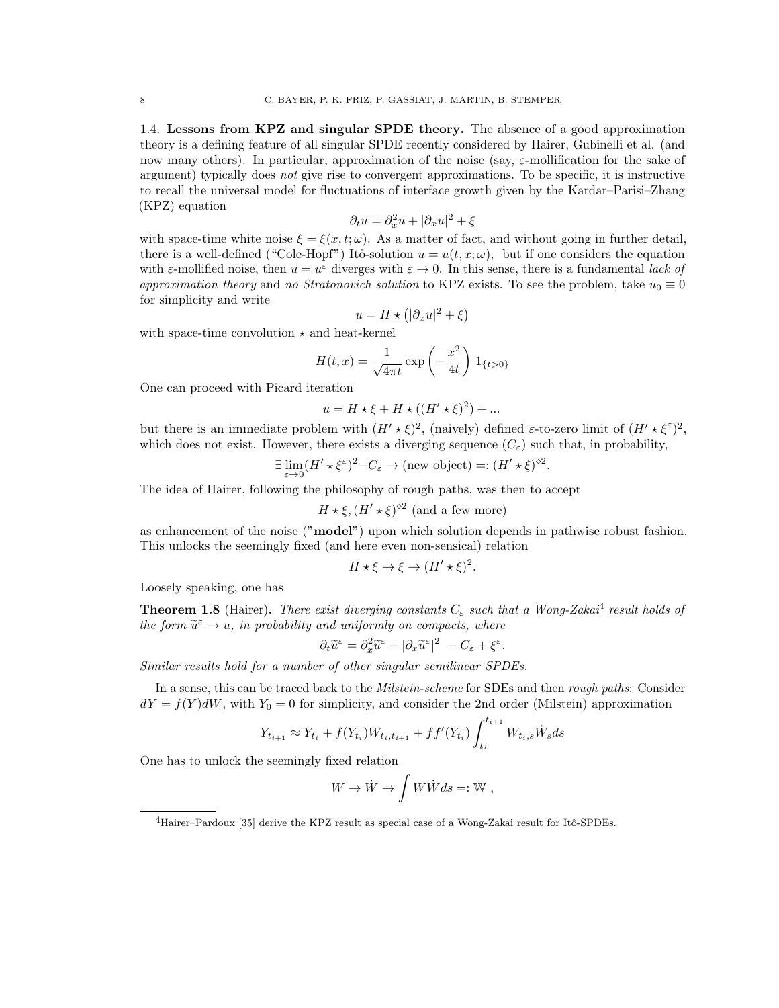<span id="page-7-0"></span>1.4. Lessons from KPZ and singular SPDE theory. The absence of a good approximation theory is a defining feature of all singular SPDE recently considered by Hairer, Gubinelli et al. (and now many others). In particular, approximation of the noise (say,  $\varepsilon$ -mollification for the sake of argument) typically does not give rise to convergent approximations. To be specific, it is instructive to recall the universal model for fluctuations of interface growth given by the Kardar–Parisi–Zhang (KPZ) equation

$$
\partial_t u = \partial_x^2 u + |\partial_x u|^2 + \xi
$$

with space-time white noise  $\xi = \xi(x, t; \omega)$ . As a matter of fact, and without going in further detail, there is a well-defined ("Cole-Hopf") Itô-solution  $u = u(t, x; \omega)$ , but if one considers the equation with  $\varepsilon$ -mollified noise, then  $u = u^{\varepsilon}$  diverges with  $\varepsilon \to 0$ . In this sense, there is a fundamental *lack of* approximation theory and no Stratonovich solution to KPZ exists. To see the problem, take  $u_0 \equiv 0$ for simplicity and write

$$
u = H \star \left( |\partial_x u|^2 + \xi \right)
$$

with space-time convolution  $\star$  and heat-kernel

$$
H(t,x) = \frac{1}{\sqrt{4\pi t}} \exp\left(-\frac{x^2}{4t}\right) 1_{\{t>0\}}
$$

One can proceed with Picard iteration

$$
u = H \star \xi + H \star ((H' \star \xi)^2) + \dots
$$

but there is an immediate problem with  $(H' \star \xi)^2$ , (naively) defined  $\varepsilon$ -to-zero limit of  $(H' \star \xi^{\varepsilon})^2$ , which does not exist. However, there exists a diverging sequence  $(C_{\varepsilon})$  such that, in probability,

$$
\exists \lim_{\varepsilon \to 0} (H' \star \xi^{\varepsilon})^2 - C_{\varepsilon} \to (\text{new object}) =: (H' \star \xi)^{\diamond 2}
$$

.

.

The idea of Hairer, following the philosophy of rough paths, was then to accept

$$
H \star \xi
$$
,  $(H' \star \xi)^{\diamond 2}$  (and a few more)

as enhancement of the noise ("**model**") upon which solution depends in pathwise robust fashion. This unlocks the seemingly fixed (and here even non-sensical) relation

$$
H \star \xi \to \xi \to (H' \star \xi)^2.
$$

Loosely speaking, one has

**Theorem 1.8** (Hairer). There exist diverging constants  $C_{\varepsilon}$  such that a Wong-Zakai<sup>[4](#page-7-1)</sup> result holds of the form  $\widetilde{u}^{\varepsilon} \to u$ , in probability and uniformly on compacts, where

$$
\partial_t \widetilde{u}^\varepsilon = \partial_x^2 \widetilde{u}^\varepsilon + |\partial_x \widetilde{u}^\varepsilon|^2 - C_\varepsilon + \xi^\varepsilon
$$

Similar results hold for a number of other singular semilinear SPDEs.

In a sense, this can be traced back to the *Milstein-scheme* for SDEs and then *rough paths*: Consider  $dY = f(Y)dW$ , with  $Y_0 = 0$  for simplicity, and consider the 2nd order (Milstein) approximation

$$
Y_{t_{i+1}} \approx Y_{t_i} + f(Y_{t_i})W_{t_i,t_{i+1}} + ff'(Y_{t_i}) \int_{t_i}^{t_{i+1}} W_{t_i,s} \dot{W}_s ds
$$

One has to unlock the seemingly fixed relation

$$
W \to \dot{W} \to \int W\dot{W}ds =: \mathbb{W} ,
$$

<span id="page-7-1"></span> $^{4}$ Hairer–Pardoux [\[35\]](#page-43-4) derive the KPZ result as special case of a Wong-Zakai result for Itô-SPDEs.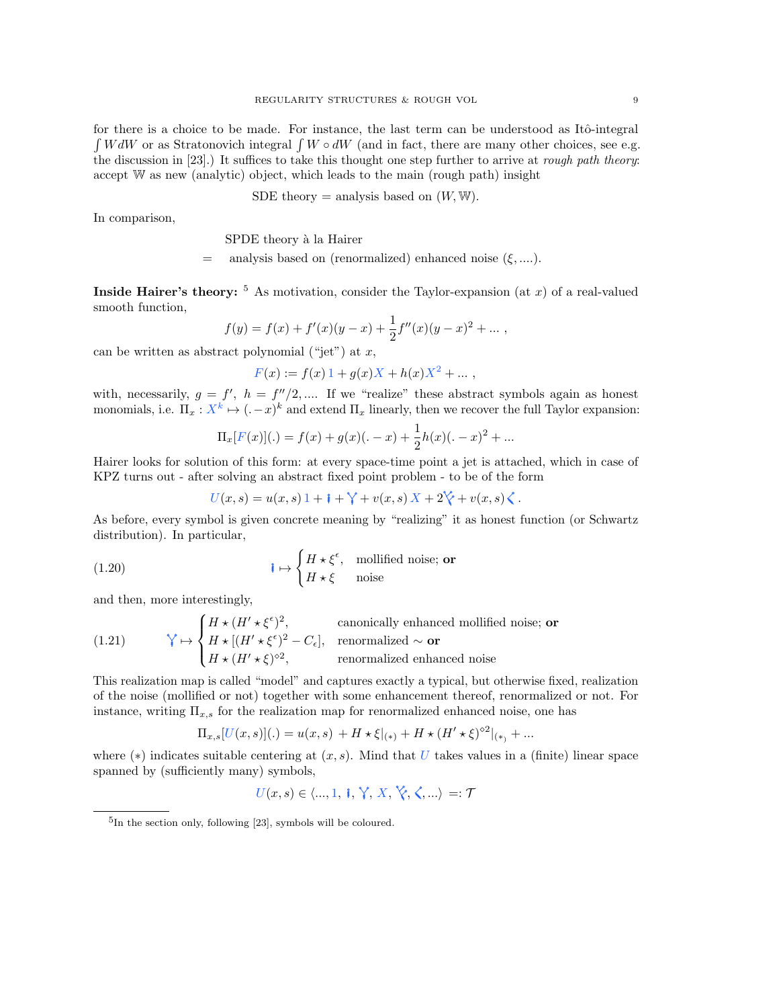for there is a choice to be made. For instance, the last term can be understood as Itô-integral  $\int W dW$  or as Stratonovich integral  $\int W \circ dW$  (and in fact, there are many other choices, see e.g. the discussion in [\[23\]](#page-42-11).) It suffices to take this thought one step further to arrive at *rough path theory*: accept W as new (analytic) object, which leads to the main (rough path) insight

SDE theory = analysis based on 
$$
(W, \mathbb{W})
$$
.

In comparison,

SPDE theory à la Hairer

 $=$  analysis based on (renormalized) enhanced noise  $(\xi, \dots)$ .

**Inside Hairer's theory:**  $\frac{5}{9}$  $\frac{5}{9}$  $\frac{5}{9}$  As motivation, consider the Taylor-expansion (at x) of a real-valued smooth function,

$$
f(y) = f(x) + f'(x)(y - x) + \frac{1}{2}f''(x)(y - x)^{2} + \dots,
$$

can be written as abstract polynomial ("jet") at  $x$ ,

$$
F(x) := f(x) 1 + g(x)X + h(x)X^{2} + \dots,
$$

with, necessarily,  $g = f'$ ,  $h = f''/2$ , .... If we "realize" these abstract symbols again as honest monomials, i.e.  $\Pi_x : X^k \mapsto (-x)^k$  and extend  $\Pi_x$  linearly, then we recover the full Taylor expansion:

$$
\Pi_x[F(x)](.) = f(x) + g(x)(. - x) + \frac{1}{2}h(x)(. - x)^2 + ...
$$

Hairer looks for solution of this form: at every space-time point a jet is attached, which in case of KPZ turns out - after solving an abstract fixed point problem - to be of the form

$$
U(x,s) = u(x,s) \, 1 + i + \mathcal{V} + v(x,s) \, X + 2 \mathcal{V} + v(x,s) \mathcal{L}.
$$

As before, every symbol is given concrete meaning by "realizing" it as honest function (or Schwartz distribution). In particular,

(1.20) 
$$
\mathbf{i} \mapsto \begin{cases} H \star \xi^{\epsilon}, & \text{mollified noise}; \text{ or} \\ H \star \xi & \text{noise} \end{cases}
$$

and then, more interestingly,

(1.21) 
$$
\mathbf{\hat{Y}} \mapsto \begin{cases} H \star (H' \star \xi^{\epsilon})^2, & \text{canonically enhanced molified noise; or} \\ H \star [(H' \star \xi^{\epsilon})^2 - C_{\epsilon}], & \text{renormalized } \sim \mathbf{or} \\ H \star (H' \star \xi)^{\diamond 2}, & \text{renormalized enhanced noise} \end{cases}
$$

This realization map is called "model" and captures exactly a typical, but otherwise fixed, realization of the noise (mollified or not) together with some enhancement thereof, renormalized or not. For instance, writing  $\Pi_{x,s}$  for the realization map for renormalized enhanced noise, one has

$$
\Pi_{x,s}[U(x,s)](.) = u(x,s) + H \star \xi_{|(*)} + H \star (H' \star \xi)^{\diamond 2}|_{(*)} + \dots
$$

where ( $*$ ) indicates suitable centering at  $(x, s)$ . Mind that U takes values in a (finite) linear space spanned by (sufficiently many) symbols,

$$
U(x,s) \in \langle ..., 1, \parallel, \parallel, \parallel, X, \parallel, \langle, \parallel, ... \rangle =: \mathcal{T}
$$

<span id="page-8-0"></span><sup>5</sup> In the section only, following [\[23\]](#page-42-11), symbols will be coloured.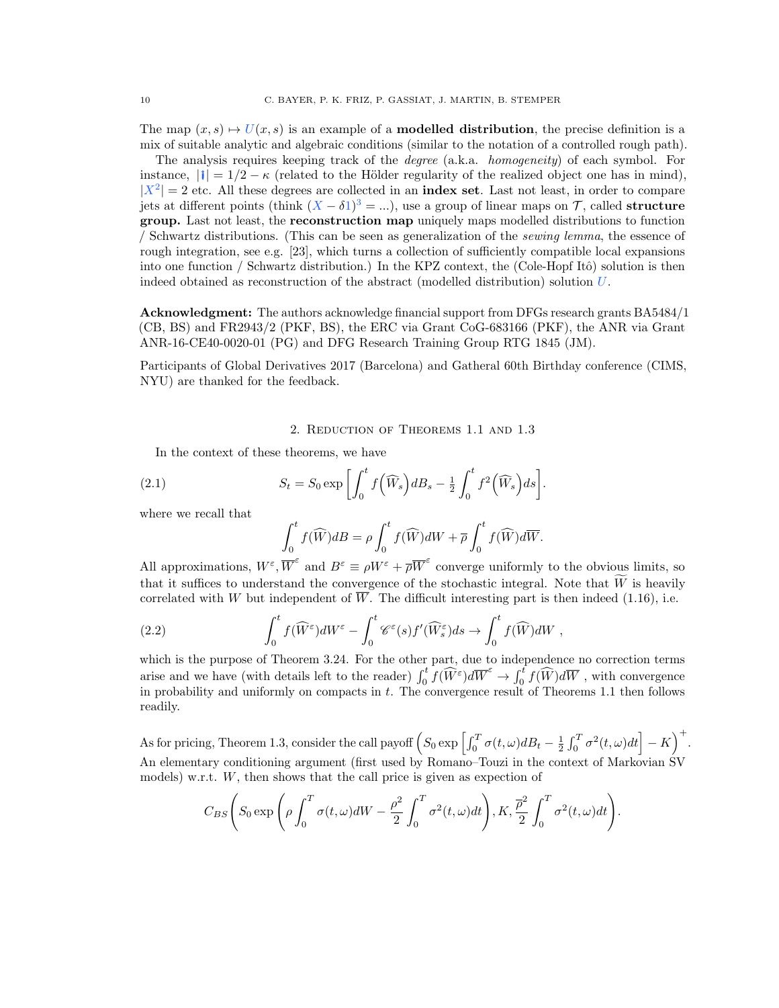The map  $(x, s) \mapsto U(x, s)$  is an example of a **modelled distribution**, the precise definition is a mix of suitable analytic and algebraic conditions (similar to the notation of a controlled rough path).

The analysis requires keeping track of the degree (a.k.a. homogeneity) of each symbol. For instance,  $||\mathbf{i}|| = 1/2 - \kappa$  (related to the Hölder regularity of the realized object one has in mind),  $|X^2| = 2$  etc. All these degrees are collected in an **index set**. Last not least, in order to compare jets at different points (think  $(X - \delta 1)^3 = ...$ ), use a group of linear maps on T, called structure group. Last not least, the reconstruction map uniquely maps modelled distributions to function / Schwartz distributions. (This can be seen as generalization of the sewing lemma, the essence of rough integration, see e.g. [\[23\]](#page-42-11), which turns a collection of sufficiently compatible local expansions into one function / Schwartz distribution.) In the KPZ context, the (Cole-Hopf Itô) solution is then indeed obtained as reconstruction of the abstract (modelled distribution) solution U.

Acknowledgment: The authors acknowledge financial support from DFGs research grants BA5484/1 (CB, BS) and FR2943/2 (PKF, BS), the ERC via Grant CoG-683166 (PKF), the ANR via Grant ANR-16-CE40-0020-01 (PG) and DFG Research Training Group RTG 1845 (JM).

Participants of Global Derivatives 2017 (Barcelona) and Gatheral 60th Birthday conference (CIMS, NYU) are thanked for the feedback.

<span id="page-9-1"></span>2. Reduction of Theorems [1.1](#page-3-1) and [1.3](#page-3-2)

<span id="page-9-0"></span>In the context of these theorems, we have

(2.1) 
$$
S_t = S_0 \exp\left[\int_0^t f\left(\widehat{W}_s\right) dB_s - \frac{1}{2} \int_0^t f^2\left(\widehat{W}_s\right) ds\right]
$$

where we recall that

$$
\int_0^t f(\widehat{W})dB = \rho \int_0^t f(\widehat{W})dW + \overline{\rho} \int_0^t f(\widehat{W})d\overline{W}.
$$

.

All approximations,  $W^{\varepsilon}$ ,  $\overline{W}^{\varepsilon}$  and  $B^{\varepsilon} \equiv \rho W^{\varepsilon} + \overline{\rho W}^{\varepsilon}$  converge uniformly to the obvious limits, so that it suffices to understand the convergence of the stochastic integral. Note that  $\tilde{W}$  is heavily correlated with W but independent of  $\overline{W}$ . The difficult interesting part is then indeed [\(1.16\)](#page-4-1), i.e.

(2.2) 
$$
\int_0^t f(\widehat{W}^\varepsilon) dW^\varepsilon - \int_0^t \mathscr{C}^\varepsilon(s) f'(\widehat{W}^\varepsilon_s) ds \to \int_0^t f(\widehat{W}) dW,
$$

which is the purpose of Theorem [3.24.](#page-20-0) For the other part, due to independence no correction terms arise and we have (with details left to the reader)  $\int_0^t f(\widehat{W}^{\varepsilon})d\overline{W}^{\varepsilon} \to \int_0^t f(\widehat{W})d\overline{W}$ , with convergence in probability and uniformly on compacts in  $t$ . The convergence result of Theorems [1.1](#page-3-1) then follows readily.

As for pricing, Theorem [1.3,](#page-3-2) consider the call payoff  $\left(S_0 \exp \left[\int_0^T \sigma(t,\omega) dB_t - \frac{1}{2} \int_0^T \sigma^2(t,\omega) dt\right] - K\right)^+$ . An elementary conditioning argument (first used by Romano–Touzi in the context of Markovian SV models) w.r.t. W, then shows that the call price is given as expection of

$$
C_{BS}\left(S_0 \exp\left(\rho \int_0^T \sigma(t,\omega)dW - \frac{\rho^2}{2} \int_0^T \sigma^2(t,\omega)dt\right), K, \frac{\overline{\rho}^2}{2} \int_0^T \sigma^2(t,\omega)dt\right).
$$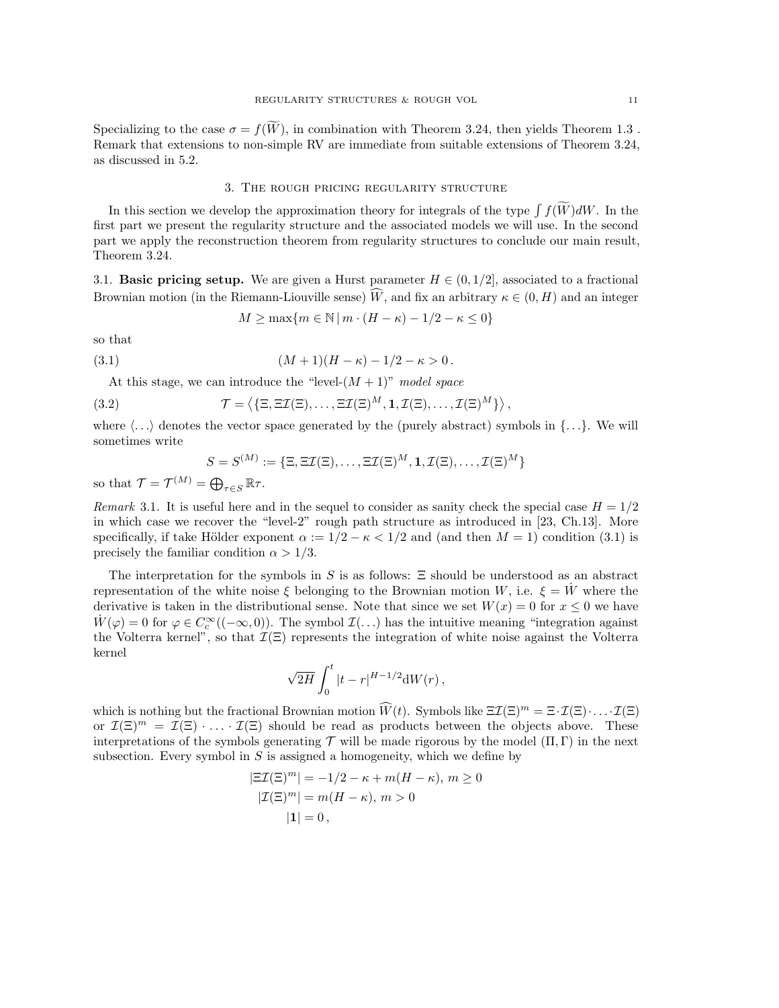Specializing to the case  $\sigma = f(W)$ , in combination with Theorem [3.24,](#page-20-0) then yields Theorem [1.3](#page-3-2). Remark that extensions to non-simple RV are immediate from suitable extensions of Theorem [3.24,](#page-20-0) as discussed in [5.2.](#page-26-0)

### 3. The rough pricing regularity structure

<span id="page-10-0"></span>In this section we develop the approximation theory for integrals of the type  $\int f(W)dW$ . In the first part we present the regularity structure and the associated models we will use. In the second part we apply the reconstruction theorem from regularity structures to conclude our main result, Theorem [3.24.](#page-20-0)

<span id="page-10-1"></span>3.1. **Basic pricing setup.** We are given a Hurst parameter  $H \in (0, 1/2]$ , associated to a fractional Brownian motion (in the Riemann-Liouville sense) W, and fix an arbitrary  $\kappa \in (0, H)$  and an integer

$$
M \ge \max\{m \in \mathbb{N} \mid m \cdot (H - \kappa) - 1/2 - \kappa \le 0\}
$$

<span id="page-10-2"></span>so that

(3.1) 
$$
(M+1)(H-\kappa) - 1/2 - \kappa > 0.
$$

At this stage, we can introduce the "level- $(M + 1)$ " model space

<span id="page-10-3"></span>(3.2) 
$$
\mathcal{T} = \left\langle \{\Xi, \Xi\mathcal{I}(\Xi), \ldots, \Xi\mathcal{I}(\Xi)^M, \mathbf{1}, \mathcal{I}(\Xi), \ldots, \mathcal{I}(\Xi)^M \} \right\rangle,
$$

where  $\langle \ldots \rangle$  denotes the vector space generated by the (purely abstract) symbols in  $\{\ldots\}$ . We will sometimes write

$$
S = S^{(M)} := \{ \Xi, \Xi \mathcal{I}(\Xi), \dots, \Xi \mathcal{I}(\Xi)^M, \mathbf{1}, \mathcal{I}(\Xi), \dots, \mathcal{I}(\Xi)^M \}
$$

so that  $\mathcal{T} = \mathcal{T}^{(M)} = \bigoplus_{\tau \in S} \mathbb{R}\tau$ .

Remark 3.1. It is useful here and in the sequel to consider as sanity check the special case  $H = 1/2$ in which case we recover the "level-2" rough path structure as introduced in [\[23,](#page-42-11) Ch.13]. More specifically, if take Hölder exponent  $\alpha := 1/2 - \kappa < 1/2$  and (and then  $M = 1$ ) condition [\(3.1\)](#page-10-2) is precisely the familiar condition  $\alpha > 1/3$ .

The interpretation for the symbols in S is as follows:  $\Xi$  should be understood as an abstract representation of the white noise  $\xi$  belonging to the Brownian motion W, i.e.  $\xi = W$  where the derivative is taken in the distributional sense. Note that since we set  $W(x) = 0$  for  $x \le 0$  we have  $\dot{W}(\varphi) = 0$  for  $\varphi \in C_c^{\infty}((-\infty, 0))$ . The symbol  $\mathcal{I}(\ldots)$  has the intuitive meaning "integration against the Volterra kernel", so that  $\mathcal{I}(\Xi)$  represents the integration of white noise against the Volterra kernel

$$
\sqrt{2H}\int_0^t|t-r|^{H-1/2}\mathrm{d}W(r)\,,
$$

which is nothing but the fractional Brownian motion  $\widehat{W}(t)$ . Symbols like  $\Xi \mathcal{I}(\Xi)^m = \Xi \cdot \mathcal{I}(\Xi) \cdot \ldots \cdot \mathcal{I}(\Xi)$ or  $\mathcal{I}(\Xi)^m = \mathcal{I}(\Xi) \cdot \ldots \cdot \mathcal{I}(\Xi)$  should be read as products between the objects above. These interpretations of the symbols generating  $\mathcal T$  will be made rigorous by the model  $(\Pi,\Gamma)$  in the next subsection. Every symbol in  $S$  is assigned a homogeneity, which we define by

$$
|\Xi \mathcal{I}(\Xi)^m| = -1/2 - \kappa + m(H - \kappa), m \ge 0
$$

$$
|\mathcal{I}(\Xi)^m| = m(H - \kappa), m > 0
$$

$$
|1| = 0,
$$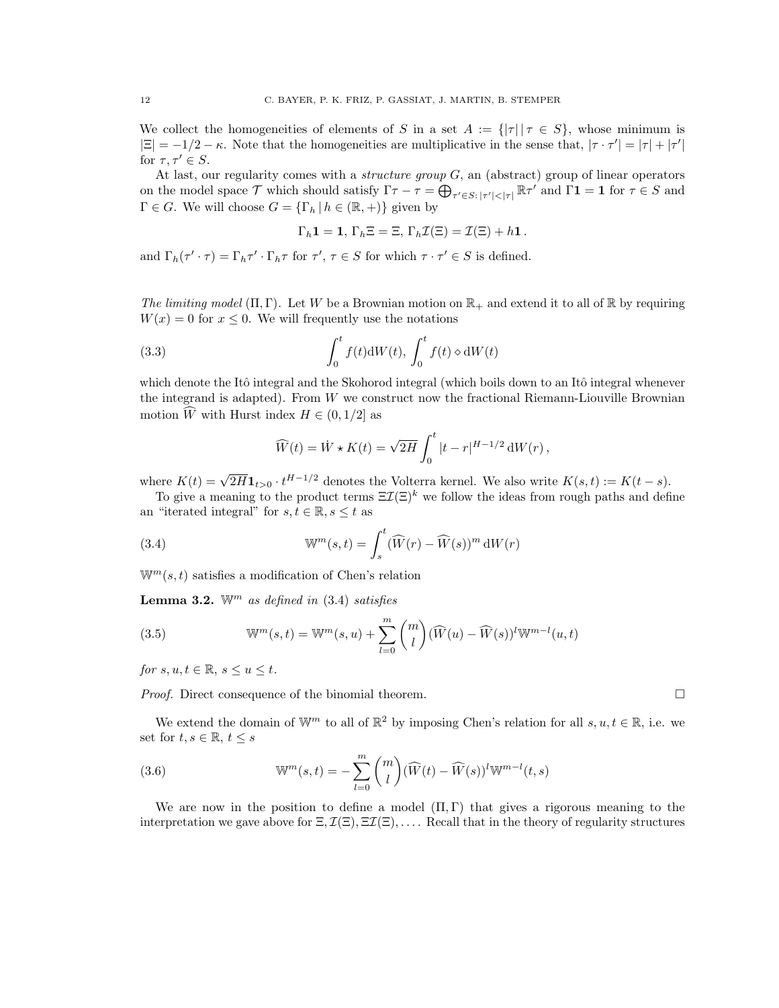We collect the homogeneities of elements of S in a set  $A := \{|\tau| | \tau \in S\}$ , whose minimum is  $|\Xi| = -1/2 - \kappa$ . Note that the homogeneities are multiplicative in the sense that,  $|\tau \cdot \tau'| = |\tau| + |\tau'|$ for  $\tau, \tau' \in S$ .

At last, our regularity comes with a *structure group*  $G$ , an (abstract) group of linear operators on the model space T which should satisfy  $\Gamma \tau - \tau = \bigoplus_{\tau' \in S: |\tau'| < |\tau|} \mathbb{R} \tau'$  and  $\Gamma \mathbf{1} = \mathbf{1}$  for  $\tau \in S$  and  $\Gamma \in G$ . We will choose  $G = {\{\Gamma_h | h \in (\mathbb{R}, +)\}\$  given by

$$
\Gamma_h \mathbf{1} = \mathbf{1}, \, \Gamma_h \Xi = \Xi, \, \Gamma_h \mathcal{I}(\Xi) = \mathcal{I}(\Xi) + h \mathbf{1} \, .
$$

and  $\Gamma_h(\tau' \cdot \tau) = \Gamma_h \tau' \cdot \Gamma_h \tau$  for  $\tau', \tau \in S$  for which  $\tau \cdot \tau' \in S$  is defined.

The limiting model  $(\Pi, \Gamma)$ . Let W be a Brownian motion on  $\mathbb{R}_+$  and extend it to all of  $\mathbb{R}$  by requiring  $W(x) = 0$  for  $x \leq 0$ . We will frequently use the notations

<span id="page-11-1"></span>(3.3) 
$$
\int_0^t f(t) \, \mathrm{d}W(t), \int_0^t f(t) \circ \mathrm{d}W(t)
$$

which denote the Itô integral and the Skohorod integral (which boils down to an Itô integral whenever the integrand is adapted). From  $W$  we construct now the fractional Riemann-Liouville Brownian motion  $\widehat{W}$  with Hurst index  $H \in (0, 1/2]$  as

$$
\widehat{W}(t) = \dot{W} \star K(t) = \sqrt{2H} \int_0^t |t-r|^{H-1/2} dW(r),
$$

where  $K(t) = \sqrt{2H} \mathbf{1}_{t>0} \cdot t^{H-1/2}$  denotes the Volterra kernel. We also write  $K(s,t) := K(t-s)$ .

To give a meaning to the product terms  $\Xi \mathcal{I}(\Xi)^k$  we follow the ideas from rough paths and define an "iterated integral" for  $s, t \in \mathbb{R}, s \leq t$  as

<span id="page-11-0"></span>(3.4) 
$$
\mathbb{W}^m(s,t) = \int_s^t (\widehat{W}(r) - \widehat{W}(s))^m dW(r)
$$

 $\mathbb{W}^m(s,t)$  satisfies a modification of Chen's relation

**Lemma 3.2.** W<sup>m</sup> as defined in  $(3.4)$  satisfies

(3.5) 
$$
\mathbb{W}^m(s,t) = \mathbb{W}^m(s,u) + \sum_{l=0}^m \binom{m}{l} (\widehat{W}(u) - \widehat{W}(s))^l \mathbb{W}^{m-l}(u,t)
$$

for  $s, u, t \in \mathbb{R}, s \leq u \leq t$ .

*Proof.* Direct consequence of the binomial theorem.  $\Box$ 

We extend the domain of  $\mathbb{W}^m$  to all of  $\mathbb{R}^2$  by imposing Chen's relation for all  $s, u, t \in \mathbb{R}$ , i.e. we set for  $t, s \in \mathbb{R}, t \leq s$ 

<span id="page-11-2"></span>(3.6) 
$$
\mathbb{W}^m(s,t) = -\sum_{l=0}^m \binom{m}{l} (\widehat{W}(t) - \widehat{W}(s))^l \mathbb{W}^{m-l}(t,s)
$$

We are now in the position to define a model  $(\Pi, \Gamma)$  that gives a rigorous meaning to the interpretation we gave above for  $\Xi$ ,  $\mathcal{I}(\Xi)$ ,  $\Xi\mathcal{I}(\Xi)$ , .... Recall that in the theory of regularity structures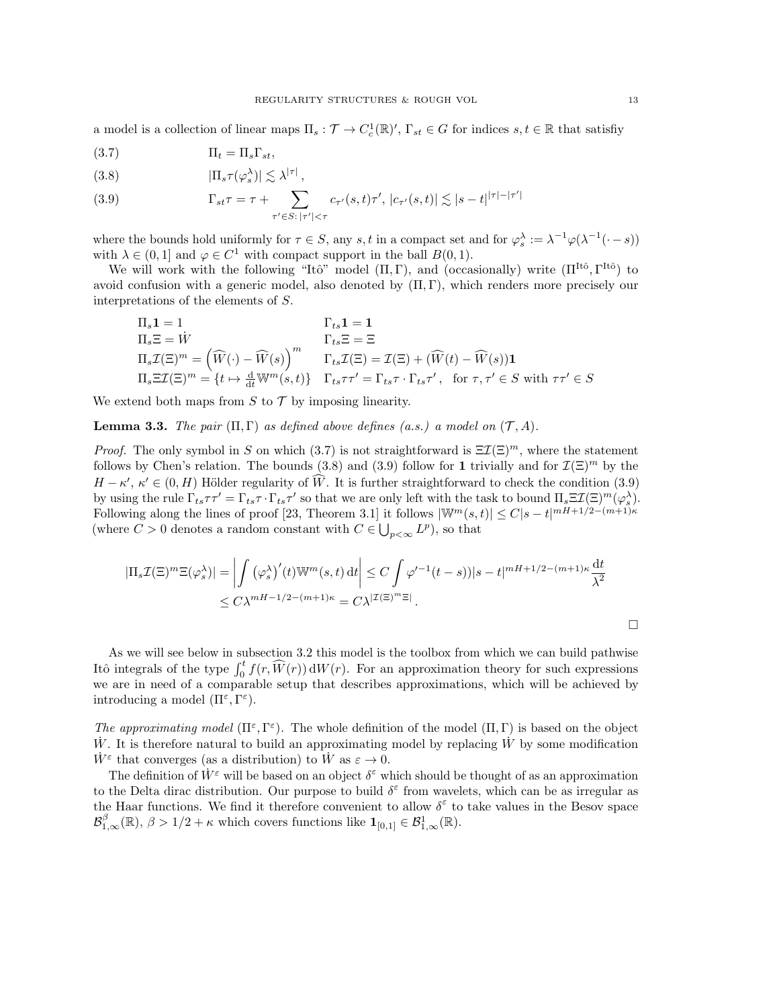a model is a collection of linear maps  $\Pi_s : \mathcal{T} \to C_c^1(\mathbb{R})'$ ,  $\Gamma_{st} \in G$  for indices  $s, t \in \mathbb{R}$  that satisfiy

<span id="page-12-0"></span>
$$
(3.7) \t \Pi_t = \Pi_s \Gamma_{st},
$$

<span id="page-12-1"></span>(3.8) 
$$
|\Pi_s \tau(\varphi_s^{\lambda})| \lesssim \lambda^{|\tau|},
$$

<span id="page-12-2"></span>(3.9) 
$$
\Gamma_{st}\tau = \tau + \sum_{\tau' \in S: |\tau'| < \tau} c_{\tau'}(s,t)\tau', |c_{\tau'}(s,t)| \lesssim |s-t|^{|\tau|-|\tau'|}
$$

where the bounds hold uniformly for  $\tau \in S$ , any s, t in a compact set and for  $\varphi_s^{\lambda} := \lambda^{-1} \varphi(\lambda^{-1}(\cdot - s))$ with  $\lambda \in (0,1]$  and  $\varphi \in C^1$  with compact support in the ball  $B(0,1)$ .

We will work with the following "Itô" model  $(\Pi, \Gamma)$ , and (occasionally) write  $(\Pi^{\text{It\^{o}}, \Gamma^{\text{It\^{o}}})$  to avoid confusion with a generic model, also denoted by  $(\Pi, \Gamma)$ , which renders more precisely our interpretations of the elements of S.

$$
\Pi_s \mathbf{1} = 1
$$
\n
$$
\Pi_s \Xi = \dot{W}
$$
\n
$$
\Pi_s \Xi = \dot{W}
$$
\n
$$
\Pi_s \mathbf{1} = 1
$$
\n
$$
\Gamma_{ts} \Xi = \Xi
$$
\n
$$
\Pi_s \mathcal{I}(\Xi)^m = (\widehat{W}(\cdot) - \widehat{W}(s))^{m}
$$
\n
$$
\Gamma_{ts} \mathcal{I}(\Xi) = \mathcal{I}(\Xi) + (\widehat{W}(t) - \widehat{W}(s)) \mathbf{1}
$$
\n
$$
\Pi_s \Xi \mathcal{I}(\Xi)^m = \{t \mapsto \frac{d}{dt} W^m(s, t)\} \quad \Gamma_{ts} \tau \tau' = \Gamma_{ts} \tau \cdot \Gamma_{ts} \tau', \text{ for } \tau, \tau' \in S \text{ with } \tau \tau' \in S
$$

We extend both maps from  $S$  to  $\mathcal T$  by imposing linearity.

**Lemma 3.3.** The pair  $(\Pi, \Gamma)$  as defined above defines (a.s.) a model on  $(\mathcal{T}, A)$ .

*Proof.* The only symbol in S on which [\(3.7\)](#page-12-0) is not straightforward is  $\Xi \mathcal{I}(\Xi)^m$ , where the statement follows by Chen's relation. The bounds [\(3.8\)](#page-12-1) and [\(3.9\)](#page-12-2) follow for 1 trivially and for  $\mathcal{I}(\Xi)^m$  by the  $H - \kappa'$ ,  $\kappa' \in (0, H)$  Hölder regularity of  $\widehat{W}$ . It is further straightforward to check the condition [\(3.9\)](#page-12-2) by using the rule  $\Gamma_{ts}\tau\tau' = \Gamma_{ts}\tau \cdot \Gamma_{ts}\tau'$  so that we are only left with the task to bound  $\Pi_s \Xi \mathcal{I}(\Xi)^m (\varphi_s^{\lambda})$ . Following along the lines of proof [\[23,](#page-42-11) Theorem 3.1] it follows  $|\mathbb{W}^m(s,t)| \leq C|s-t|^{mH+1/2-(m+1)\kappa}$ (where  $C > 0$  denotes a random constant with  $C \in \bigcup_{p < \infty} L^p$ ), so that

$$
|\Pi_s \mathcal{I}(\Xi)^m \Xi(\varphi_s^{\lambda})| = \left| \int (\varphi_s^{\lambda})'(t) \mathbb{W}^m(s, t) dt \right| \le C \int \varphi'^{-1}(t - s) |s - t|^{mH + 1/2 - (m+1)\kappa} \frac{dt}{\lambda^2}
$$
  

$$
\le C\lambda^{mH - 1/2 - (m+1)\kappa} = C\lambda^{|\mathcal{I}(\Xi)^m \Xi|}.
$$

As we will see below in subsection [3.2](#page-17-0) this model is the toolbox from which we can build pathwise Itô integrals of the type  $\int_0^t f(r, \widehat{W}(r)) dW(r)$ . For an approximation theory for such expressions we are in need of a comparable setup that describes approximations, which will be achieved by introducing a model  $(\Pi^{\varepsilon}, \Gamma^{\varepsilon})$ .

The approximating model  $(\Pi^{\varepsilon}, \Gamma^{\varepsilon})$ . The whole definition of the model  $(\Pi, \Gamma)$  is based on the object  $\dot{W}$ . It is therefore natural to build an approximating model by replacing  $\dot{W}$  by some modification  $\dot{W}^{\varepsilon}$  that converges (as a distribution) to  $\dot{W}$  as  $\varepsilon \to 0$ .

The definition of  $\dot{W}^{\varepsilon}$  will be based on an object  $\delta^{\varepsilon}$  which should be thought of as an approximation to the Delta dirac distribution. Our purpose to build  $\delta^{\epsilon}$  from wavelets, which can be as irregular as the Haar functions. We find it therefore convenient to allow  $\delta^{\varepsilon}$  to take values in the Besov space  $\mathcal{B}^{\beta}_{1,\infty}(\mathbb{R}), \beta > 1/2 + \kappa$  which covers functions like  $\mathbf{1}_{[0,1]} \in \mathcal{B}^1_{1,\infty}(\mathbb{R}).$ 

 $\Box$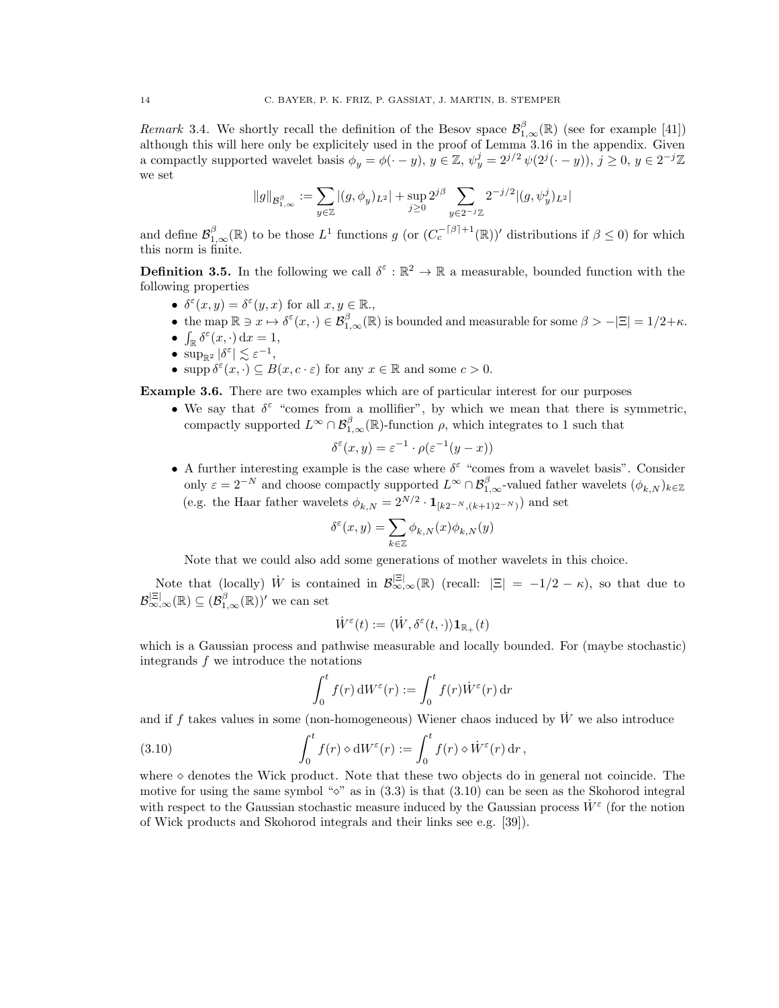Remark 3.4. We shortly recall the definition of the Besov space  $\mathcal{B}^{\beta}_{1,\infty}(\mathbb{R})$  (see for example [\[41\]](#page-43-10)) although this will here only be explicitely used in the proof of Lemma [3.16](#page-18-0) in the appendix. Given a compactly supported wavelet basis  $\phi_y = \phi(\cdot - y)$ ,  $y \in \mathbb{Z}$ ,  $\psi_y^j = 2^{j/2} \psi(2^j(\cdot - y))$ ,  $j \ge 0$ ,  $y \in 2^{-j}\mathbb{Z}$ we set

$$
\|g\|_{{\mathcal B}^{\beta}_{1,\infty}}:=\sum_{y\in \mathbb{Z}}|(g,\phi_y)_{L^2}|+\sup_{j\geq 0}2^{j\beta}\sum_{y\in 2^{-j}\mathbb{Z}}2^{-j/2}|(g,\psi_y^j)_{L^2}|
$$

and define  $\mathcal{B}^{\beta}_{1,\infty}(\mathbb{R})$  to be those  $L^1$  functions g (or  $(C_c^{-\lceil \beta \rceil + 1}(\mathbb{R}))'$  distributions if  $\beta \leq 0$ ) for which this norm is finite.

<span id="page-13-2"></span>**Definition 3.5.** In the following we call  $\delta^{\epsilon}: \mathbb{R}^2 \to \mathbb{R}$  a measurable, bounded function with the following properties

- $\delta^{\varepsilon}(x, y) = \delta^{\varepsilon}(y, x)$  for all  $x, y \in \mathbb{R}$ .
- the map  $\mathbb{R} \ni x \mapsto \delta^{\varepsilon}(x, \cdot) \in \mathcal{B}^{\beta}_{1,\infty}(\mathbb{R})$  is bounded and measurable for some  $\beta > -|\Xi| = 1/2+\kappa$ .
- $\int_{\mathbb{R}} \delta^{\varepsilon}(x,\cdot) dx = 1,$
- $\sup_{\mathbb{R}^2} |\delta^{\varepsilon}| \lesssim \varepsilon^{-1},$
- supp  $\delta^{\varepsilon}(x, \cdot) \subseteq B(x, c \cdot \varepsilon)$  for any  $x \in \mathbb{R}$  and some  $c > 0$ .

<span id="page-13-1"></span>Example 3.6. There are two examples which are of particular interest for our purposes

• We say that  $\delta^{\varepsilon}$  "comes from a mollifier", by which we mean that there is symmetric, compactly supported  $L^{\infty} \cap \mathcal{B}_{1,\infty}^{\beta}(\mathbb{R})$ -function  $\rho$ , which integrates to 1 such that

$$
\delta^{\varepsilon}(x, y) = \varepsilon^{-1} \cdot \rho(\varepsilon^{-1}(y - x))
$$

• A further interesting example is the case where  $\delta^{\varepsilon}$  "comes from a wavelet basis". Consider only  $\varepsilon = 2^{-N}$  and choose compactly supported  $L^{\infty} \cap \mathcal{B}^{\beta}_{1,\infty}$ -valued father wavelets  $(\phi_{k,N})_{k \in \mathbb{Z}}$ (e.g. the Haar father wavelets  $\phi_{k,N} = 2^{N/2} \cdot \mathbf{1}_{[k2^{-N}, (k+1)2^{-N})}$ ) and set

$$
\delta^\varepsilon(x,y)=\sum_{k\in\mathbb{Z}}\phi_{k,N}(x)\phi_{k,N}(y)
$$

Note that we could also add some generations of mother wavelets in this choice.

Note that (locally) W is contained in  $\mathcal{B}_{\infty,\infty}^{|\Xi|}(\mathbb{R})$  (recall:  $|\Xi| = -1/2 - \kappa$ ), so that due to  $\mathcal{B}_{\infty,\infty}^{|\Xi|}(\mathbb{R}) \subseteq (\mathcal{B}_{1,\infty}^{\beta}(\mathbb{R}))'$  we can set

$$
\dot W^\varepsilon(t):=\langle \dot W, \delta^\varepsilon(t,\cdot)\rangle \mathbf{1}_{\mathbb{R}_+}(t)
$$

which is a Gaussian process and pathwise measurable and locally bounded. For (maybe stochastic) integrands f we introduce the notations

$$
\int_0^t f(r) dW^{\varepsilon}(r) := \int_0^t f(r) \dot{W}^{\varepsilon}(r) dr
$$

and if f takes values in some (non-homogeneous) Wiener chaos induced by  $W$  we also introduce

<span id="page-13-0"></span>(3.10) 
$$
\int_0^t f(r) \circ dW^{\varepsilon}(r) := \int_0^t f(r) \circ \dot{W}^{\varepsilon}(r) dr,
$$

where  $\diamond$  denotes the Wick product. Note that these two objects do in general not coincide. The motive for using the same symbol " $\circ$ " as in [\(3.3\)](#page-11-1) is that [\(3.10\)](#page-13-0) can be seen as the Skohorod integral with respect to the Gaussian stochastic measure induced by the Gaussian process  $\dot{W}^{\varepsilon}$  (for the notion of Wick products and Skohorod integrals and their links see e.g. [\[39\]](#page-43-11)).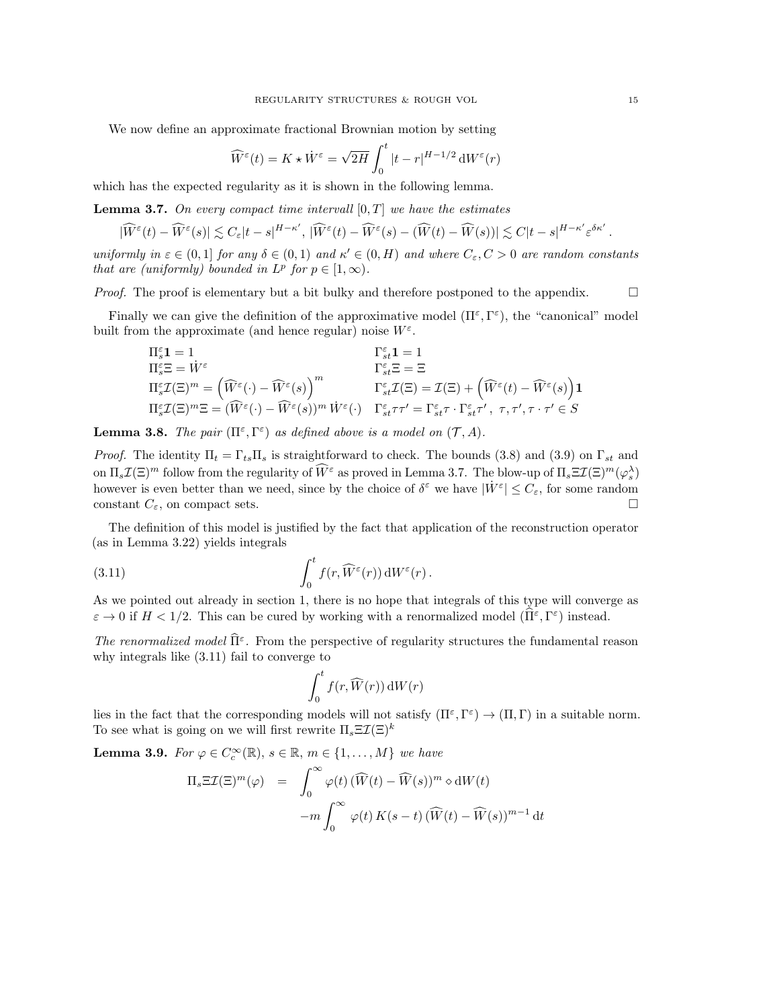We now define an approximate fractional Brownian motion by setting

$$
\widehat{W}^{\varepsilon}(t) = K \star \dot{W}^{\varepsilon} = \sqrt{2H} \int_0^t |t - r|^{H - 1/2} dW^{\varepsilon}(r)
$$

which has the expected regularity as it is shown in the following lemma.

<span id="page-14-0"></span>**Lemma 3.7.** On every compact time intervall  $[0, T]$  we have the estimates

$$
|\widehat{W}^{\varepsilon}(t)-\widehat{W}^{\varepsilon}(s)|\lesssim C_{\varepsilon}|t-s|^{H-\kappa'},\ |\widehat{W}^{\varepsilon}(t)-\widehat{W}^{\varepsilon}(s)-(\widehat{W}(t)-\widehat{W}(s))|\lesssim C|t-s|^{H-\kappa'}\varepsilon^{\delta\kappa'}
$$

uniformly in  $\varepsilon \in (0,1]$  for any  $\delta \in (0,1)$  and  $\kappa' \in (0,H)$  and where  $C_{\varepsilon}, C > 0$  are random constants that are (uniformly) bounded in  $L^p$  for  $p \in [1,\infty)$ .

*Proof.* The proof is elementary but a bit bulky and therefore postponed to the appendix.  $\square$ 

Finally we can give the definition of the approximative model  $(\Pi^{\varepsilon}, \Gamma^{\varepsilon})$ , the "canonical" model built from the approximate (and hence regular) noise  $W^{\varepsilon}$ .

$$
\begin{array}{ll} \Pi^{\varepsilon}_s\mathbf{1}=1 & \Gamma^{\varepsilon}_{st}\mathbf{1}=1 & \\ \Pi^{\varepsilon}_s\Xi=W^{\varepsilon} & \Gamma^{\varepsilon}_{st}\Xi=\Xi \\ \Pi^{\varepsilon}_s\mathcal{I}(\Xi)^m=\left(\widehat{W}^{\varepsilon}(\cdot)-\widehat{W}^{\varepsilon}(s)\right)^m & \Gamma^{\varepsilon}_{st}\mathcal{I}(\Xi)=\mathcal{I}(\Xi)+\left(\widehat{W}^{\varepsilon}(t)-\widehat{W}^{\varepsilon}(s)\right)\mathbf{1} & \\ \Pi^{\varepsilon}_s\mathcal{I}(\Xi)^m\Xi=(\widehat{W}^{\varepsilon}(\cdot)-\widehat{W}^{\varepsilon}(s))^{m}\,\dot{W}^{\varepsilon}(\cdot)& \Gamma^{\varepsilon}_{st}\tau\tau'=\Gamma^{\varepsilon}_{st}\tau\cdot\Gamma^{\varepsilon}_{st}\tau',\ \tau,\tau',\tau\cdot\tau'\in S \end{array}
$$

<span id="page-14-3"></span>**Lemma 3.8.** The pair  $(\Pi^{\varepsilon}, \Gamma^{\varepsilon})$  as defined above is a model on  $(\mathcal{T}, A)$ .

*Proof.* The identity  $\Pi_t = \Gamma_{ts} \Pi_s$  is straightforward to check. The bounds [\(3.8\)](#page-12-1) and [\(3.9\)](#page-12-2) on  $\Gamma_{st}$  and on  $\Pi_s \mathcal{I}(\Xi)^m$  follow from the regularity of  $\widehat{W}^\varepsilon$  as proved in Lemma [3.7.](#page-14-0) The blow-up of  $\Pi_s \Xi \mathcal{I}(\Xi)^m(\varphi_s)$ however is even better than we need, since by the choice of  $\delta^{\varepsilon}$  we have  $|\dot{W}^{\varepsilon}| \leq C_{\varepsilon}$ , for some random constant  $C_{\varepsilon}$ , on compact sets.

The definition of this model is justified by the fact that application of the reconstruction operator (as in Lemma [3.22\)](#page-20-1) yields integrals

<span id="page-14-1"></span>(3.11) 
$$
\int_0^t f(r, \widehat{W}^{\varepsilon}(r)) dW^{\varepsilon}(r).
$$

As we pointed out already in section [1,](#page-1-0) there is no hope that integrals of this type will converge as  $\varepsilon \to 0$  if  $H < 1/2$ . This can be cured by working with a renormalized model  $(\widehat{\Pi}^{\varepsilon}, \Gamma^{\varepsilon})$  instead.

The renormalized model  $\widehat{\mathrm{II}}^{\varepsilon}$ . From the perspective of regularity structures the fundamental reason why integrals like [\(3.11\)](#page-14-1) fail to converge to

$$
\int_0^t f(r,\widehat{W}(r)) \,\mathrm{d} W(r)
$$

lies in the fact that the corresponding models will not satisfy  $(\Pi^{\varepsilon}, \Gamma^{\varepsilon}) \to (\Pi, \Gamma)$  in a suitable norm. To see what is going on we will first rewrite  $\Pi_s \Xi \mathcal{I}(\Xi)^k$ 

<span id="page-14-2"></span>**Lemma 3.9.** For  $\varphi \in C_c^{\infty}(\mathbb{R}), s \in \mathbb{R}, m \in \{1, ..., M\}$  we have

$$
\Pi_s \Xi \mathcal{I}(\Xi)^m(\varphi) = \int_0^\infty \varphi(t) \left( \widehat{W}(t) - \widehat{W}(s) \right)^m \varphi \, \mathrm{d}W(t)
$$

$$
-m \int_0^\infty \varphi(t) \, K(s-t) \left( \widehat{W}(t) - \widehat{W}(s) \right)^{m-1} \mathrm{d}t
$$

.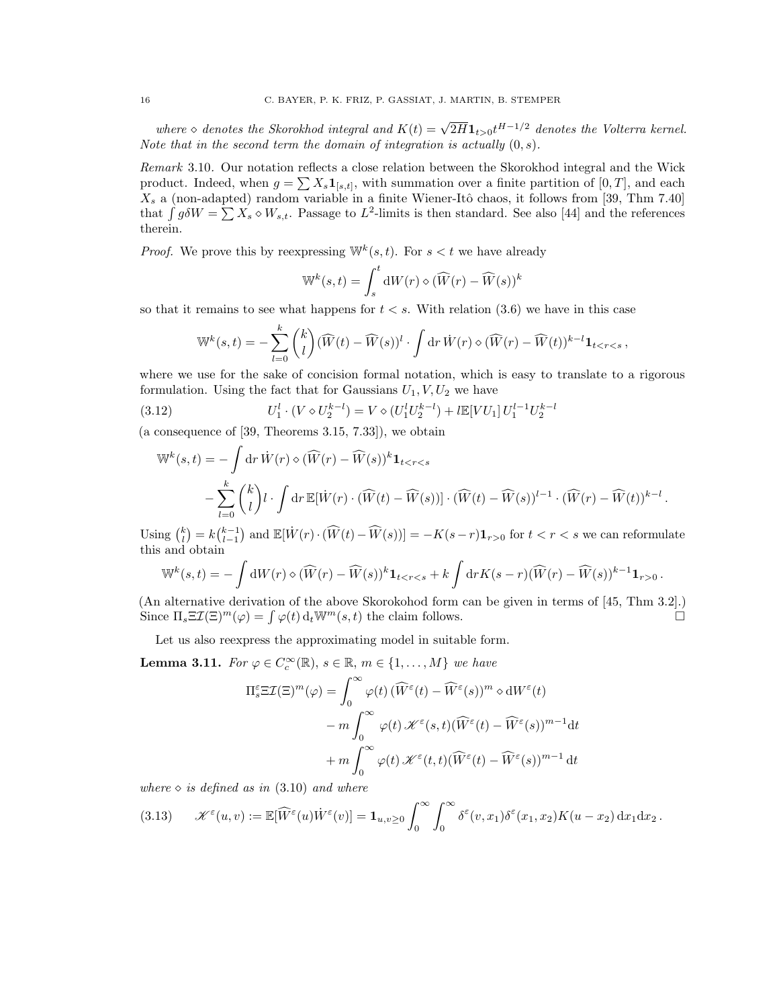where  $\diamond$  denotes the Skorokhod integral and  $K(t) = \sqrt{2H} \mathbf{1}_{t>0} t^{H-1/2}$  denotes the Volterra kernel. Note that in the second term the domain of integration is actually  $(0, s)$ .

Remark 3.10. Our notation reflects a close relation between the Skorokhod integral and the Wick product. Indeed, when  $g = \sum X_s \mathbf{1}_{[s,t]}$ , with summation over a finite partition of  $[0,T]$ , and each  $X_s$  a (non-adapted) random variable in a finite Wiener-Itô chaos, it follows from [\[39,](#page-43-11) Thm 7.40] that  $\int g \delta W = \sum X_s \diamond W_{s,t}$ . Passage to  $L^2$ -limits is then standard. See also [\[44\]](#page-43-12) and the references therein.

*Proof.* We prove this by reexpressing  $\mathbb{W}^k(s,t)$ . For  $s < t$  we have already

$$
\mathbb{W}^{k}(s,t) = \int_{s}^{t} dW(r) \diamond (\widehat{W}(r) - \widehat{W}(s))^{k}
$$

so that it remains to see what happens for  $t < s$ . With relation  $(3.6)$  we have in this case

<span id="page-15-1"></span>
$$
\mathbb{W}^k(s,t) = -\sum_{l=0}^k \binom{k}{l} (\widehat{W}(t) - \widehat{W}(s))^l \cdot \int \mathrm{d}r \, \dot{W}(r) \diamond (\widehat{W}(r) - \widehat{W}(t))^{k-l} \mathbf{1}_{t < r < s},
$$

where we use for the sake of concision formal notation, which is easy to translate to a rigorous formulation. Using the fact that for Gaussians  $U_1, V, U_2$  we have

(3.12) 
$$
U_1^l \cdot (V \diamond U_2^{k-l}) = V \diamond (U_1^l U_2^{k-l}) + l \mathbb{E}[V U_1] U_1^{l-1} U_2^{k-l}
$$

(a consequence of [\[39,](#page-43-11) Theorems 3.15, 7.33]), we obtain

$$
\mathbb{W}^{k}(s,t) = -\int \mathrm{d}r \, \dot{W}(r) \diamond (\widehat{W}(r) - \widehat{W}(s))^{k} \mathbf{1}_{t < r < s} \n- \sum_{l=0}^{k} {k \choose l} l \cdot \int \mathrm{d}r \, \mathbb{E}[\dot{W}(r) \cdot (\widehat{W}(t) - \widehat{W}(s))] \cdot (\widehat{W}(t) - \widehat{W}(s))^{l-1} \cdot (\widehat{W}(r) - \widehat{W}(t))^{k-l}.
$$

Using  $\binom{k}{l} = k\binom{k-1}{l-1}$  and  $\mathbb{E}[W(r) \cdot (\widehat{W}(t) - \widehat{W}(s))] = -K(s-r)\mathbf{1}_{r>0}$  for  $t < r < s$  we can reformulate this and obtain

$$
\mathbb{W}^k(s,t) = -\int \mathrm{d}W(r) \diamond (\widehat{W}(r) - \widehat{W}(s))^k \mathbf{1}_{t < r < s} + k \int \mathrm{d}r K(s-r) (\widehat{W}(r) - \widehat{W}(s))^{k-1} \mathbf{1}_{r > 0}.
$$

(An alternative derivation of the above Skorokohod form can be given in terms of [\[45,](#page-43-13) Thm 3.2].) Since  $\Pi_s \Xi \mathcal{I}(\Xi)^m(\varphi) = \int \varphi(t) d_t \mathbb{W}^m(s, t)$  the claim follows.

Let us also reexpress the approximating model in suitable form.

<span id="page-15-2"></span>**Lemma 3.11.** For  $\varphi \in C_c^{\infty}(\mathbb{R})$ ,  $s \in \mathbb{R}$ ,  $m \in \{1, ..., M\}$  we have

$$
\Pi_s^{\varepsilon} \Xi \mathcal{I}(\Xi)^m(\varphi) = \int_0^{\infty} \varphi(t) \left( \widehat{W}^{\varepsilon}(t) - \widehat{W}^{\varepsilon}(s) \right)^m \diamond dW^{\varepsilon}(t)
$$

$$
- m \int_0^{\infty} \varphi(t) \, \mathcal{K}^{\varepsilon}(s, t) \left( \widehat{W}^{\varepsilon}(t) - \widehat{W}^{\varepsilon}(s) \right)^{m-1} \mathrm{d}t
$$

$$
+ m \int_0^{\infty} \varphi(t) \, \mathcal{K}^{\varepsilon}(t, t) \left( \widehat{W}^{\varepsilon}(t) - \widehat{W}^{\varepsilon}(s) \right)^{m-1} \mathrm{d}t
$$

where  $\diamond$  is defined as in [\(3.10\)](#page-13-0) and where

<span id="page-15-0"></span>
$$
(3.13) \qquad \mathscr{K}^{\varepsilon}(u,v) := \mathbb{E}[\widehat{W}^{\varepsilon}(u)\dot{W}^{\varepsilon}(v)] = \mathbf{1}_{u,v\geq 0} \int_0^{\infty} \int_0^{\infty} \delta^{\varepsilon}(v,x_1)\delta^{\varepsilon}(x_1,x_2)K(u-x_2) \,dx_1dx_2.
$$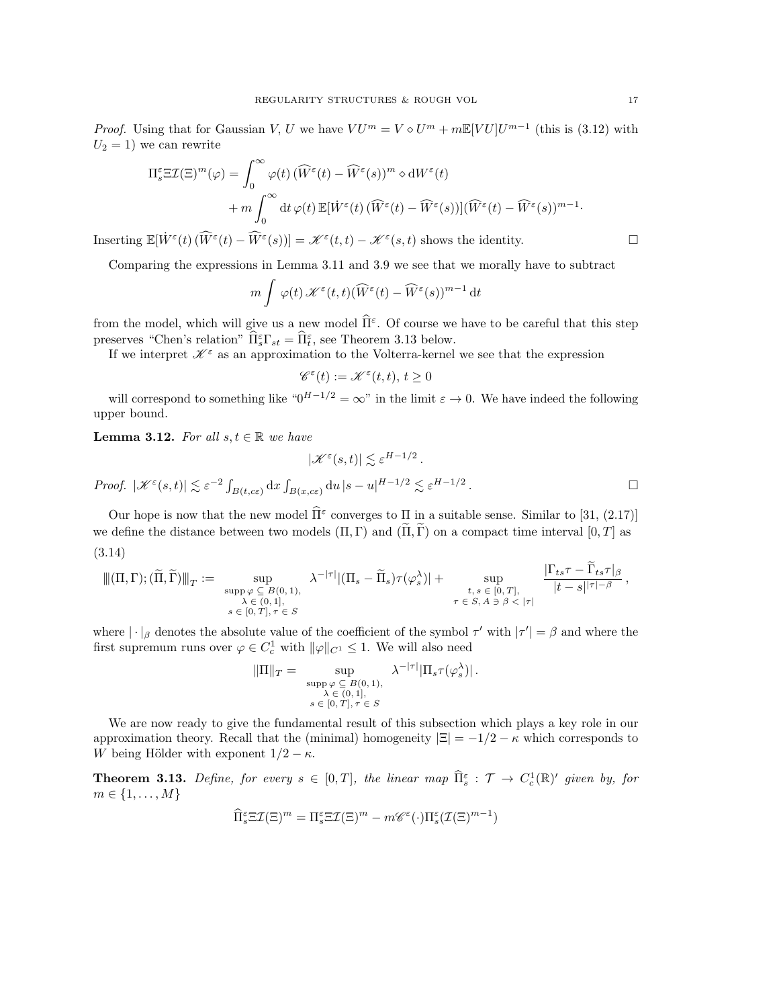*Proof.* Using that for Gaussian V, U we have  $VU^m = V \diamond U^m + m \mathbb{E}[VU]U^{m-1}$  (this is [\(3.12\)](#page-15-1) with  $U_2 = 1$ ) we can rewrite

$$
\Pi_s^{\varepsilon} \Xi \mathcal{I}(\Xi)^m(\varphi) = \int_0^{\infty} \varphi(t) \left( \widehat{W}^{\varepsilon}(t) - \widehat{W}^{\varepsilon}(s) \right)^m \diamond dW^{\varepsilon}(t) \n+ m \int_0^{\infty} dt \, \varphi(t) \, \mathbb{E}[\dot{W}^{\varepsilon}(t) \left( \widehat{W}^{\varepsilon}(t) - \widehat{W}^{\varepsilon}(s) \right)] (\widehat{W}^{\varepsilon}(t) - \widehat{W}^{\varepsilon}(s))^{m-1}.
$$

Inserting  $\mathbb{E}[\dot{W}^{\varepsilon}(t) (\widehat{W}^{\varepsilon}(t) - \widehat{W}^{\varepsilon}(s))] = \mathscr{K}^{\varepsilon}(t,t) - \mathscr{K}^{\varepsilon}(s,t)$  shows the identity.

Comparing the expressions in Lemma [3.11](#page-15-2) and [3.9](#page-14-2) we see that we morally have to subtract

$$
m \int \varphi(t) \, \mathscr{K}^{\varepsilon}(t,t) (\widehat{W}^{\varepsilon}(t) - \widehat{W}^{\varepsilon}(s))^{m-1} \, \mathrm{d}t
$$

from the model, which will give us a new model  $\widehat{\Pi}^{\varepsilon}$ . Of course we have to be careful that this step preserves "Chen's relation"  $\widehat{\Pi}_{s}^{\varepsilon} \Gamma_{st} = \widehat{\Pi}_{t}^{\varepsilon}$ , see Theorem [3.13](#page-16-0) below.

If we interpret  $\mathscr{K}^\varepsilon$  as an approximation to the Volterra-kernel we see that the expression

$$
\mathscr{C}^\varepsilon(t):=\mathscr{K}^\varepsilon(t,t),\,t\geq 0
$$

will correspond to something like " $0^{H-1/2} = \infty$ " in the limit  $\varepsilon \to 0$ . We have indeed the following upper bound.

<span id="page-16-1"></span>**Lemma 3.12.** For all  $s, t \in \mathbb{R}$  we have

$$
|\mathcal{K}^{\varepsilon}(s,t)| \lesssim \varepsilon^{H-1/2}.
$$
  
Proof.  $|\mathcal{K}^{\varepsilon}(s,t)| \lesssim \varepsilon^{-2} \int_{B(t,c\varepsilon)} dx \int_{B(x,c\varepsilon)} du |s-u|^{H-1/2} \lesssim \varepsilon^{H-1/2}.$ 

<span id="page-16-2"></span>Our hope is now that the new model  $\widehat{\Pi}^{\varepsilon}$  converges to  $\Pi$  in a suitable sense. Similar to [\[31,](#page-43-5) (2.17)] we define the distance between two models  $(\Pi, \Gamma)$  and  $(\Pi, \tilde{\Gamma})$  on a compact time interval  $[0, T]$  as (3.14)

$$
\|(\Pi,\Gamma);(\widetilde{\Pi},\widetilde{\Gamma})\|_{T} := \sup_{\substack{s \text{upp}\ \varphi \subseteq B(0,1),\\ \lambda \in (0,1],\\s \in [0,T],\tau \in S}} \lambda^{-|\tau|} |(\Pi_s - \widetilde{\Pi}_s)\tau(\varphi_s^{\lambda})| + \sup_{\substack{t,s \in [0,T],\\ \tau \in S, A \ni \beta < |\tau|}} \frac{|\Gamma_{ts}\tau - \Gamma_{ts}\tau|_{\beta}}{|t-s|^{|\tau|-\beta}},
$$

where  $|\cdot|_{\beta}$  denotes the absolute value of the coefficient of the symbol  $\tau'$  with  $|\tau'| = \beta$  and where the first supremum runs over  $\varphi \in C_c^1$  with  $\|\varphi\|_{C^1} \leq 1$ . We will also need

$$
\|\Pi\|_{T} = \sup_{\substack{\text{supp }\varphi \subseteq B(0, 1), \\ \lambda \in (0, 1], \\s \in [0, T], \tau \in S}} \lambda^{-|\tau|} |\Pi_{s} \tau(\varphi_{s}^{\lambda})|.
$$

We are now ready to give the fundamental result of this subsection which plays a key role in our approximation theory. Recall that the (minimal) homogeneity  $|\Xi| = -1/2 - \kappa$  which corresponds to W being Hölder with exponent  $1/2 - \kappa$ .

<span id="page-16-0"></span>**Theorem 3.13.** Define, for every  $s \in [0,T]$ , the linear map  $\widehat{\Pi}_{s}^{\varepsilon} : \mathcal{T} \to C_{c}^{1}(\mathbb{R})'$  given by, for  $m \in \{1, ..., M\}$ 

$$
\widehat{\Pi}_{s}^{\varepsilon} \Xi \mathcal{I}(\Xi)^{m} = \Pi_{s}^{\varepsilon} \Xi \mathcal{I}(\Xi)^{m} - m \mathscr{C}^{\varepsilon}(\cdot) \Pi_{s}^{\varepsilon} (\mathcal{I}(\Xi)^{m-1})
$$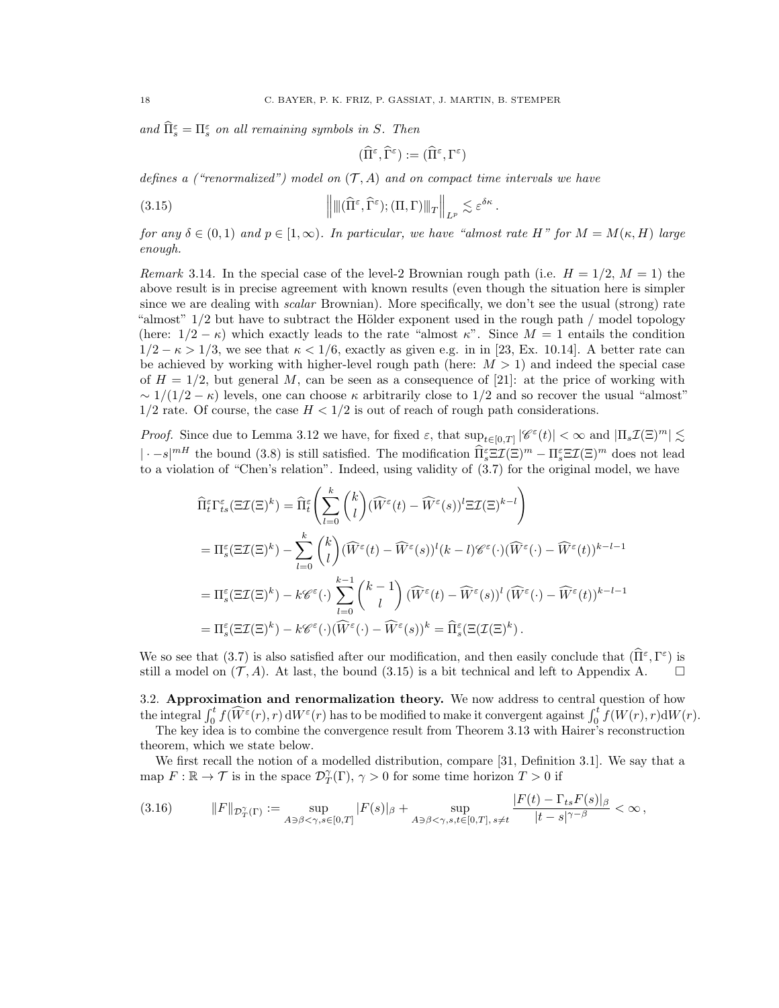and  $\widehat{\Pi}_{s}^{\varepsilon} = \Pi_{s}^{\varepsilon}$  on all remaining symbols in S. Then

$$
(\widehat{\Pi}^{\varepsilon},\widehat{\Gamma}^{\varepsilon}):=(\widehat{\Pi}^{\varepsilon},\Gamma^{\varepsilon})
$$

defines a ("renormalized") model on  $(\mathcal{T}, A)$  and on compact time intervals we have

<span id="page-17-1"></span>(3.15) 
$$
\left\|\left\(\widehat{\Pi}^{\varepsilon}, \widehat{\Gamma}^{\varepsilon}\right); (\Pi, \Gamma)\right\|_{T}\right\|_{L^{p}} \lesssim \varepsilon^{\delta \kappa}.
$$

for any  $\delta \in (0,1)$  and  $p \in [1,\infty)$ . In particular, we have "almost rate H" for  $M = M(\kappa, H)$  large enough.

Remark 3.14. In the special case of the level-2 Brownian rough path (i.e.  $H = 1/2$ ,  $M = 1$ ) the above result is in precise agreement with known results (even though the situation here is simpler since we are dealing with *scalar* Brownian). More specifically, we don't see the usual (strong) rate "almost"  $1/2$  but have to subtract the Hölder exponent used in the rough path / model topology (here:  $1/2 - \kappa$ ) which exactly leads to the rate "almost  $\kappa$ ". Since  $M = 1$  entails the condition  $1/2 - \kappa > 1/3$ , we see that  $\kappa < 1/6$ , exactly as given e.g. in in [\[23,](#page-42-11) Ex. 10.14]. A better rate can be achieved by working with higher-level rough path (here:  $M > 1$ ) and indeed the special case of  $H = 1/2$ , but general M, can be seen as a consequence of [\[21\]](#page-42-23): at the price of working with  $\sim 1/(1/2 - \kappa)$  levels, one can choose  $\kappa$  arbitrarily close to 1/2 and so recover the usual "almost"  $1/2$  rate. Of course, the case  $H < 1/2$  is out of reach of rough path considerations.

*Proof.* Since due to Lemma [3.12](#page-16-1) we have, for fixed  $\varepsilon$ , that  $\sup_{t\in[0,T]}|\mathscr{C}^{\varepsilon}(t)|<\infty$  and  $|\Pi_s\mathcal{I}(\Xi)^m|\lesssim$  $|\cdot - s|^{m}$  the bound [\(3.8\)](#page-12-1) is still satisfied. The modification  $\widehat{\Pi}_{s}^{\varepsilon} \mathbb{E} \mathcal{I}(\Xi)^{m} - \Pi_{s}^{\varepsilon} \mathbb{E} \mathcal{I}(\Xi)^{m}$  does not lead to a violation of "Chen's relation". Indeed, using validity of [\(3.7\)](#page-12-0) for the original model, we have

$$
\begin{split}\n\widehat{\Pi}_{t}^{\varepsilon} \Gamma_{ts}^{\varepsilon} (\Xi \mathcal{I}(\Xi)^{k}) &= \widehat{\Pi}_{t}^{\varepsilon} \left( \sum_{l=0}^{k} \binom{k}{l} (\widehat{W}^{\varepsilon}(t) - \widehat{W}^{\varepsilon}(s))^{l} \Xi \mathcal{I}(\Xi)^{k-l} \right) \\
&= \Pi_{s}^{\varepsilon} (\Xi \mathcal{I}(\Xi)^{k}) - \sum_{l=0}^{k} \binom{k}{l} (\widehat{W}^{\varepsilon}(t) - \widehat{W}^{\varepsilon}(s))^{l} (k-l) \mathscr{C}^{\varepsilon}(\cdot) (\widehat{W}^{\varepsilon}(\cdot) - \widehat{W}^{\varepsilon}(t))^{k-l-1} \\
&= \Pi_{s}^{\varepsilon} (\Xi \mathcal{I}(\Xi)^{k}) - k \mathscr{C}^{\varepsilon}(\cdot) \sum_{l=0}^{k-1} \binom{k-1}{l} (\widehat{W}^{\varepsilon}(t) - \widehat{W}^{\varepsilon}(s))^{l} (\widehat{W}^{\varepsilon}(\cdot) - \widehat{W}^{\varepsilon}(t))^{k-l-1} \\
&= \Pi_{s}^{\varepsilon} (\Xi \mathcal{I}(\Xi)^{k}) - k \mathscr{C}^{\varepsilon}(\cdot) (\widehat{W}^{\varepsilon}(\cdot) - \widehat{W}^{\varepsilon}(s))^{k} \\
&= \widehat{\Pi}_{s}^{\varepsilon} (\Xi (\Xi)^{k}).\n\end{split}
$$

We so see that  $(3.7)$  is also satisfied after our modification, and then easily conclude that  $(\hat{\Pi}^{\varepsilon}, \Gamma^{\varepsilon})$  is still a model on  $(\mathcal{T}, A)$ . At last, the bound [\(3.15\)](#page-17-1) is a bit technical and left to Appendix [A.](#page-36-0)  $\square$ 

<span id="page-17-0"></span>3.2. Approximation and renormalization theory. We now address to central question of how the integral  $\int_0^t f(\widehat{W}^\varepsilon(r), r) dW^\varepsilon(r)$  has to be modified to make it convergent against  $\int_0^t f(W(r), r) dW(r)$ .

The key idea is to combine the convergence result from Theorem [3.13](#page-16-0) with Hairer's reconstruction theorem, which we state below.

We first recall the notion of a modelled distribution, compare [\[31,](#page-43-5) Definition 3.1]. We say that a map  $F: \mathbb{R} \to \mathcal{T}$  is in the space  $\mathcal{D}^{\gamma}_T(\Gamma)$ ,  $\gamma > 0$  for some time horizon  $T > 0$  if

$$
(3.16) \t\t ||F||_{\mathcal{D}_T^{\gamma}(\Gamma)} := \sup_{A \ni \beta < \gamma, s \in [0,T]} |F(s)|_{\beta} + \sup_{A \ni \beta < \gamma, s, t \in [0,T], s \neq t} \frac{|F(t) - \Gamma_{ts} F(s)|_{\beta}}{|t - s|^{\gamma - \beta}} < \infty,
$$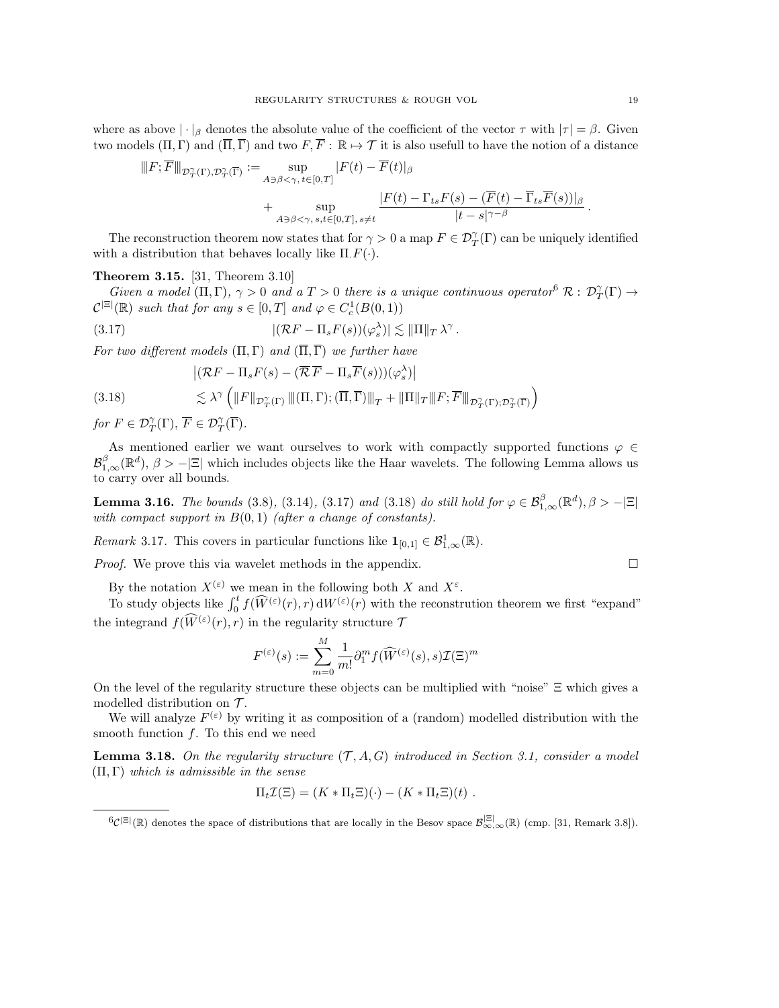where as above  $|\cdot|_{\beta}$  denotes the absolute value of the coefficient of the vector  $\tau$  with  $|\tau| = \beta$ . Given two models  $(\Pi, \Gamma)$  and  $(\overline{\Pi}, \overline{\Gamma})$  and two  $F, \overline{F} : \mathbb{R} \mapsto \mathcal{T}$  it is also usefull to have the notion of a distance

$$
||F; \overline{F}||_{\mathcal{D}^{\gamma}_{T}(\Gamma), \mathcal{D}^{\gamma}_{T}(\overline{\Gamma})} := \sup_{A \ni \beta < \gamma, t \in [0, T]} |F(t) - \overline{F}(t)|_{\beta} + \sup_{A \ni \beta < \gamma, s, t \in [0, T], s \neq t} \frac{|F(t) - \Gamma_{ts}F(s) - (\overline{F}(t) - \overline{\Gamma}_{ts}\overline{F}(s))|_{\beta}}{|t - s|^{\gamma - \beta}}.
$$

The reconstruction theorem now states that for  $\gamma > 0$  a map  $F \in \mathcal{D}^{\gamma}_T(\Gamma)$  can be uniquely identified with a distribution that behaves locally like  $\Pi$ .  $F(\cdot)$ .

### <span id="page-18-4"></span>Theorem 3.15. [\[31,](#page-43-5) Theorem 3.10]

Given a model  $(\Pi, \Gamma)$ ,  $\gamma > 0$  and a  $T > 0$  there is a unique continuous operator  $\mathcal{B} \colon \mathcal{D}^{\gamma}_T(\Gamma) \to$  $\mathcal{C}^{|\Xi|}(\mathbb{R})$  such that for any  $s \in [0,T]$  and  $\varphi \in C_c^1(B(0,1))$ 

(3.17) 
$$
|(\mathcal{R}F - \Pi_s F(s))(\varphi_s^{\lambda})| \lesssim ||\Pi||_T \lambda^{\gamma}.
$$

For two different models  $(\Pi, \Gamma)$  and  $(\overline{\Pi}, \overline{\Gamma})$  we further have

<span id="page-18-2"></span>
$$
\left|(\mathcal{R} F - \Pi_s F(s) - (\overline{\mathcal{R}} \, \overline{F} - \Pi_s \overline{F}(s)))(\varphi_s^{\lambda})\right|
$$

<span id="page-18-3"></span>
$$
(3.18)\qquad \qquad \lesssim \lambda^{\gamma}\left(\|F\|_{\mathcal{D}_{T}^{\gamma}(\Gamma)}\left\|(\Pi,\Gamma);(\overline{\Pi},\overline{\Gamma})\right\|_{T}+\|\Pi\|_{T}\|F;\overline{F}\|_{\mathcal{D}_{T}^{\gamma}(\Gamma);\mathcal{D}_{T}^{\gamma}(\overline{\Gamma})}\right)
$$

for  $F \in \mathcal{D}_T^{\gamma}(\Gamma)$ ,  $\overline{F} \in \mathcal{D}_T^{\gamma}(\overline{\Gamma})$ .

As mentioned earlier we want ourselves to work with compactly supported functions  $\varphi \in$  $\mathcal{B}^{\beta}_{1,\infty}(\mathbb{R}^d)$ ,  $\beta > -|\Xi|$  which includes objects like the Haar wavelets. The following Lemma allows us to carry over all bounds.

<span id="page-18-0"></span>**Lemma 3.16.** The bounds [\(3.8\)](#page-12-1), [\(3.14\)](#page-16-2), [\(3.17\)](#page-18-2) and [\(3.18\)](#page-18-3) do still hold for  $\varphi \in \mathcal{B}^{\beta}_{1,\infty}(\mathbb{R}^d)$ ,  $\beta > -\vert \Xi \vert$ with compact support in  $B(0,1)$  (after a change of constants).

*Remark* 3.17. This covers in particular functions like  $\mathbf{1}_{[0,1]} \in \mathcal{B}^1_{1,\infty}(\mathbb{R})$ .

*Proof.* We prove this via wavelet methods in the appendix.  $\square$ 

By the notation  $X^{(\varepsilon)}$  we mean in the following both X and  $X^{\varepsilon}$ .

To study objects like  $\int_0^t f(\widehat{W}^{(\varepsilon)}(r), r) dW^{(\varepsilon)}(r)$  with the reconstrution theorem we first "expand" the integrand  $f(\widetilde{W}^{(\varepsilon)}(r), r)$  in the regularity structure  $\mathcal{T}$ 

$$
F^{(\varepsilon)}(s) := \sum_{m=0}^{M} \frac{1}{m!} \partial_{1}^{m} f(\widehat{W}^{(\varepsilon)}(s), s) \mathcal{I}(\Xi)^{m}
$$

On the level of the regularity structure these objects can be multiplied with "noise" Ξ which gives a modelled distribution on  $\mathcal{T}$ .

We will analyze  $F^{(\varepsilon)}$  by writing it as composition of a (random) modelled distribution with the smooth function  $f$ . To this end we need

<span id="page-18-5"></span>**Lemma 3.18.** On the regularity structure  $(\mathcal{T}, A, G)$  introduced in Section [3.1,](#page-10-1) consider a model  $(\Pi, \Gamma)$  which is admissible in the sense

$$
\Pi_t \mathcal{I}(\Xi) = (K \ast \Pi_t \Xi)(\cdot) - (K \ast \Pi_t \Xi)(t) .
$$

<span id="page-18-1"></span> ${}^6\mathcal{C}^{|\Xi|}(\mathbb{R})$  denotes the space of distributions that are locally in the Besov space  $\mathcal{B}_{\infty,\infty}^{|\Xi|}(\mathbb{R})$  (cmp. [\[31,](#page-43-5) Remark 3.8]).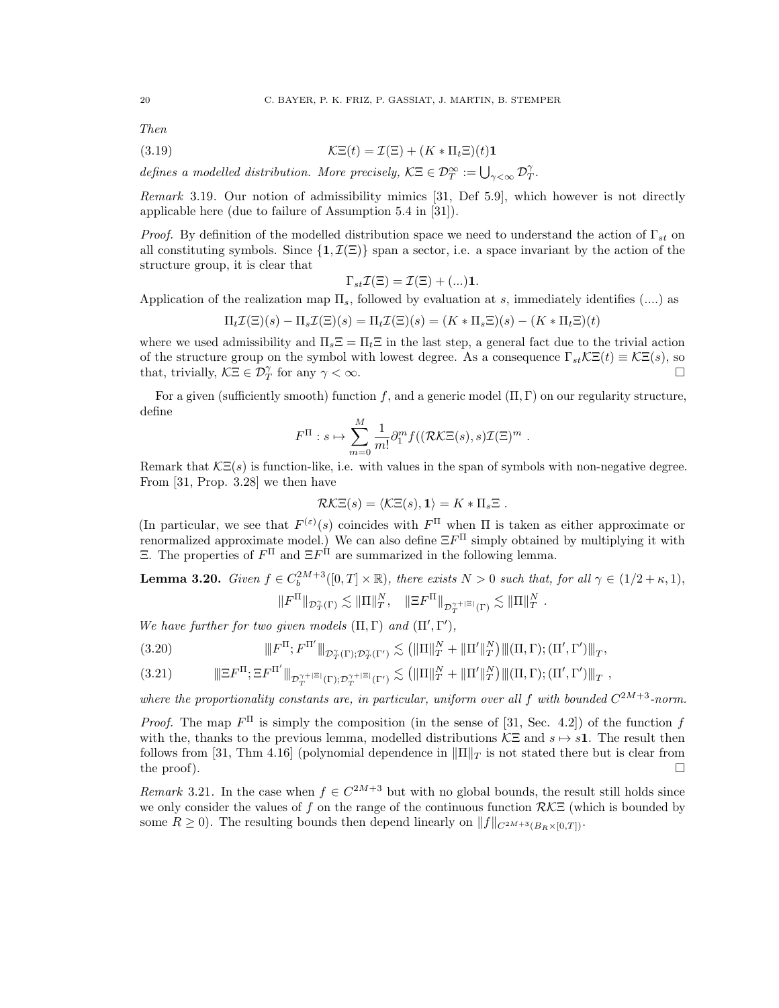Then

(3.19) 
$$
\mathcal{K}\Xi(t) = \mathcal{I}(\Xi) + (K \ast \Pi_t \Xi)(t)\mathbf{1}
$$

defines a modelled distribution. More precisely,  $\mathcal{K} \Xi \in \mathcal{D}_T^{\infty} := \bigcup_{\gamma < \infty} \mathcal{D}_T^{\gamma}$ .

Remark 3.19. Our notion of admissibility mimics [\[31,](#page-43-5) Def 5.9], which however is not directly applicable here (due to failure of Assumption 5.4 in [\[31\]](#page-43-5)).

*Proof.* By definition of the modelled distribution space we need to understand the action of  $\Gamma_{st}$  on all constituting symbols. Since  $\{1,\mathcal{I}(\Xi)\}\$  span a sector, i.e. a space invariant by the action of the structure group, it is clear that

$$
\Gamma_{st}\mathcal{I}(\Xi)=\mathcal{I}(\Xi)+(\ldots)\mathbf{1}.
$$

Application of the realization map  $\Pi_s$ , followed by evaluation at s, immediately identifies (....) as

$$
\Pi_t \mathcal{I}(\Xi)(s) - \Pi_s \mathcal{I}(\Xi)(s) = \Pi_t \mathcal{I}(\Xi)(s) = (K \ast \Pi_s \Xi)(s) - (K \ast \Pi_t \Xi)(t)
$$

where we used admissibility and  $\Pi_s \Xi = \Pi_t \Xi$  in the last step, a general fact due to the trivial action of the structure group on the symbol with lowest degree. As a consequence  $\Gamma_{st}\mathcal{K}\Xi(t)\equiv\mathcal{K}\Xi(s)$ , so that, trivially,  $\mathcal{K}\Xi \in \mathcal{D}_T^{\gamma}$  for any  $\gamma < \infty$ .

For a given (sufficiently smooth) function f, and a generic model  $(\Pi, \Gamma)$  on our regularity structure, define

$$
F^{\Pi}: s \mapsto \sum_{m=0}^{M} \frac{1}{m!} \partial_{1}^{m} f((\mathcal{R}\mathcal{K}\Xi(s), s)\mathcal{I}(\Xi)^{m} .
$$

Remark that  $\mathcal{K}\Xi(s)$  is function-like, i.e. with values in the span of symbols with non-negative degree. From [\[31,](#page-43-5) Prop. 3.28] we then have

$$
\mathcal{R}\mathcal{K}\Xi(s) = \langle \mathcal{K}\Xi(s), \mathbf{1} \rangle = K \ast \Pi_s \Xi .
$$

(In particular, we see that  $F^{(\varepsilon)}(s)$  coincides with  $F^{\Pi}$  when  $\Pi$  is taken as either approximate or renormalized approximate model.) We can also define  $\Xi F^{\Pi}$  simply obtained by multiplying it with  $\Xi$ . The properties of  $F<sup>Π</sup>$  and  $\Xi F<sup>Π</sup>$  are summarized in the following lemma.

<span id="page-19-0"></span>**Lemma 3.20.** Given  $f \in C_b^{2M+3}([0,T] \times \mathbb{R})$ , there exists  $N > 0$  such that, for all  $\gamma \in (1/2 + \kappa, 1)$ ,  $\|F^{\Pi}\|_{\mathcal{D}^{\gamma}_{T}(\Gamma)} \lesssim \|\Pi\|_{T}^{N}, \quad \|\Xi F^{\Pi}\|_{\mathcal{D}^{\gamma+|\Xi|}_{T}(\Gamma)} \lesssim \|\Pi\|_{T}^{N}$ .

We have further for two given models  $(\Pi, \Gamma)$  and  $(\Pi', \Gamma'),$ 

(3.20) 
$$
\|F^{\Pi}; F^{\Pi'}\|_{\mathcal{D}^{\gamma}_{T}(\Gamma); \mathcal{D}^{\gamma}_{T}(\Gamma')} \lesssim ( \|\Pi\|_{T}^{N} + \|\Pi'\|_{T}^{N}) \|( \Pi, \Gamma); (\Pi', \Gamma')\|_{T},
$$

|||ΞF <sup>Π</sup>; ΞF Π 0 |||D γ+|Ξ| (Γ);D γ+|Ξ| T (Γ0) T . kΠk N <sup>T</sup> + kΠ 0 k N T |||(Π, Γ); (Π<sup>0</sup> , Γ 0 )|||<sup>T</sup> (3.21) ,

where the proportionality constants are, in particular, uniform over all f with bounded  $C^{2M+3}$ -norm.

*Proof.* The map  $F^{\Pi}$  is simply the composition (in the sense of [\[31,](#page-43-5) Sec. 4.2]) of the function f with the, thanks to the previous lemma, modelled distributions  $\mathcal{K}\Xi$  and  $s \mapsto s1$ . The result then follows from [\[31,](#page-43-5) Thm 4.16] (polynomial dependence in  $\|\Pi\|_T$  is not stated there but is clear from the proof).  $\square$ 

<span id="page-19-1"></span>Remark 3.21. In the case when  $f \in C^{2M+3}$  but with no global bounds, the result still holds since we only consider the values of f on the range of the continuous function  $RKE$  (which is bounded by some  $R \geq 0$ . The resulting bounds then depend linearly on  $||f||_{C^{2M+3}(B_R\times[0,T])}$ .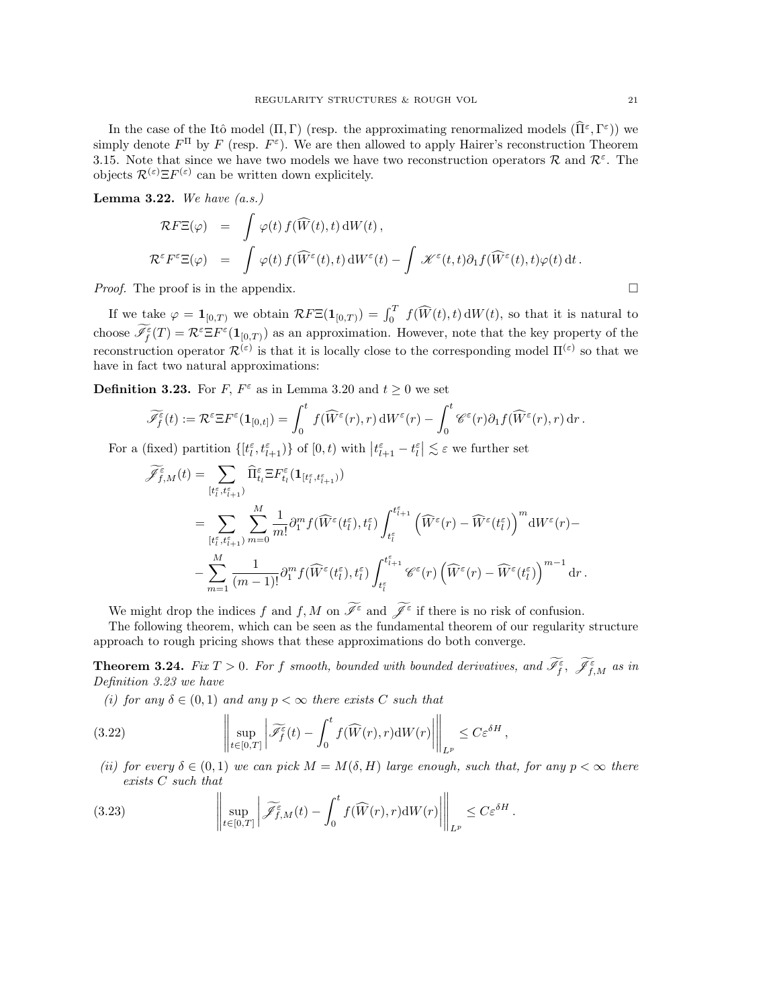In the case of the Itô model  $(\Pi, \Gamma)$  (resp. the approximating renormalized models  $(\widehat{\Pi}^{\varepsilon}, \Gamma^{\varepsilon})$ ) we simply denote  $F^{\Pi}$  by F (resp.  $F^{\varepsilon}$ ). We are then allowed to apply Hairer's reconstruction Theorem [3.15.](#page-18-4) Note that since we have two models we have two reconstruction operators  $\mathcal{R}$  and  $\mathcal{R}^{\varepsilon}$ . The objects  $\mathcal{R}^{(\varepsilon)} \Xi F^{(\varepsilon)}$  can be written down explicitely.

<span id="page-20-1"></span>**Lemma 3.22.** We have  $(a.s.)$ 

$$
\mathcal{R}F\Xi(\varphi) = \int \varphi(t) f(\widehat{W}(t), t) dW(t),
$$
  

$$
\mathcal{R}^{\varepsilon}F^{\varepsilon}\Xi(\varphi) = \int \varphi(t) f(\widehat{W}^{\varepsilon}(t), t) dW^{\varepsilon}(t) - \int \mathcal{K}^{\varepsilon}(t, t) \partial_{1} f(\widehat{W}^{\varepsilon}(t), t) \varphi(t) dt.
$$

*Proof.* The proof is in the appendix.  $\square$ 

If we take  $\varphi = \mathbf{1}_{[0,T)}$  we obtain  $\mathcal{R}F\Xi(\mathbf{1}_{[0,T)}) = \int_0^T f(\widehat{W}(t), t) dW(t)$ , so that it is natural to choose  $\mathscr{I}_{f}^{\varepsilon}(T) = \mathcal{R}^{\varepsilon} \Xi F^{\varepsilon}(\mathbf{1}_{[0,T)})$  as an approximation. However, note that the key property of the reconstruction operator  $\mathcal{R}^{(\varepsilon)}$  is that it is locally close to the corresponding model  $\Pi^{(\varepsilon)}$  so that we have in fact two natural approximations:

<span id="page-20-2"></span>**Definition 3.23.** For F,  $F^{\varepsilon}$  as in Lemma [3.20](#page-19-0) and  $t \ge 0$  we set

$$
\widetilde{\mathscr{I}_f^\varepsilon}(t) := \mathcal{R}^\varepsilon \Xi F^\varepsilon(\mathbf{1}_{[0,t]}) = \int_0^t f(\widehat{W}^\varepsilon(r), r) \, \mathrm{d}W^\varepsilon(r) - \int_0^t \mathscr{C}^\varepsilon(r) \partial_1 f(\widehat{W}^\varepsilon(r), r) \, \mathrm{d}r.
$$

For a (fixed) partition  $\{[t_l^{\varepsilon}, t_{l+1}^{\varepsilon})\}$  of  $[0, t)$  with  $|t_{l+1}^{\varepsilon} - t_l^{\varepsilon}| \lesssim \varepsilon$  we further set

$$
\widetilde{\mathcal{J}}_{f,M}^{\varepsilon}(t) = \sum_{\substack{\{t_{i}^{\varepsilon}, t_{i+1}^{\varepsilon}\} \\ \{t_{i}^{\varepsilon}, t_{i+1}^{\varepsilon}\}}} \widehat{\Pi}_{t_{l}}^{\varepsilon} \Xi F_{t_{l}}^{\varepsilon}(\mathbf{1}_{[t_{l}^{\varepsilon}, t_{l+1}^{\varepsilon})})
$$
\n
$$
= \sum_{\substack{\{t_{i}^{\varepsilon}, t_{i+1}^{\varepsilon}\} \\ \{t_{i}^{\varepsilon}, t_{i+1}^{\varepsilon}\}}} \sum_{m=0}^{M} \frac{1}{m!} \partial_{1}^{m} f(\widehat{W}^{\varepsilon}(t_{l}^{\varepsilon}), t_{l}^{\varepsilon}) \int_{t_{l}^{\varepsilon}}^{t_{l+1}^{\varepsilon}} \left(\widehat{W}^{\varepsilon}(r) - \widehat{W}^{\varepsilon}(t_{l}^{\varepsilon})\right)^{m} dW^{\varepsilon}(r) - \sum_{m=1}^{M} \frac{1}{(m-1)!} \partial_{1}^{m} f(\widehat{W}^{\varepsilon}(t_{l}^{\varepsilon}), t_{l}^{\varepsilon}) \int_{t_{l}^{\varepsilon}}^{t_{l+1}^{\varepsilon}} \mathscr{C}^{\varepsilon}(r) \left(\widehat{W}^{\varepsilon}(r) - \widehat{W}^{\varepsilon}(t_{l}^{\varepsilon})\right)^{m-1} dr.
$$

We might drop the indices f and f, M on  $\overline{\mathscr{I}}^{\varepsilon}$  and  $\overline{\mathscr{I}}^{\varepsilon}$  if there is no risk of confusion.

The following theorem, which can be seen as the fundamental theorem of our regularity structure approach to rough pricing shows that these approximations do both converge.

<span id="page-20-0"></span>**Theorem 3.24.** Fix  $T > 0$ . For f smooth, bounded with bounded derivatives, and  $\mathscr{I}_{f}^{\varepsilon}$ ,  $\mathscr{I}_{f,M}^{\varepsilon}$  as in Definition [3.23](#page-20-2) we have

<span id="page-20-3"></span>(i) for any  $\delta \in (0,1)$  and any  $p < \infty$  there exists C such that

(3.22) 
$$
\left\| \sup_{t \in [0,T]} \left| \widetilde{\mathscr{I}_f^{\varepsilon}}(t) - \int_0^t f(\widehat{W}(r),r) \mathrm{d}W(r) \right| \right\|_{L^p} \leq C \varepsilon^{\delta H},
$$

(ii) for every  $\delta \in (0,1)$  we can pick  $M = M(\delta, H)$  large enough, such that, for any  $p < \infty$  there exists C such that

(3.23) 
$$
\left\| \sup_{t \in [0,T]} \left| \widetilde{\mathscr{J}}_{f,M}^{\varepsilon}(t) - \int_0^t f(\widehat{W}(r),r) \mathrm{d}W(r) \right| \right\|_{L^p} \leq C \varepsilon^{\delta H}.
$$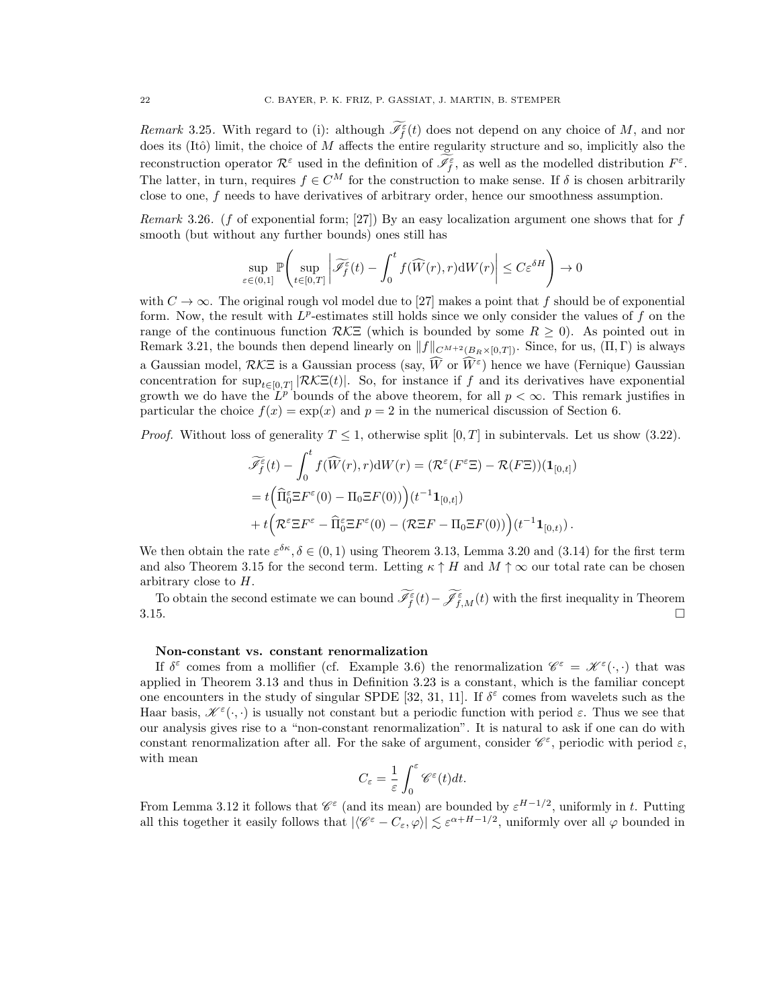Remark 3.25. With regard to (i): although  $\mathscr{I}_{f}^{\varepsilon}(t)$  does not depend on any choice of M, and nor does its (Itô) limit, the choice of  $M$  affects the entire regularity structure and so, implicitly also the reconstruction operator  $\mathcal{R}^{\varepsilon}$  used in the definition of  $\mathscr{I}_{f}^{\varepsilon}$ , as well as the modelled distribution  $F^{\varepsilon}$ . The latter, in turn, requires  $f \in C^M$  for the construction to make sense. If  $\delta$  is chosen arbitrarily close to one, f needs to have derivatives of arbitrary order, hence our smoothness assumption.

Remark 3.26. (f of exponential form; [\[27\]](#page-42-4)) By an easy localization argument one shows that for  $f$ smooth (but without any further bounds) ones still has

$$
\sup_{\varepsilon \in (0,1]} \mathbb{P}\left(\sup_{t \in [0,T]} \left| \widetilde{\mathscr{J}}_f^{\varepsilon}(t) - \int_0^t f(\widehat{W}(r), r) \mathrm{d}W(r) \right| \le C \varepsilon^{\delta H} \right) \to 0
$$

with  $C \to \infty$ . The original rough vol model due to [\[27\]](#page-42-4) makes a point that f should be of exponential form. Now, the result with  $L^p$ -estimates still holds since we only consider the values of f on the range of the continuous function  $R\mathcal{K}\Xi$  (which is bounded by some  $R \geq 0$ ). As pointed out in Remark [3.21,](#page-19-1) the bounds then depend linearly on  $||f||_{C^{M+2}(B_R\times [0,T])}$ . Since, for us,  $(\Pi, \Gamma)$  is always a Gaussian model,  $RK\Xi$  is a Gaussian process (say,  $\widehat{W}$  or  $\widehat{W}^{\varepsilon}$ ) hence we have (Fernique) Gaussian concentration for  $\sup_{t\in[0,T]}|\mathcal{R}\mathcal{K}\Xi(t)|$ . So, for instance if f and its derivatives have exponential growth we do have the  $L^{p}$  bounds of the above theorem, for all  $p < \infty$ . This remark justifies in particular the choice  $f(x) = \exp(x)$  and  $p = 2$  in the numerical discussion of Section [6.](#page-30-0)

*Proof.* Without loss of generality  $T \leq 1$ , otherwise split  $[0, T]$  in subintervals. Let us show [\(3.22\)](#page-20-3).

$$
\widetilde{\mathcal{I}}_f^{\epsilon}(t) - \int_0^t f(\widehat{W}(r), r) dW(r) = (\mathcal{R}^{\epsilon}(F^{\epsilon} \Xi) - \mathcal{R}(F\Xi))(1_{[0, t]})
$$
  
=  $t \Big( \widehat{\Pi}_0^{\epsilon} \Xi F^{\epsilon}(0) - \Pi_0 \Xi F(0) \Big) \Big( t^{-1} 1_{[0, t]} \Big)$   
+  $t \Big( \mathcal{R}^{\epsilon} \Xi F^{\epsilon} - \widehat{\Pi}_0^{\epsilon} \Xi F^{\epsilon}(0) - (\mathcal{R} \Xi F - \Pi_0 \Xi F(0)) \Big) (t^{-1} 1_{[0, t]}).$ 

We then obtain the rate  $\varepsilon^{\delta \kappa}$ ,  $\delta \in (0,1)$  using Theorem [3.13,](#page-16-0) Lemma [3.20](#page-19-0) and [\(3.14\)](#page-16-2) for the first term and also Theorem [3.15](#page-18-4) for the second term. Letting  $\kappa \uparrow H$  and  $M \uparrow \infty$  our total rate can be chosen arbitrary close to H.

To obtain the second estimate we can bound  $\mathscr{I}_{f}^{\varepsilon}(t) - \mathscr{J}_{f,M}^{\varepsilon}(t)$  with the first inequality in Theorem  $3.15.$ 

# Non-constant vs. constant renormalization

If  $\delta^{\varepsilon}$  comes from a mollifier (cf. Example [3.6\)](#page-13-1) the renormalization  $\mathscr{C}^{\varepsilon} = \mathscr{K}^{\varepsilon}(\cdot,\cdot)$  that was applied in Theorem [3.13](#page-16-0) and thus in Definition [3.23](#page-20-2) is a constant, which is the familiar concept one encounters in the study of singular SPDE [\[32,](#page-43-3) [31,](#page-43-5) [11\]](#page-42-12). If  $\delta^{\epsilon}$  comes from wavelets such as the Haar basis,  $\mathscr{K}^{\varepsilon}(\cdot,\cdot)$  is usually not constant but a periodic function with period  $\varepsilon$ . Thus we see that our analysis gives rise to a "non-constant renormalization". It is natural to ask if one can do with constant renormalization after all. For the sake of argument, consider  $\mathscr{C}^{\varepsilon}$ , periodic with period  $\varepsilon$ , with mean

$$
C_\varepsilon=\frac{1}{\varepsilon}\int_0^\varepsilon \mathscr{C}^\varepsilon(t)dt.
$$

From Lemma [3.12](#page-16-1) it follows that  $\mathscr{C}^{\varepsilon}$  (and its mean) are bounded by  $\varepsilon^{H-1/2}$ , uniformly in t. Putting all this together it easily follows that  $|\langle \mathscr{C}^{\varepsilon} - C_{\varepsilon}, \varphi \rangle| \lesssim \varepsilon^{\alpha+H-1/2}$ , uniformly over all  $\varphi$  bounded in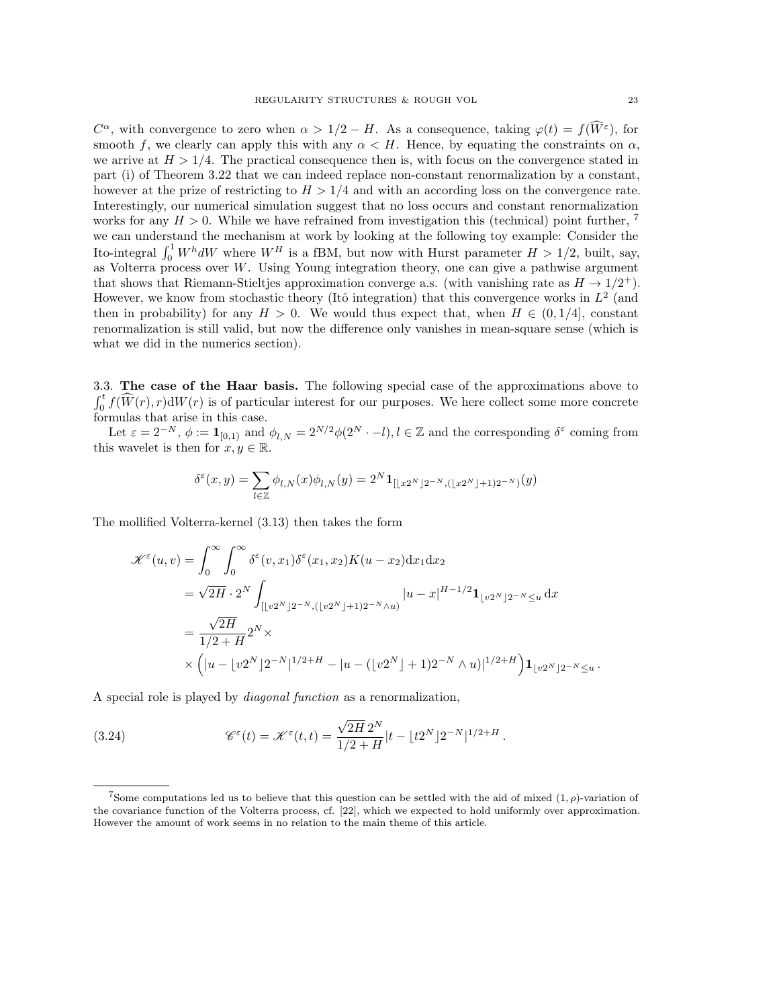$C^{\alpha}$ , with convergence to zero when  $\alpha > 1/2 - H$ . As a consequence, taking  $\varphi(t) = f(\widehat{W}^{\varepsilon})$ , for smooth f, we clearly can apply this with any  $\alpha < H$ . Hence, by equating the constraints on  $\alpha$ , we arrive at  $H > 1/4$ . The practical consequence then is, with focus on the convergence stated in part (i) of Theorem [3.22](#page-20-3) that we can indeed replace non-constant renormalization by a constant, however at the prize of restricting to  $H > 1/4$  and with an according loss on the convergence rate. Interestingly, our numerical simulation suggest that no loss occurs and constant renormalization works for any  $H > 0$ . While we have refrained from investigation this (technical) point further, we can understand the mechanism at work by looking at the following toy example: Consider the Ito-integral  $\int_0^1 W^h dW$  where  $W^H$  is a fBM, but now with Hurst parameter  $H > 1/2$ , built, say, as Volterra process over W. Using Young integration theory, one can give a pathwise argument that shows that Riemann-Stieltjes approximation converge a.s. (with vanishing rate as  $H \to 1/2^+$ ). However, we know from stochastic theory (Itô integration) that this convergence works in  $L^2$  (and then in probability) for any  $H > 0$ . We would thus expect that, when  $H \in (0, 1/4]$ , constant renormalization is still valid, but now the difference only vanishes in mean-square sense (which is what we did in the numerics section).

<span id="page-22-0"></span>3.3. The case of the Haar basis. The following special case of the approximations above to  $\int_0^t f(\widehat{W}(r), r)dW(r)$  is of particular interest for our purposes. We here collect some more concrete formulas that arise in this case.

Let  $\varepsilon = 2^{-N}$ ,  $\phi := \mathbf{1}_{[0,1)}$  and  $\phi_{l,N} = 2^{N/2}\phi(2^N \cdot -l), l \in \mathbb{Z}$  and the corresponding  $\delta^{\varepsilon}$  coming from this wavelet is then for  $x, y \in \mathbb{R}$ .

$$
\delta^{\varepsilon}(x,y)=\sum_{l\in\mathbb{Z}}\phi_{l,N}(x)\phi_{l,N}(y)=2^{N}\mathbf{1}_{[\lfloor x2^{N}\rfloor 2^{-N},(\lfloor x2^{N}\rfloor +1)2^{-N})}(y)
$$

The mollified Volterra-kernel [\(3.13\)](#page-15-0) then takes the form

$$
\mathcal{K}^{\varepsilon}(u,v) = \int_{0}^{\infty} \int_{0}^{\infty} \delta^{\varepsilon}(v,x_{1}) \delta^{\varepsilon}(x_{1},x_{2}) K(u-x_{2}) dx_{1} dx_{2}
$$
  
\n
$$
= \sqrt{2H} \cdot 2^{N} \int_{[[v2^{N}]2^{-N},([v2^{N}]+1)2^{-N}\wedge u]} |u-x|^{H-1/2} \mathbf{1}_{[v2^{N}]2^{-N} \leq u} dx
$$
  
\n
$$
= \frac{\sqrt{2H}}{1/2+H} 2^{N} \times
$$
  
\n
$$
\times (|u - [v2^{N}]2^{-N}|^{1/2+H} - |u - ([v2^{N}] + 1)2^{-N} \wedge u)|^{1/2+H} \mathbf{1}_{[v2^{N}]2^{-N} \leq u}.
$$

A special role is played by diagonal function as a renormalization,

(3.24) 
$$
\mathscr{C}^{\varepsilon}(t) = \mathscr{K}^{\varepsilon}(t,t) = \frac{\sqrt{2H} 2^N}{1/2 + H} |t - \lfloor t2^N \rfloor 2^{-N} |^{1/2 + H}.
$$

<span id="page-22-1"></span><sup>&</sup>lt;sup>7</sup>Some computations led us to believe that this question can be settled with the aid of mixed  $(1, \rho)$ -variation of the covariance function of the Volterra process, cf. [\[22\]](#page-42-24), which we expected to hold uniformly over approximation. However the amount of work seems in no relation to the main theme of this article.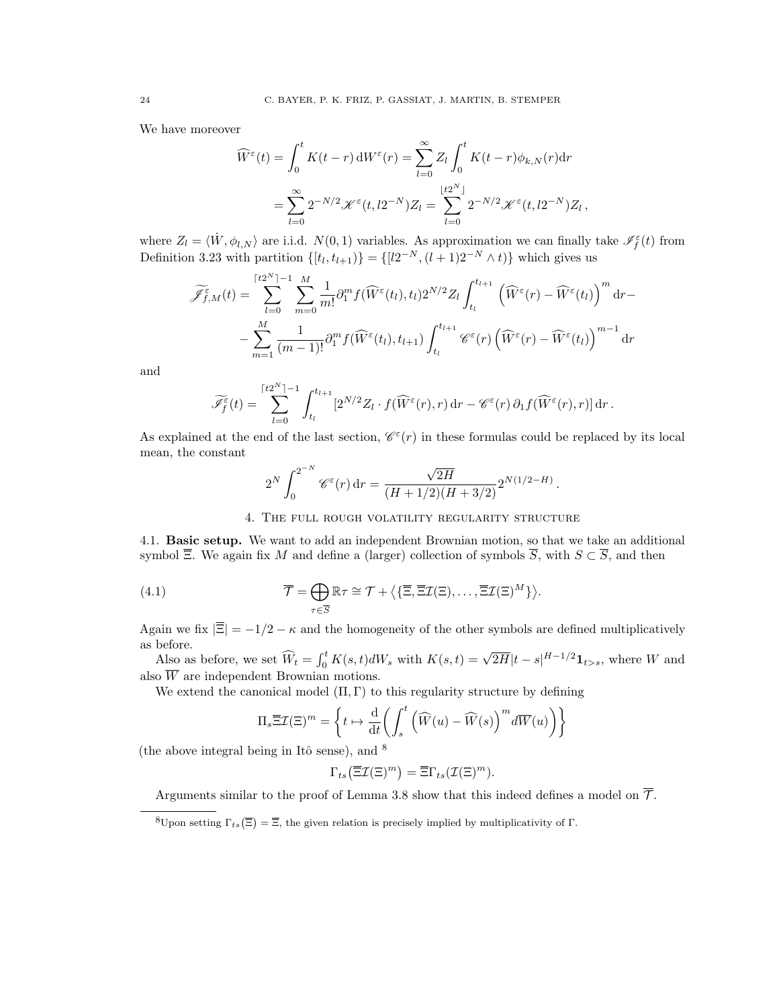We have moreover

$$
\widehat{W}^{\varepsilon}(t) = \int_0^t K(t-r) dW^{\varepsilon}(r) = \sum_{l=0}^{\infty} Z_l \int_0^t K(t-r) \phi_{k,N}(r) dr
$$

$$
= \sum_{l=0}^{\infty} 2^{-N/2} \mathscr{K}^{\varepsilon}(t, l2^{-N}) Z_l = \sum_{l=0}^{\lfloor t2^N \rfloor} 2^{-N/2} \mathscr{K}^{\varepsilon}(t, l2^{-N}) Z_l
$$

,

.

where  $Z_l = \langle \dot{W}, \phi_{l,N} \rangle$  are i.i.d.  $N(0, 1)$  variables. As approximation we can finally take  $\mathscr{I}_f^{\varepsilon}(t)$  from Definition [3.23](#page-20-2) with partition  $\{[t_l, t_{l+1})\} = \{[l2^{-N}, (l+1)2^{-N} \wedge t)\}\$  which gives us

$$
\widetilde{\mathscr{J}}_{f,M}^{\varepsilon}(t) = \sum_{l=0}^{\lceil t2^{N} \rceil - 1} \sum_{m=0}^{M} \frac{1}{m!} \partial_{1}^{m} f(\widehat{W}^{\varepsilon}(t_{l}), t_{l}) 2^{N/2} Z_{l} \int_{t_{l}}^{t_{l+1}} \left(\widehat{W}^{\varepsilon}(r) - \widehat{W}^{\varepsilon}(t_{l})\right)^{m} dr - \sum_{m=1}^{M} \frac{1}{(m-1)!} \partial_{1}^{m} f(\widehat{W}^{\varepsilon}(t_{l}), t_{l+1}) \int_{t_{l}}^{t_{l+1}} \mathscr{C}^{\varepsilon}(r) \left(\widehat{W}^{\varepsilon}(r) - \widehat{W}^{\varepsilon}(t_{l})\right)^{m-1} dr
$$

and

$$
\widetilde{\mathscr{I}_f^{\varepsilon}}(t) = \sum_{l=0}^{\lceil t2^N \rceil - 1} \int_{t_l}^{t_{l+1}} [2^{N/2} Z_l \cdot f(\widehat{W}^{\varepsilon}(r), r) \, dr - \mathscr{C}^{\varepsilon}(r) \, \partial_1 f(\widehat{W}^{\varepsilon}(r), r)] \, dr \, .
$$

As explained at the end of the last section,  $\mathcal{C}^{\varepsilon}(r)$  in these formulas could be replaced by its local mean, the constant

$$
2^N \int_0^{2^{-N}} \mathscr{C}^\varepsilon(r) \, \mathrm{d} r = \frac{\sqrt{2H}}{(H+1/2)(H+3/2)} 2^{N(1/2-H)}
$$

## 4. The full rough volatility regularity structure

<span id="page-23-1"></span><span id="page-23-0"></span>4.1. Basic setup. We want to add an independent Brownian motion, so that we take an additional symbol  $\overline{\Xi}$ . We again fix M and define a (larger) collection of symbols  $\overline{S}$ , with  $S \subset \overline{S}$ , and then

(4.1) 
$$
\overline{\mathcal{T}} = \bigoplus_{\tau \in \overline{S}} \mathbb{R}\tau \cong \mathcal{T} + \left\langle \left\{ \overline{\Xi}, \overline{\Xi}\mathcal{I}(\Xi), \ldots, \overline{\Xi}\mathcal{I}(\Xi)^M \right\} \right\rangle.
$$

Again we fix  $|\overline{\Xi}| = -1/2 - \kappa$  and the homogeneity of the other symbols are defined multiplicatively as before.

before.<br>Also as before, we set  $\widehat{W}_t = \int_0^t K(s, t) dW_s$  with  $K(s, t) = \sqrt{2H}|t - s|^{H-1/2} \mathbf{1}_{t>s}$ , where W and also  $\overline{W}$  are independent Brownian motions.

We extend the canonical model  $(\Pi, \Gamma)$  to this regularity structure by defining

$$
\Pi_s \overline{\Xi} \mathcal{I}(\Xi)^m = \left\{ t \mapsto \frac{\mathrm{d}}{\mathrm{d}t} \left( \int_s^t \left( \widehat{W}(u) - \widehat{W}(s) \right)^m d\overline{W}(u) \right) \right\}
$$

(the above integral being in Itô sense), and  $\delta$ 

$$
\Gamma_{ts}(\overline{\Xi}\mathcal{I}(\Xi)^m) = \overline{\Xi}\Gamma_{ts}(\mathcal{I}(\Xi)^m).
$$

Arguments similar to the proof of Lemma [3.8](#page-14-3) show that this indeed defines a model on  $\overline{\mathcal{T}}$ .

<span id="page-23-2"></span><sup>&</sup>lt;sup>8</sup>Upon setting  $\Gamma_{ts}(\Xi) = \overline{\Xi}$ , the given relation is precisely implied by multiplicativity of Γ.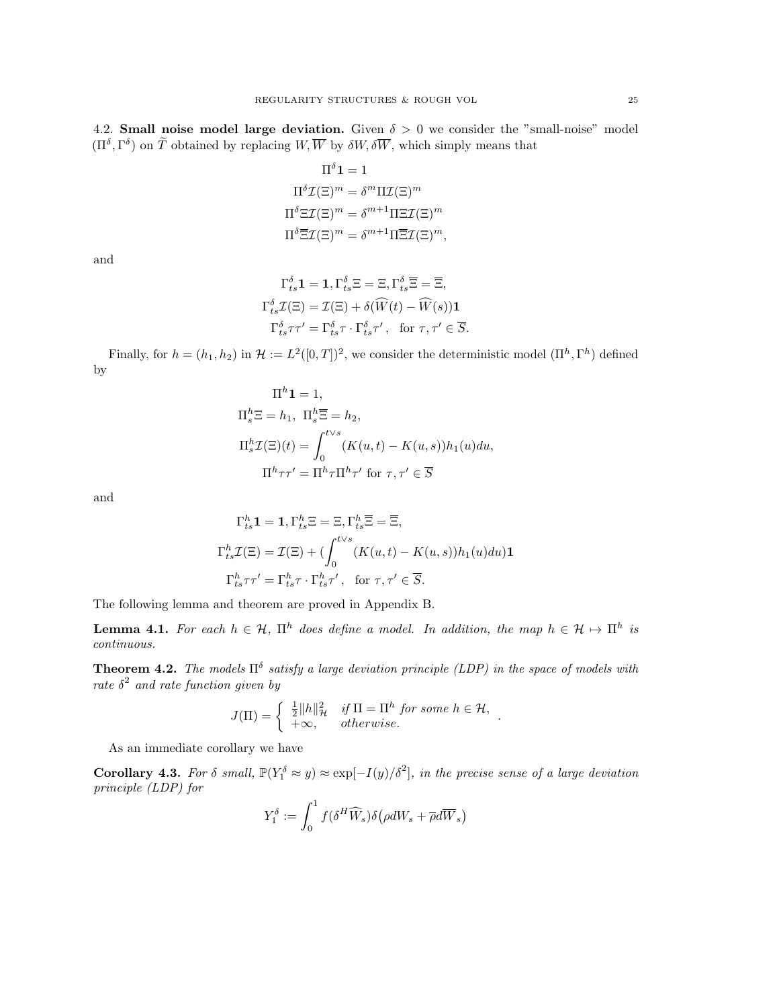<span id="page-24-0"></span>4.2. Small noise model large deviation. Given  $\delta > 0$  we consider the "small-noise" model  $(\Pi^{\delta}, \Gamma^{\delta})$  on  $\widetilde{T}$  obtained by replacing  $W, \overline{W}$  by  $\delta W, \delta \overline{W}$ , which simply means that

$$
\Pi^{\delta} \mathbf{1} = 1
$$

$$
\Pi^{\delta} \mathcal{I}(\Xi)^m = \delta^m \Pi \mathcal{I}(\Xi)^m
$$

$$
\Pi^{\delta} \Xi \mathcal{I}(\Xi)^m = \delta^{m+1} \Pi \Xi \mathcal{I}(\Xi)^m
$$

$$
\Pi^{\delta} \overline{\Xi} \mathcal{I}(\Xi)^m = \delta^{m+1} \Pi \overline{\Xi} \mathcal{I}(\Xi)^m,
$$

and

$$
\Gamma_{ts}^{\delta} \mathbf{1} = \mathbf{1}, \Gamma_{ts}^{\delta} \Xi = \Xi, \Gamma_{ts}^{\delta} \overline{\Xi} = \overline{\Xi},
$$
  

$$
\Gamma_{ts}^{\delta} \mathcal{I}(\Xi) = \mathcal{I}(\Xi) + \delta(\widehat{W}(t) - \widehat{W}(s)) \mathbf{1}
$$
  

$$
\Gamma_{ts}^{\delta} \tau \tau' = \Gamma_{ts}^{\delta} \tau \cdot \Gamma_{ts}^{\delta} \tau', \text{ for } \tau, \tau' \in \overline{S}.
$$

Finally, for  $h = (h_1, h_2)$  in  $\mathcal{H} := L^2([0, T])^2$ , we consider the deterministic model  $(\Pi^h, \Gamma^h)$  defined by

$$
\Pi^h \mathbf{1} = 1,
$$
  
\n
$$
\Pi_s^h \Xi = h_1, \ \Pi_s^h \overline{\Xi} = h_2,
$$
  
\n
$$
\Pi_s^h \mathcal{I}(\Xi)(t) = \int_0^{t \vee s} (K(u, t) - K(u, s)) h_1(u) du,
$$
  
\n
$$
\Pi^h \tau \tau' = \Pi^h \tau \Pi^h \tau' \text{ for } \tau, \tau' \in \overline{S}
$$

and

$$
\Gamma_{ts}^h \mathbf{1} = \mathbf{1}, \Gamma_{ts}^h \Xi = \Xi, \Gamma_{ts}^h \overline{\Xi} = \overline{\Xi},
$$
  

$$
\Gamma_{ts}^h \mathcal{I}(\Xi) = \mathcal{I}(\Xi) + \left(\int_0^{t \vee s} (K(u, t) - K(u, s)) h_1(u) du\right) \mathbf{1}
$$
  

$$
\Gamma_{ts}^h \tau \tau' = \Gamma_{ts}^h \tau \cdot \Gamma_{ts}^h \tau', \text{ for } \tau, \tau' \in \overline{S}.
$$

The following lemma and theorem are proved in Appendix [B.](#page-39-0)

<span id="page-24-3"></span>**Lemma 4.1.** For each  $h \in \mathcal{H}$ ,  $\Pi^h$  does define a model. In addition, the map  $h \in \mathcal{H} \mapsto \Pi^h$  is continuous.

<span id="page-24-1"></span>**Theorem 4.2.** The models  $\Pi^{\delta}$  satisfy a large deviation principle (LDP) in the space of models with rate  $\delta^2$  and rate function given by

$$
J(\Pi) = \begin{cases} \frac{1}{2} ||h||_{\mathcal{H}}^2 & \text{if } \Pi = \Pi^h \text{ for some } h \in \mathcal{H}, \\ +\infty, & \text{otherwise.} \end{cases}
$$

As an immediate corollary we have

<span id="page-24-2"></span>**Corollary 4.3.** For  $\delta$  small,  $\mathbb{P}(Y_1^{\delta} \approx y) \approx \exp[-I(y)/\delta^2]$ , in the precise sense of a large deviation principle (LDP) for

$$
Y_1^{\delta} := \int_0^1 f(\delta^H \widehat{W}_s) \delta \big(\rho dW_s + \overline{\rho} d\overline{W}_s \big)
$$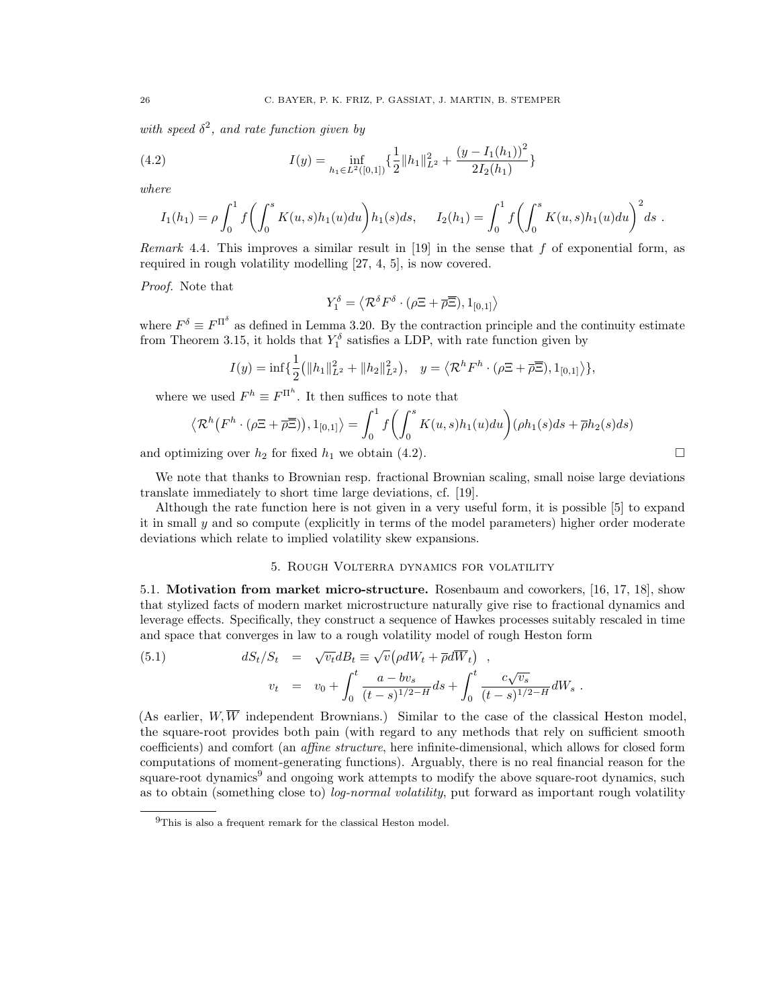with speed  $\delta^2$ , and rate function given by

(4.2) 
$$
I(y) = \inf_{h_1 \in L^2([0,1])} \left\{ \frac{1}{2} ||h_1||_{L^2}^2 + \frac{(y - I_1(h_1))^2}{2I_2(h_1)} \right\}
$$

where

<span id="page-25-3"></span>
$$
I_1(h_1) = \rho \int_0^1 f\left(\int_0^s K(u,s)h_1(u)du\right)h_1(s)ds, \quad I_2(h_1) = \int_0^1 f\left(\int_0^s K(u,s)h_1(u)du\right)^2ds.
$$

Remark 4.4. This improves a similar result in [\[19\]](#page-42-6) in the sense that f of exponential form, as required in rough volatility modelling [\[27,](#page-42-4) [4,](#page-42-5) [5\]](#page-42-20), is now covered.

Proof. Note that

$$
Y_1^{\delta} = \langle \mathcal{R}^{\delta} F^{\delta} \cdot (\rho \Xi + \overline{\rho} \overline{\Xi}), 1_{[0,1]} \rangle
$$

where  $F^{\delta} \equiv F^{\Pi^{\delta}}$  as defined in Lemma [3.20.](#page-19-0) By the contraction principle and the continuity estimate from Theorem [3.15,](#page-18-4) it holds that  $Y_1^{\delta}$  satisfies a LDP, with rate function given by

$$
I(y) = \inf \{ \frac{1}{2} (||h_1||_{L^2}^2 + ||h_2||_{L^2}^2), \quad y = \langle \mathcal{R}^h F^h \cdot (\rho \Xi + \overline{\rho} \overline{\Xi}), 1_{[0,1]} \rangle \},
$$

where we used  $F^h \equiv F^{\Pi^h}$ . It then suffices to note that

$$
\langle \mathcal{R}^{h}(F^{h} \cdot (\rho \Xi + \overline{\rho} \overline{\Xi})), 1_{[0,1]} \rangle = \int_{0}^{1} f\left(\int_{0}^{s} K(u,s)h_{1}(u)du\right) (\rho h_{1}(s)ds + \overline{\rho}h_{2}(s)ds)
$$

and optimizing over  $h_2$  for fixed  $h_1$  we obtain [\(4.2\)](#page-25-3).

We note that thanks to Brownian resp. fractional Brownian scaling, small noise large deviations translate immediately to short time large deviations, cf. [\[19\]](#page-42-6).

Although the rate function here is not given in a very useful form, it is possible [\[5\]](#page-42-20) to expand it in small y and so compute (explicitly in terms of the model parameters) higher order moderate deviations which relate to implied volatility skew expansions.

## <span id="page-25-2"></span>5. Rough Volterra dynamics for volatility

<span id="page-25-1"></span><span id="page-25-0"></span>5.1. Motivation from market micro-structure. Rosenbaum and coworkers, [\[16,](#page-42-7) [17,](#page-42-8) [18\]](#page-42-9), show that stylized facts of modern market microstructure naturally give rise to fractional dynamics and leverage effects. Specifically, they construct a sequence of Hawkes processes suitably rescaled in time and space that converges in law to a rough volatility model of rough Heston form

(5.1) 
$$
dS_t/S_t = \sqrt{v_t}dB_t \equiv \sqrt{v}(\rho dW_t + \overline{\rho}d\overline{W}_t),
$$

$$
v_t = v_0 + \int_0^t \frac{a - bv_s}{(t - s)^{1/2 - H}} ds + \int_0^t \frac{c\sqrt{v_s}}{(t - s)^{1/2 - H}} dW_s.
$$

(As earlier,  $W, \overline{W}$  independent Brownians.) Similar to the case of the classical Heston model, the square-root provides both pain (with regard to any methods that rely on sufficient smooth coefficients) and comfort (an affine structure, here infinite-dimensional, which allows for closed form computations of moment-generating functions). Arguably, there is no real financial reason for the square-root dynamics<sup>[9](#page-25-4)</sup> and ongoing work attempts to modify the above square-root dynamics, such as to obtain (something close to) *log-normal volatility*, put forward as important rough volatility

<span id="page-25-4"></span><sup>&</sup>lt;sup>9</sup>This is also a frequent remark for the classical Heston model.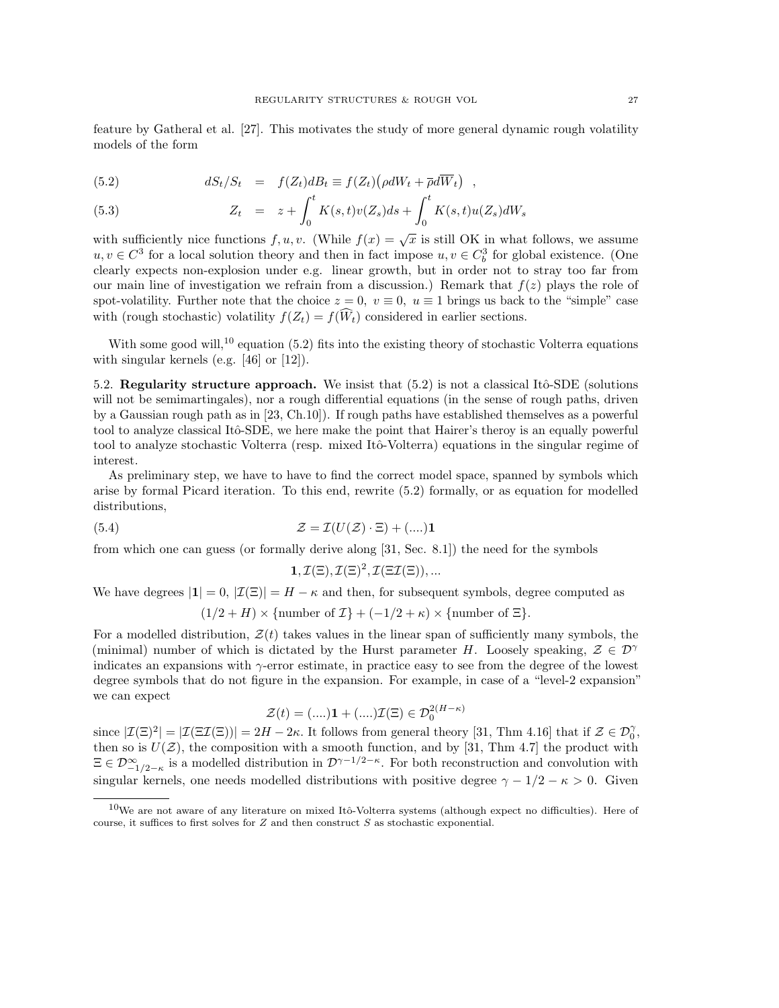feature by Gatheral et al. [\[27\]](#page-42-4). This motivates the study of more general dynamic rough volatility models of the form

<span id="page-26-2"></span>(5.2) 
$$
dS_t/S_t = f(Z_t)dB_t \equiv f(Z_t)(\rho dW_t + \overline{\rho} d\overline{W}_t) ,
$$

(5.3) 
$$
Z_t = z + \int_0^t K(s,t)v(Z_s)ds + \int_0^t K(s,t)u(Z_s)dW_s
$$

with sufficiently nice functions  $f, u, v$ . (While  $f(x) = \sqrt{x}$  is still OK in what follows, we assume  $u, v \in C^3$  for a local solution theory and then in fact impose  $u, v \in C_b^3$  for global existence. (One clearly expects non-explosion under e.g. linear growth, but in order not to stray too far from our main line of investigation we refrain from a discussion.) Remark that  $f(z)$  plays the role of spot-volatility. Further note that the choice  $z = 0$ ,  $v \equiv 0$ ,  $u \equiv 1$  brings us back to the "simple" case with (rough stochastic) volatility  $f(Z_t) = f(\widehat{W}_t)$  considered in earlier sections.

With some good will,<sup>[10](#page-26-1)</sup> equation [\(5.2\)](#page-26-2) fits into the existing theory of stochastic Volterra equations with singular kernels (e.g. [\[46\]](#page-43-14) or [\[12\]](#page-42-25)).

<span id="page-26-0"></span>5.2. Regularity structure approach. We insist that  $(5.2)$  is not a classical Itô-SDE (solutions will not be semimartingales), nor a rough differential equations (in the sense of rough paths, driven by a Gaussian rough path as in [\[23,](#page-42-11) Ch.10]). If rough paths have established themselves as a powerful tool to analyze classical Itô-SDE, we here make the point that Hairer's theroy is an equally powerful tool to analyze stochastic Volterra (resp. mixed Itô-Volterra) equations in the singular regime of interest.

As preliminary step, we have to have to find the correct model space, spanned by symbols which arise by formal Picard iteration. To this end, rewrite [\(5.2\)](#page-26-2) formally, or as equation for modelled distributions,

(5.4) 
$$
\mathcal{Z} = \mathcal{I}(U(\mathcal{Z}) \cdot \Xi) + (\dots) \mathbf{1}
$$

from which one can guess (or formally derive along [\[31,](#page-43-5) Sec. 8.1]) the need for the symbols

$$
1, \mathcal{I}(\Xi), \mathcal{I}(\Xi)^2, \mathcal{I}(\Xi \mathcal{I}(\Xi)), \dots
$$

We have degrees  $|1| = 0$ ,  $|\mathcal{I}(\Xi)| = H - \kappa$  and then, for subsequent symbols, degree computed as

$$
(1/2 + H) \times \{\text{number of } \mathcal{I}\} + (-1/2 + \kappa) \times \{\text{number of } \Xi\}.
$$

For a modelled distribution,  $\mathcal{Z}(t)$  takes values in the linear span of sufficiently many symbols, the (minimal) number of which is dictated by the Hurst parameter H. Loosely speaking,  $\mathcal{Z} \in \mathcal{D}^{\gamma}$ indicates an expansions with  $\gamma$ -error estimate, in practice easy to see from the degree of the lowest degree symbols that do not figure in the expansion. For example, in case of a "level-2 expansion" we can expect

$$
\mathcal{Z}(t) = (....)\mathbf{1} + (....)\mathcal{I}(\Xi) \in \mathcal{D}_0^{2(H-\kappa)}
$$

since  $|\mathcal{I}(\Xi)^2| = |\mathcal{I}(\Xi\mathcal{I}(\Xi))| = 2H - 2\kappa$ . It follows from general theory [\[31,](#page-43-5) Thm 4.16] that if  $\mathcal{Z} \in \mathcal{D}_0^{\gamma}$ , then so is  $U(\mathcal{Z})$ , the composition with a smooth function, and by [\[31,](#page-43-5) Thm 4.7] the product with  $\Xi \in \mathcal{D}^{\infty}_{-1/2-\kappa}$  is a modelled distribution in  $\mathcal{D}^{\gamma-1/2-\kappa}$ . For both reconstruction and convolution with singular kernels, one needs modelled distributions with positive degree  $\gamma - 1/2 - \kappa > 0$ . Given

<span id="page-26-1"></span><sup>&</sup>lt;sup>10</sup>We are not aware of any literature on mixed Itô-Volterra systems (although expect no difficulties). Here of course, it suffices to first solves for  $Z$  and then construct  $S$  as stochastic exponential.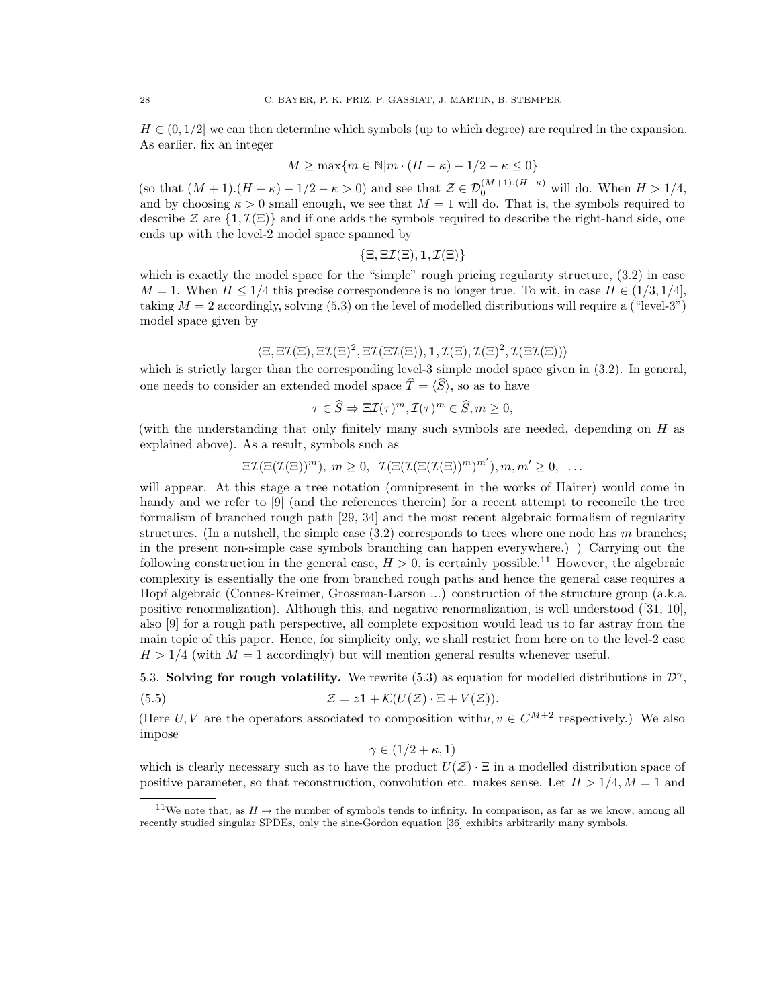$H \in (0, 1/2]$  we can then determine which symbols (up to which degree) are required in the expansion. As earlier, fix an integer

$$
M \ge \max\{m \in \mathbb{N} | m \cdot (H - \kappa) - 1/2 - \kappa \le 0\}
$$

(so that  $(M + 1)(H - \kappa) - 1/2 - \kappa > 0$ ) and see that  $\mathcal{Z} \in \mathcal{D}_0^{(M+1)(H-\kappa)}$  will do. When  $H > 1/4$ , and by choosing  $\kappa > 0$  small enough, we see that  $M = 1$  will do. That is, the symbols required to describe Z are  $\{1,\mathcal{I}(\Xi)\}\$  and if one adds the symbols required to describe the right-hand side, one ends up with the level-2 model space spanned by

$$
\{\Xi,\Xi\mathcal{I}(\Xi),\mathbf{1},\mathcal{I}(\Xi)\}
$$

which is exactly the model space for the "simple" rough pricing regularity structure, [\(3.2\)](#page-10-3) in case  $M = 1$ . When  $H \leq 1/4$  this precise correspondence is no longer true. To wit, in case  $H \in (1/3, 1/4]$ , taking  $M = 2$  accordingly, solving [\(5.3\)](#page-26-2) on the level of modelled distributions will require a ("level-3") model space given by

$$
\langle \Xi, \Xi \mathcal{I}(\Xi), \Xi \mathcal{I}(\Xi)^2, \Xi \mathcal{I}(\Xi \mathcal{I}(\Xi)), \mathbf{1}, \mathcal{I}(\Xi), \mathcal{I}(\Xi)^2, \mathcal{I}(\Xi \mathcal{I}(\Xi)) \rangle
$$

which is strictly larger than the corresponding level-3 simple model space given in  $(3.2)$ . In general, one needs to consider an extended model space  $\hat{T} = \langle \hat{S} \rangle$ , so as to have

$$
\tau \in \widehat{S} \Rightarrow \Xi \mathcal{I}(\tau)^m, \mathcal{I}(\tau)^m \in \widehat{S}, m \ge 0,
$$

(with the understanding that only finitely many such symbols are needed, depending on H as explained above). As a result, symbols such as

$$
\Xi \mathcal{I}(\Xi(\mathcal{I}(\Xi))^m), m \ge 0, \ \mathcal{I}(\Xi(\mathcal{I}(\Xi(\mathcal{I}(\Xi))^m)^{m'}), m, m' \ge 0, \ \ldots)
$$

will appear. At this stage a tree notation (omnipresent in the works of Hairer) would come in handy and we refer to [\[9\]](#page-42-26) (and the references therein) for a recent attempt to reconcile the tree formalism of branched rough path [\[29,](#page-43-15) [34\]](#page-43-16) and the most recent algebraic formalism of regularity structures. (In a nutshell, the simple case  $(3.2)$  corresponds to trees where one node has m branches; in the present non-simple case symbols branching can happen everywhere.) ) Carrying out the following construction in the general case,  $H > 0$ , is certainly possible.<sup>[11](#page-27-1)</sup> However, the algebraic complexity is essentially the one from branched rough paths and hence the general case requires a Hopf algebraic (Connes-Kreimer, Grossman-Larson ...) construction of the structure group (a.k.a. positive renormalization). Although this, and negative renormalization, is well understood ([\[31,](#page-43-5) [10\]](#page-42-27), also [\[9\]](#page-42-26) for a rough path perspective, all complete exposition would lead us to far astray from the main topic of this paper. Hence, for simplicity only, we shall restrict from here on to the level-2 case  $H > 1/4$  (with  $M = 1$  accordingly) but will mention general results whenever useful.

<span id="page-27-0"></span>5.3. Solving for rough volatility. We rewrite [\(5.3\)](#page-26-2) as equation for modelled distributions in  $\mathcal{D}^{\gamma}$ , (5.5)  $\mathcal{Z} = z\mathbf{1} + \mathcal{K}(U(\mathcal{Z}) \cdot \Xi + V(\mathcal{Z})).$ 

(Here U, V are the operators associated to composition with  $u, v \in C^{M+2}$  respectively.) We also impose

<span id="page-27-2"></span>
$$
\gamma \in (1/2 + \kappa, 1)
$$

which is clearly necessary such as to have the product  $U(\mathcal{Z}) \cdot \Xi$  in a modelled distribution space of positive parameter, so that reconstruction, convolution etc. makes sense. Let  $H > 1/4, M = 1$  and

<span id="page-27-1"></span><sup>&</sup>lt;sup>11</sup>We note that, as  $H \to$  the number of symbols tends to infinity. In comparison, as far as we know, among all recently studied singular SPDEs, only the sine-Gordon equation [\[36\]](#page-43-17) exhibits arbitrarily many symbols.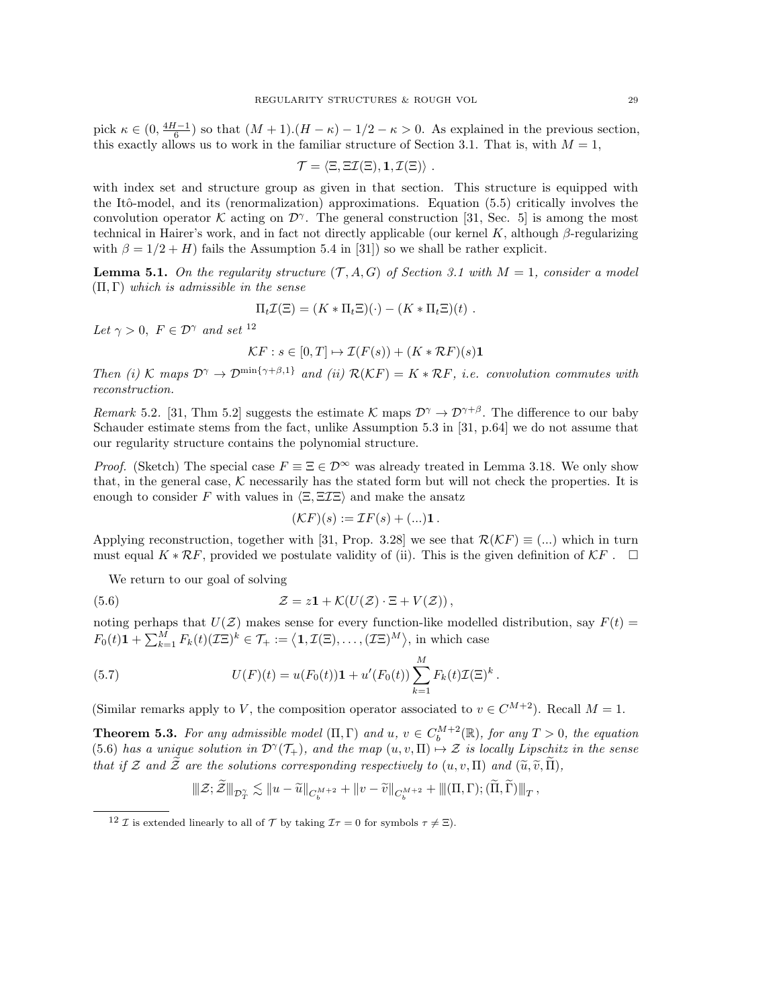pick  $\kappa \in (0, \frac{4H-1}{6})$  so that  $(M+1)(H-\kappa) - 1/2 - \kappa > 0$ . As explained in the previous section, this exactly allows us to work in the familiar structure of Section [3.1.](#page-10-1) That is, with  $M = 1$ ,

$$
\mathcal{T} = \langle \Xi, \Xi \mathcal{I}(\Xi), \mathbf{1}, \mathcal{I}(\Xi) \rangle \; .
$$

with index set and structure group as given in that section. This structure is equipped with the Itô-model, and its (renormalization) approximations. Equation [\(5.5\)](#page-27-2) critically involves the convolution operator K acting on  $\mathcal{D}^{\gamma}$ . The general construction [\[31,](#page-43-5) Sec. 5] is among the most technical in Hairer's work, and in fact not directly applicable (our kernel K, although  $\beta$ -regularizing with  $\beta = 1/2 + H$ ) fails the Assumption 5.4 in [\[31\]](#page-43-5)) so we shall be rather explicit.

<span id="page-28-4"></span>**Lemma 5.1.** On the regularity structure  $(T, A, G)$  of Section [3.1](#page-10-1) with  $M = 1$ , consider a model  $(\Pi, \Gamma)$  which is admissible in the sense

$$
\Pi_t \mathcal{I}(\Xi) = (K \ast \Pi_t \Xi)(\cdot) - (K \ast \Pi_t \Xi)(t) .
$$

Let  $\gamma > 0$ ,  $F \in \mathcal{D}^{\gamma}$  and set  $^{12}$  $^{12}$  $^{12}$ 

$$
\mathcal{K}F : s \in [0, T] \mapsto \mathcal{I}(F(s)) + (K \ast \mathcal{R}F)(s)\mathbf{1}
$$

Then (i) K maps  $\mathcal{D}^{\gamma} \to \mathcal{D}^{\min\{\gamma+\beta,1\}}$  and (ii)  $\mathcal{R}(\mathcal{K}F) = K \times RF$ , i.e. convolution commutes with reconstruction.

Remark 5.2. [\[31,](#page-43-5) Thm 5.2] suggests the estimate K maps  $\mathcal{D}^{\gamma} \to \mathcal{D}^{\gamma+\beta}$ . The difference to our baby Schauder estimate stems from the fact, unlike Assumption 5.3 in [\[31,](#page-43-5) p.64] we do not assume that our regularity structure contains the polynomial structure.

*Proof.* (Sketch) The special case  $F \equiv \Xi \in \mathcal{D}^{\infty}$  was already treated in Lemma [3.18.](#page-18-5) We only show that, in the general case,  $K$  necessarily has the stated form but will not check the properties. It is enough to consider F with values in  $\langle \Xi, \Xi \Sigma \Xi \rangle$  and make the ansatz

<span id="page-28-1"></span>
$$
(\mathcal{K}F)(s) := \mathcal{I}F(s) + (\ldots)\mathbf{1}.
$$

Applying reconstruction, together with [\[31,](#page-43-5) Prop. 3.28] we see that  $\mathcal{R}(\mathcal{K}F) \equiv (...)$  which in turn must equal  $K \times \mathcal{R}F$ , provided we postulate validity of (ii). This is the given definition of  $\mathcal{K}F$ .  $\Box$ 

We return to our goal of solving

(5.6) 
$$
\mathcal{Z} = z\mathbf{1} + \mathcal{K}(U(\mathcal{Z}) \cdot \Xi + V(\mathcal{Z})),
$$

noting perhaps that  $U(\mathcal{Z})$  makes sense for every function-like modelled distribution, say  $F(t)$  =  $F_0(t)\mathbf{1} + \sum_{k=1}^M F_k(t)(\mathcal{I}\Xi)^k \in \mathcal{T}_+ := \langle \mathbf{1}, \mathcal{I}(\Xi), \dots, (\mathcal{I}\Xi)^M \rangle$ , in which case

(5.7) 
$$
U(F)(t) = u(F_0(t))\mathbf{1} + u'(F_0(t))\sum_{k=1}^M F_k(t)\mathcal{I}(\Xi)^k.
$$

(Similar remarks apply to V, the composition operator associated to  $v \in C^{M+2}$ ). Recall  $M = 1$ .

<span id="page-28-2"></span>**Theorem 5.3.** For any admissible model  $(\Pi, \Gamma)$  and  $u, v \in C_b^{M+2}(\mathbb{R})$ , for any  $T > 0$ , the equation [\(5.6\)](#page-28-1) has a unique solution in  $\mathcal{D}^{\gamma}(\mathcal{T}_{+})$ , and the map  $(u, v, \Pi) \rightarrow \mathcal{Z}$  is locally Lipschitz in the sense that if Z and  $\widetilde{\mathcal{Z}}$  are the solutions corresponding respectively to  $(u, v, \Pi)$  and  $(\widetilde{u}, \widetilde{v}, \widetilde{\Pi})$ ,

<span id="page-28-3"></span>
$$
\|\mathcal{Z};\widetilde{\mathcal{Z}}\|_{\mathcal{D}_T^{\gamma}}\lesssim\|u-\widetilde{u}\|_{C_b^{M+2}}+\|v-\widetilde{v}\|_{C_b^{M+2}}+\|(\Pi,\Gamma);(\widetilde{\Pi},\widetilde{\Gamma})\|_T,
$$

<span id="page-28-0"></span><sup>&</sup>lt;sup>12</sup> *I* is extended linearly to all of  $\mathcal{T}$  by taking  $\mathcal{I}\tau = 0$  for symbols  $\tau \neq \Xi$ ).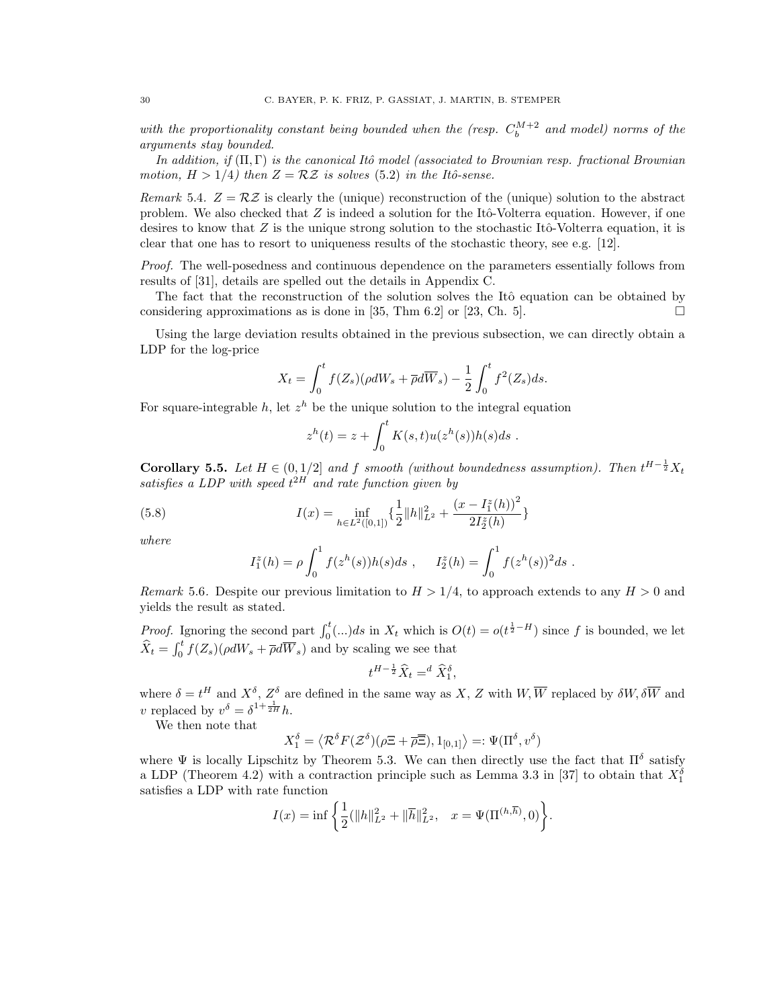with the proportionality constant being bounded when the (resp.  $C_b^{M+2}$  and model) norms of the arguments stay bounded.

In addition, if  $(\Pi, \Gamma)$  is the canonical Itô model (associated to Brownian resp. fractional Brownian motion,  $H > 1/4$ ) then  $Z = \mathcal{R}Z$  is solves [\(5.2\)](#page-26-2) in the Itô-sense.

Remark 5.4.  $Z = \mathcal{R}Z$  is clearly the (unique) reconstruction of the (unique) solution to the abstract problem. We also checked that  $Z$  is indeed a solution for the Itô-Volterra equation. However, if one desires to know that Z is the unique strong solution to the stochastic Itô-Volterra equation, it is clear that one has to resort to uniqueness results of the stochastic theory, see e.g. [\[12\]](#page-42-25).

Proof. The well-posedness and continuous dependence on the parameters essentially follows from results of [\[31\]](#page-43-5), details are spelled out the details in Appendix [C.](#page-41-0)

The fact that the reconstruction of the solution solves the Itô equation can be obtained by considering approximations as is done in [\[35,](#page-43-4) Thm 6.2] or [\[23,](#page-42-11) Ch. 5].

Using the large deviation results obtained in the previous subsection, we can directly obtain a LDP for the log-price

$$
X_t = \int_0^t f(Z_s)(\rho dW_s + \overline{\rho} d\overline{W}_s) - \frac{1}{2} \int_0^t f^2(Z_s) ds.
$$

For square-integrable h, let  $z^h$  be the unique solution to the integral equation

$$
zh(t) = z + \int_0^t K(s,t)u(zh(s))h(s)ds.
$$

**Corollary 5.5.** Let  $H \in (0, 1/2]$  and f smooth (without boundedness assumption). Then  $t^{H-\frac{1}{2}}X_t$ satisfies a LDP with speed  $t^{2H}$  and rate function given by

(5.8) 
$$
I(x) = \inf_{h \in L^2([0,1])} \left\{ \frac{1}{2} ||h||_{L^2}^2 + \frac{(x - I_1^z(h))^2}{2I_2^z(h)} \right\}
$$

where

$$
I_1^z(h) = \rho \int_0^1 f(z^h(s))h(s)ds , \quad I_2^z(h) = \int_0^1 f(z^h(s))^2 ds .
$$

Remark 5.6. Despite our previous limitation to  $H > 1/4$ , to approach extends to any  $H > 0$  and yields the result as stated.

*Proof.* Ignoring the second part  $\int_0^t (\ldots) ds$  in  $X_t$  which is  $O(t) = o(t^{\frac{1}{2}-H})$  since f is bounded, we let  $\widehat{X}_t = \int_0^t f(Z_s) (\rho dW_s + \overline{\rho} d\overline{W}_s)$  and by scaling we see that

$$
t^{H-\frac{1}{2}}\widehat{X}_t =^d \widehat{X}_1^{\delta},
$$

where  $\delta = t^H$  and  $X^{\delta}$ ,  $Z^{\delta}$  are defined in the same way as X, Z with  $W$ ,  $\overline{W}$  replaced by  $\delta W$ ,  $\delta \overline{W}$  and v replaced by  $v^{\delta} = \delta^{1 + \frac{1}{2H}} h$ .

We then note that

$$
X_1^\delta = \left\langle \mathcal{R}^\delta F(\mathcal{Z}^\delta)(\rho \Xi + \overline{\rho} \overline{\Xi}), 1_{[0,1]} \right\rangle =: \Psi(\Pi^\delta,v^\delta)
$$

where  $\Psi$  is locally Lipschitz by Theorem [5.3.](#page-28-2) We can then directly use the fact that  $\Pi^{\delta}$  satisfy a LDP (Theorem [4.2\)](#page-24-1) with a contraction principle such as Lemma 3.3 in [\[37\]](#page-43-18) to obtain that  $X_1^{\delta}$ satisfies a LDP with rate function

$$
I(x) = \inf \left\{ \frac{1}{2} (\|h\|_{L^2}^2 + \|\overline{h}\|_{L^2}^2, \quad x = \Psi(\Pi^{(h,\overline{h})}, 0) \right\}.
$$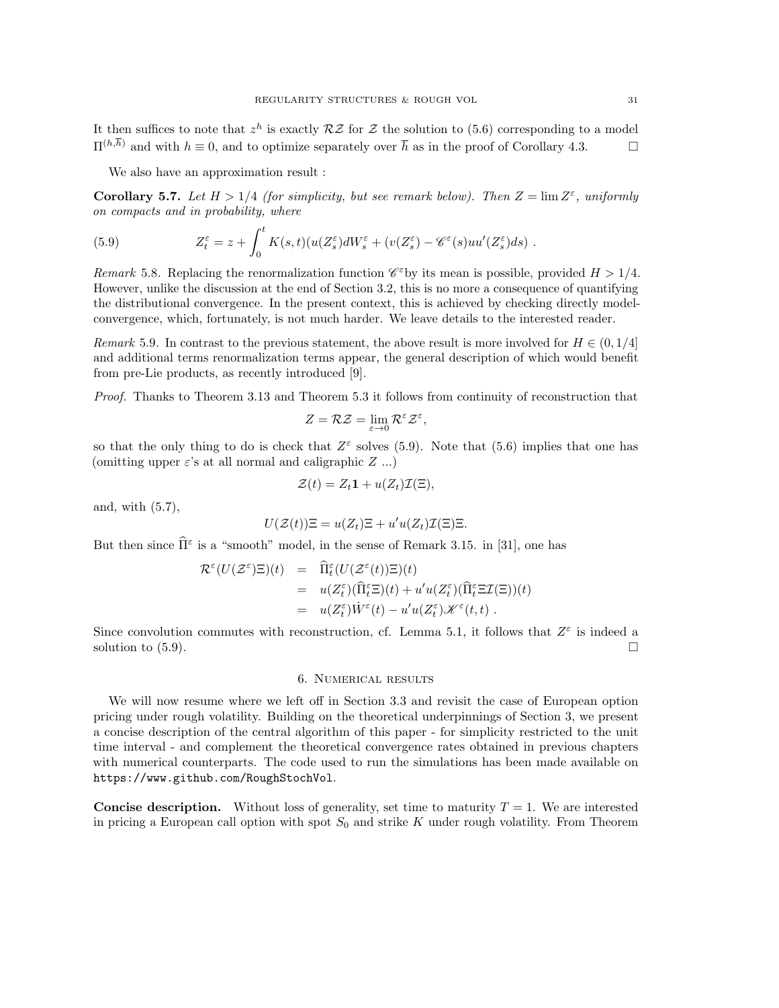It then suffices to note that  $z^h$  is exactly  $\mathcal{R}\mathcal{Z}$  for  $\mathcal Z$  the solution to [\(5.6\)](#page-28-1) corresponding to a model  $\Pi^{(h,\overline{h})}$  and with  $h \equiv 0$ , and to optimize separately over  $\overline{h}$  as in the proof of Corollary [4.3.](#page-24-2)

We also have an approximation result :

**Corollary 5.7.** Let  $H > 1/4$  (for simplicity, but see remark below). Then  $Z = \lim Z^{\epsilon}$ , uniformly on compacts and in probability, where

<span id="page-30-1"></span>(5.9) 
$$
Z_t^{\varepsilon} = z + \int_0^t K(s,t)(u(Z_s^{\varepsilon})dW_s^{\varepsilon} + (v(Z_s^{\varepsilon}) - \mathscr{C}^{\varepsilon}(s)uu'(Z_s^{\varepsilon})ds).
$$

Remark 5.8. Replacing the renormalization function  $\mathscr{C}^{\varepsilon}$  by its mean is possible, provided  $H > 1/4$ . However, unlike the discussion at the end of Section [3.2,](#page-17-0) this is no more a consequence of quantifying the distributional convergence. In the present context, this is achieved by checking directly modelconvergence, which, fortunately, is not much harder. We leave details to the interested reader.

Remark 5.9. In contrast to the previous statement, the above result is more involved for  $H \in (0, 1/4]$ and additional terms renormalization terms appear, the general description of which would benefit from pre-Lie products, as recently introduced [\[9\]](#page-42-26).

Proof. Thanks to Theorem [3.13](#page-16-0) and Theorem [5.3](#page-28-2) it follows from continuity of reconstruction that

$$
Z = \mathcal{R}Z = \lim_{\varepsilon \to 0} \mathcal{R}^{\varepsilon} \mathcal{Z}^{\varepsilon},
$$

so that the only thing to do is check that  $Z^{\varepsilon}$  solves [\(5.9\)](#page-30-1). Note that [\(5.6\)](#page-28-1) implies that one has (omitting upper  $\varepsilon$ 's at all normal and caligraphic Z ...)

$$
\mathcal{Z}(t) = Z_t \mathbf{1} + u(Z_t) \mathcal{I}(\Xi),
$$

and, with [\(5.7\)](#page-28-3),

$$
U(\mathcal{Z}(t))\Xi = u(Z_t)\Xi + u'u(Z_t)\mathcal{I}(\Xi)\Xi.
$$

But then since  $\widehat{\Pi}^{\varepsilon}$  is a "smooth" model, in the sense of Remark 3.15. in [\[31\]](#page-43-5), one has

$$
\mathcal{R}^{\varepsilon}(U(\mathcal{Z}^{\varepsilon})\Xi)(t) = \hat{\Pi}_{t}^{\varepsilon}(U(\mathcal{Z}^{\varepsilon}(t))\Xi)(t)
$$
  
\n
$$
= u(Z_{t}^{\varepsilon})(\hat{\Pi}_{t}^{\varepsilon}\Xi)(t) + u'u(Z_{t}^{\varepsilon})(\hat{\Pi}_{t}^{\varepsilon}\Xi\mathcal{I}(\Xi))(t)
$$
  
\n
$$
= u(Z_{t}^{\varepsilon})\dot{W}^{\varepsilon}(t) - u'u(Z_{t}^{\varepsilon})\mathscr{K}^{\varepsilon}(t,t).
$$

Since convolution commutes with reconstruction, cf. Lemma [5.1,](#page-28-4) it follows that  $Z^{\varepsilon}$  is indeed a solution to  $(5.9)$ .

### 6. Numerical results

<span id="page-30-0"></span>We will now resume where we left off in Section [3.3](#page-22-0) and revisit the case of European option pricing under rough volatility. Building on the theoretical underpinnings of Section [3,](#page-10-0) we present a concise description of the central algorithm of this paper - for simplicity restricted to the unit time interval - and complement the theoretical convergence rates obtained in previous chapters with numerical counterparts. The code used to run the simulations has been made available on <https://www.github.com/RoughStochVol>.

**Concise description.** Without loss of generality, set time to maturity  $T = 1$ . We are interested in pricing a European call option with spot  $S_0$  and strike K under rough volatility. From Theorem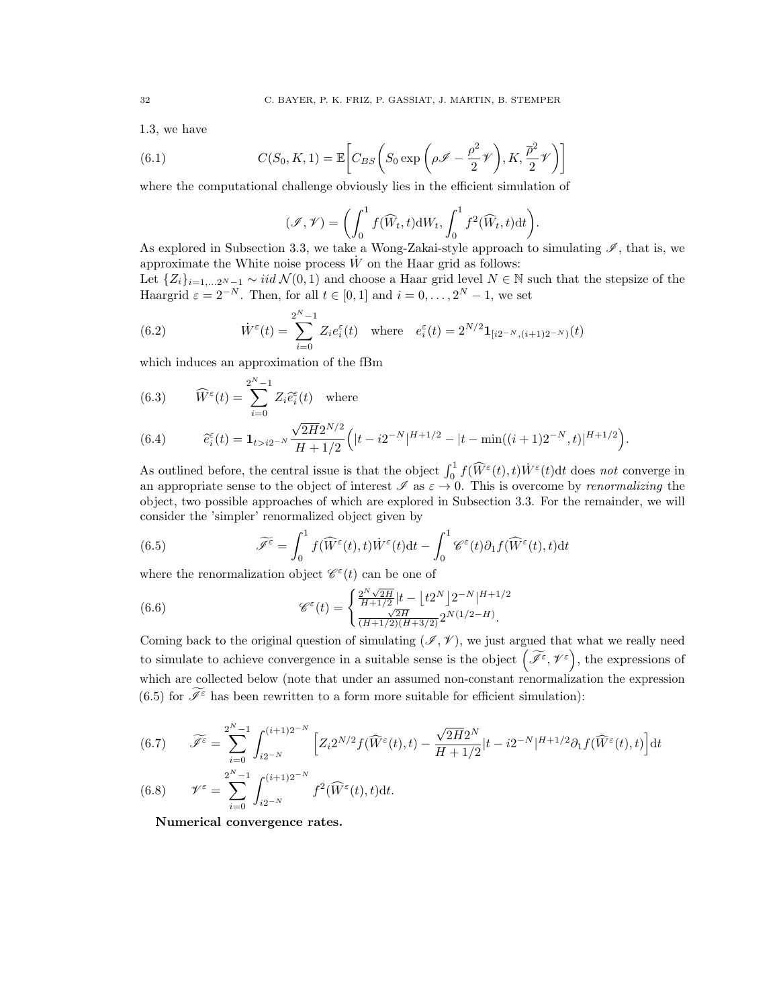[1.3,](#page-3-2) we have

(6.1) 
$$
C(S_0, K, 1) = \mathbb{E}\left[C_{BS}\left(S_0 \exp\left(\rho \mathcal{I} - \frac{\rho^2}{2}\mathcal{V}\right), K, \frac{\overline{\rho}^2}{2}\mathcal{V}\right)\right]
$$

where the computational challenge obviously lies in the efficient simulation of

<span id="page-31-5"></span>
$$
(\mathcal{I}, \mathcal{V}) = \left( \int_0^1 f(\widehat{W}_t, t) dW_t, \int_0^1 f^2(\widehat{W}_t, t) dt \right).
$$
  
2.3, we take a Worr Zekai style approach to

As explored in Subsection [3.3,](#page-22-0) we take a Wong-Zakai-style approach to simulating  $\mathscr{I}$ , that is, we approximate the White noise process  $\dot{W}$  on the Haar grid as follows:

Let  $\{Z_i\}_{i=1,...,2^N-1} \sim \text{iid } \mathcal{N}(0,1)$  and choose a Haar grid level  $N \in \mathbb{N}$  such that the stepsize of the Haargrid  $\varepsilon = 2^{-N}$ . Then, for all  $t \in [0, 1]$  and  $i = 0, \ldots, 2^{N} - 1$ , we set

(6.2) 
$$
\dot{W}^{\varepsilon}(t) = \sum_{i=0}^{2^{N}-1} Z_{i} e_{i}^{\varepsilon}(t) \text{ where } e_{i}^{\varepsilon}(t) = 2^{N/2} \mathbf{1}_{[i2^{-N}, (i+1)2^{-N})}(t)
$$

which induces an approximation of the fBm

(6.3) 
$$
\widehat{W}^{\varepsilon}(t) = \sum_{i=0}^{2^{N}-1} Z_{i} \widehat{e}_{i}^{\varepsilon}(t) \text{ where}
$$

<span id="page-31-1"></span>(6.4) 
$$
\widehat{e}_{i}^{\epsilon}(t) = \mathbf{1}_{t > i2^{-N}} \frac{\sqrt{2H}2^{N/2}}{H + 1/2} \Big( |t - i2^{-N}|^{H + 1/2} - |t - \min((i + 1)2^{-N}, t)|^{H + 1/2} \Big).
$$

As outlined before, the central issue is that the object  $\int_0^1 f(\widehat{W}^{\varepsilon}(t), t) \dot{W}^{\varepsilon}(t) dt$  does not converge in an appropriate sense to the object of interest  $\mathscr I$  as  $\varepsilon \to 0$ . This is overcome by *renormalizing* the object, two possible approaches of which are explored in Subsection [3.3.](#page-22-0) For the remainder, we will consider the 'simpler' renormalized object given by

<span id="page-31-0"></span>(6.5) 
$$
\widetilde{\mathscr{I}}^{\varepsilon} = \int_0^1 f(\widehat{W}^{\varepsilon}(t), t) \dot{W}^{\varepsilon}(t) dt - \int_0^1 \mathscr{C}^{\varepsilon}(t) \partial_1 f(\widehat{W}^{\varepsilon}(t), t) dt
$$

where the renormalization object  $\mathcal{C}^{\varepsilon}(t)$  can be one of

<span id="page-31-4"></span>(6.6) 
$$
\mathscr{C}^{\varepsilon}(t) = \begin{cases} \frac{2^N \sqrt{2H}}{H+1/2} |t - \left\lfloor t2^N \right\rfloor 2^{-N} |H+1/2| \\ \frac{\sqrt{2H}}{(H+1/2)(H+3/2)} 2^{N(1/2-H)} . \end{cases}
$$

Coming back to the original question of simulating ( $\mathscr{I}, \mathscr{V}$ ), we just argued that what we really need to simulate to achieve convergence in a suitable sense is the object  $(\widetilde{\mathscr{I}}^{\varepsilon}, \mathscr{V}^{\varepsilon})$ , the expressions of which are collected below (note that under an assumed non-constant renormalization the expression [\(6.5\)](#page-31-0) for  $\widetilde{\mathcal{I}}^{\varepsilon}$  has been rewritten to a form more suitable for efficient simulation):

<span id="page-31-2"></span>(6.7) 
$$
\widetilde{\mathscr{J}}^{\varepsilon} = \sum_{i=0}^{2^N-1} \int_{i2^{-N}}^{(i+1)2^{-N}} \left[ Z_i 2^{N/2} f(\widehat{W}^{\varepsilon}(t), t) - \frac{\sqrt{2H} 2^N}{H + 1/2} |t - i2^{-N}|^{H + 1/2} \partial_1 f(\widehat{W}^{\varepsilon}(t), t) \right] dt
$$
  
(6.8) 
$$
\mathscr{V}^{\varepsilon} = \sum_{i=0}^{2^N-1} \int_{i2^{-N}}^{(i+1)2^{-N}} f^2(\widehat{W}^{\varepsilon}(t), t) dt.
$$

<span id="page-31-3"></span>Numerical convergence rates.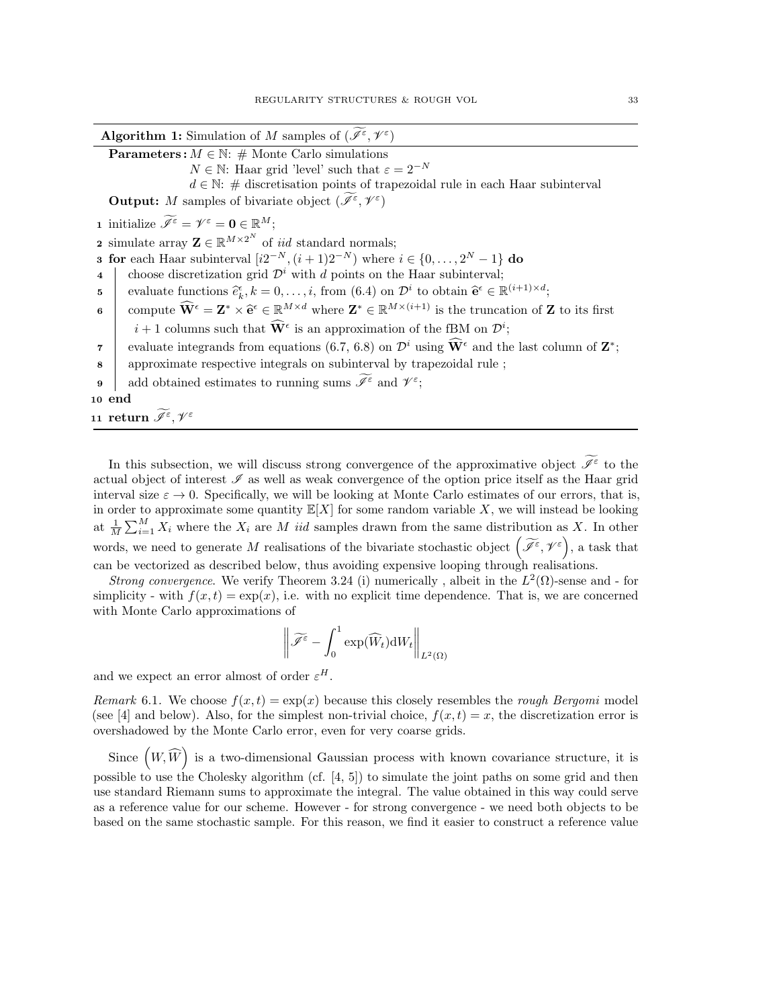| <b>Algorithm 1:</b> Simulation of M samples of $(\mathscr{I}^{\varepsilon}, \mathscr{V}^{\varepsilon})$                                                                                                                          |
|----------------------------------------------------------------------------------------------------------------------------------------------------------------------------------------------------------------------------------|
| <b>Parameters:</b> $M \in \mathbb{N}$ : # Monte Carlo simulations                                                                                                                                                                |
| $N \in \mathbb{N}$ : Haar grid 'level' such that $\varepsilon = 2^{-N}$                                                                                                                                                          |
| $d \in \mathbb{N}$ : # discretisation points of trapezoidal rule in each Haar subinterval                                                                                                                                        |
| <b>Output:</b> M samples of bivariate object $(\widetilde{\mathscr{I}}^{\varepsilon}, \mathscr{V}^{\varepsilon})$                                                                                                                |
| <b>1</b> initialize $\widetilde{\mathscr{I}^{\varepsilon}} = \mathscr{V}^{\varepsilon} = \mathbf{0} \in \mathbb{R}^{M}$ ;                                                                                                        |
| <b>2</b> simulate array $\mathbf{Z} \in \mathbb{R}^{M \times 2^N}$ of <i>iid</i> standard normals;                                                                                                                               |
| <b>3 for</b> each Haar subinterval $[i2^{-N}, (i+1)2^{-N})$ where $i \in \{0, , 2^{N} - 1\}$ do                                                                                                                                  |
| choose discretization grid $\mathcal{D}^i$ with d points on the Haar subinterval;<br>$\overline{\mathbf{4}}$                                                                                                                     |
| evaluate functions $\hat{e}_k^{\epsilon}, k = 0, \ldots, i$ , from (6.4) on $\mathcal{D}^i$ to obtain $\hat{\mathbf{e}}^{\epsilon} \in \mathbb{R}^{(i+1) \times d}$ ;<br>5                                                       |
| compute $\widehat{\mathbf{W}}^{\epsilon} = \mathbf{Z}^* \times \widehat{\mathbf{e}}^{\epsilon} \in \mathbb{R}^{M \times d}$ where $\mathbf{Z}^* \in \mathbb{R}^{M \times (i+1)}$ is the truncation of <b>Z</b> to its first<br>6 |
| $i+1$ columns such that $\widetilde{W}^{\epsilon}$ is an approximation of the fBM on $\mathcal{D}^{i}$ ;                                                                                                                         |
| evaluate integrands from equations (6.7, 6.8) on $\mathcal{D}^i$ using $\hat{\mathbf{W}}^{\epsilon}$ and the last column of $\mathbf{Z}^*$ ;<br>$\overline{7}$                                                                   |
| approximate respective integrals on subinterval by trapezoidal rule;<br>8                                                                                                                                                        |
| add obtained estimates to running sums $\widetilde{\mathscr I}^\varepsilon$ and $\mathscr{V}^\varepsilon;$<br>9                                                                                                                  |
| 10 end                                                                                                                                                                                                                           |
| 11 return $\widetilde{\mathscr I}^\varepsilon, \mathscr V^\varepsilon$                                                                                                                                                           |

In this subsection, we will discuss strong convergence of the approximative object  $\mathscr{I}^{\varepsilon}$  to the actual object of interest  $\mathscr I$  as well as weak convergence of the option price itself as the Haar grid interval size  $\varepsilon \to 0$ . Specifically, we will be looking at Monte Carlo estimates of our errors, that is, in order to approximate some quantity  $\mathbb{E}[X]$  for some random variable X, we will instead be looking at  $\frac{1}{M}\sum_{i=1}^{M} X_i$  where the  $X_i$  are M *iid* samples drawn from the same distribution as X. In other words, we need to generate M realisations of the bivariate stochastic object  $(\widetilde{\mathscr{I}}^{\varepsilon},\mathscr{V}^{\varepsilon})$ , a task that can be vectorized as described below, thus avoiding expensive looping through realisations.

*Strong convergence*. We verify Theorem [3.24](#page-20-0) (i) numerically, albeit in the  $L^2(\Omega)$ -sense and - for simplicity - with  $f(x,t) = \exp(x)$ , i.e. with no explicit time dependence. That is, we are concerned with Monte Carlo approximations of

$$
\left\|\widetilde{\mathscr{I}^\varepsilon}-\int_0^1 \exp(\widehat{W}_t)\mathrm{d} W_t\right\|_{L^2(\Omega)}
$$

and we expect an error almost of order  $\varepsilon^H$ .

Remark 6.1. We choose  $f(x,t) = \exp(x)$  because this closely resembles the rough Bergomi model (see [\[4\]](#page-42-5) and below). Also, for the simplest non-trivial choice,  $f(x, t) = x$ , the discretization error is overshadowed by the Monte Carlo error, even for very coarse grids.

Since  $(W, \widehat{W})$  is a two-dimensional Gaussian process with known covariance structure, it is possible to use the Cholesky algorithm (cf. [\[4,](#page-42-5) [5\]](#page-42-20)) to simulate the joint paths on some grid and then use standard Riemann sums to approximate the integral. The value obtained in this way could serve as a reference value for our scheme. However - for strong convergence - we need both objects to be based on the same stochastic sample. For this reason, we find it easier to construct a reference value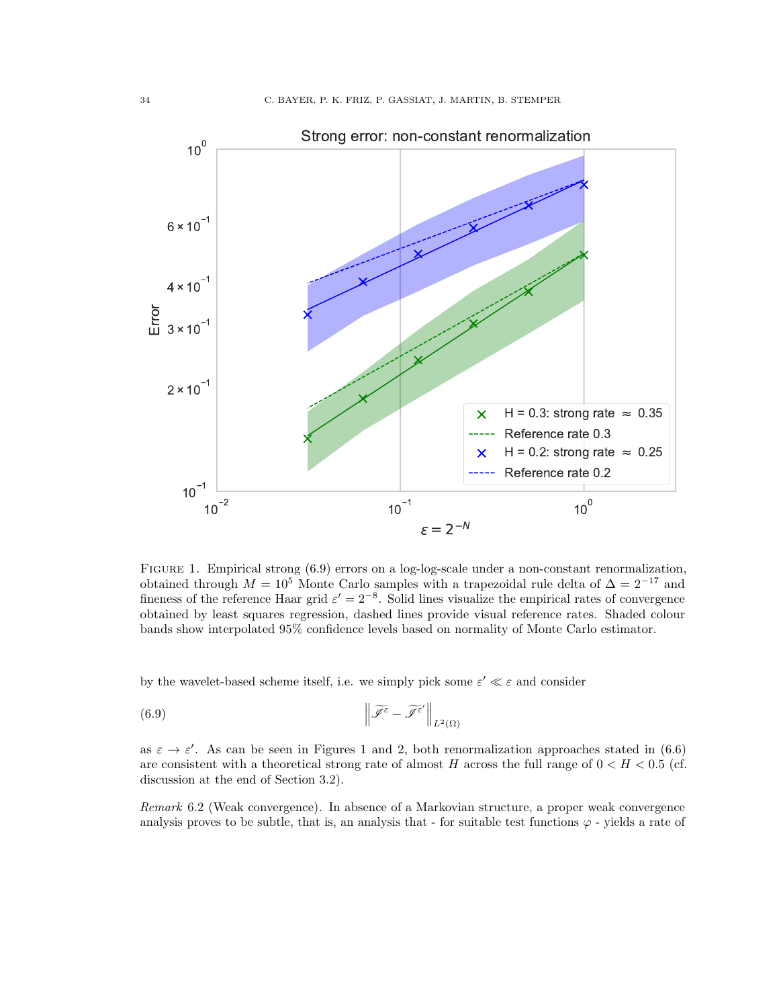<span id="page-33-1"></span>

FIGURE 1. Empirical strong  $(6.9)$  errors on a log-log-scale under a non-constant renormalization, obtained through  $M = 10^5$  Monte Carlo samples with a trapezoidal rule delta of  $\Delta = 2^{-17}$  and fineness of the reference Haar grid  $\varepsilon' = 2^{-8}$ . Solid lines visualize the empirical rates of convergence obtained by least squares regression, dashed lines provide visual reference rates. Shaded colour bands show interpolated 95% confidence levels based on normality of Monte Carlo estimator.

by the wavelet-based scheme itself, i.e. we simply pick some  $\varepsilon' \ll \varepsilon$  and consider

<span id="page-33-0"></span>(6.9) 
$$
\left\|\widetilde{\mathscr{J}^{\varepsilon}}-\widetilde{\mathscr{J}^{\varepsilon}}'\right\|_{L^{2}(\Omega)}
$$

as  $\varepsilon \to \varepsilon'$ . As can be seen in Figures [1](#page-33-1) and [2,](#page-34-0) both renormalization approaches stated in [\(6.6\)](#page-31-4) are consistent with a theoretical strong rate of almost H across the full range of  $0 < H < 0.5$  (cf. discussion at the end of Section [3.2\)](#page-17-0).

Remark 6.2 (Weak convergence). In absence of a Markovian structure, a proper weak convergence analysis proves to be subtle, that is, an analysis that - for suitable test functions  $\varphi$  - yields a rate of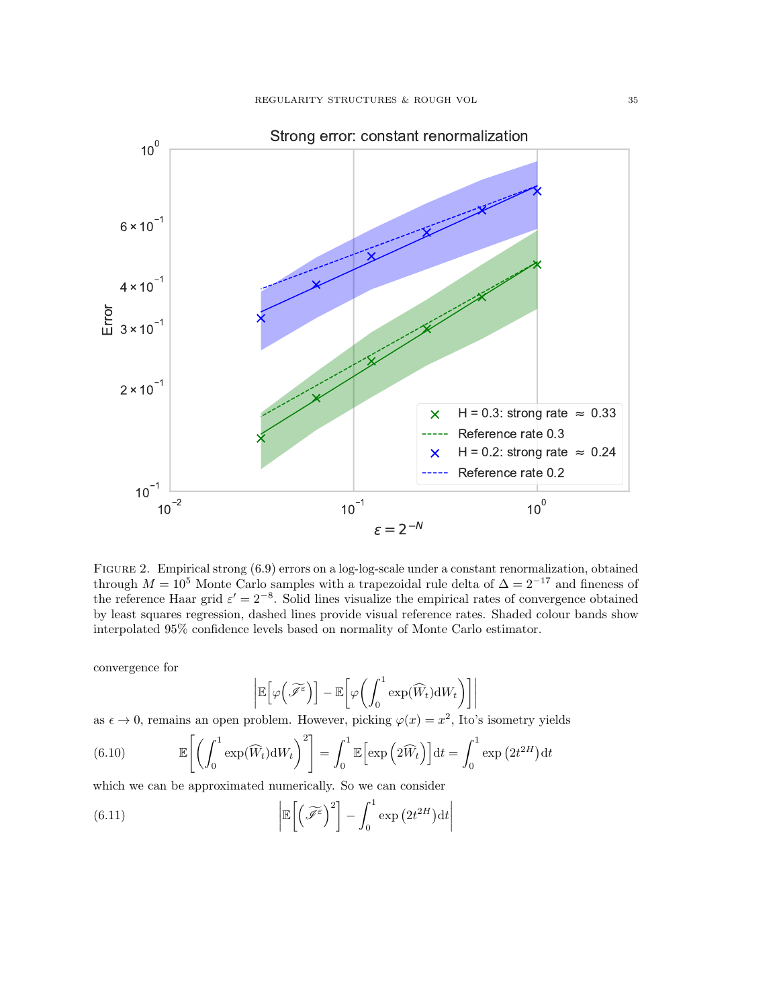<span id="page-34-0"></span>

Figure 2. Empirical strong [\(6.9\)](#page-33-0) errors on a log-log-scale under a constant renormalization, obtained through  $M = 10^5$  Monte Carlo samples with a trapezoidal rule delta of  $\Delta = 2^{-17}$  and fineness of the reference Haar grid  $\varepsilon' = 2^{-8}$ . Solid lines visualize the empirical rates of convergence obtained by least squares regression, dashed lines provide visual reference rates. Shaded colour bands show interpolated 95% confidence levels based on normality of Monte Carlo estimator.

convergence for

$$
\left| \mathbb{E} \left[ \varphi \left( \widetilde{\mathscr{I}^{\varepsilon}} \right) \right] - \mathbb{E} \left[ \varphi \left( \int_0^1 \exp(\widehat{W}_t) \mathrm{d} W_t \right) \right] \right|
$$

as  $\epsilon \to 0$ , remains an open problem. However, picking  $\varphi(x) = x^2$ , Ito's isometry yields

(6.10) 
$$
\mathbb{E}\left[\left(\int_0^1 \exp(\widehat{W}_t) dW_t\right)^2\right] = \int_0^1 \mathbb{E}\left[\exp\left(2\widehat{W}_t\right)\right] dt = \int_0^1 \exp\left(2t^{2H}\right) dt
$$

which we can be approximated numerically. So we can consider

(6.11) 
$$
\left| \mathbb{E}\left[ \left( \widetilde{\mathscr{I}^{\varepsilon}} \right)^2 \right] - \int_0^1 \exp\left( 2t^{2H} \right) dt \right|
$$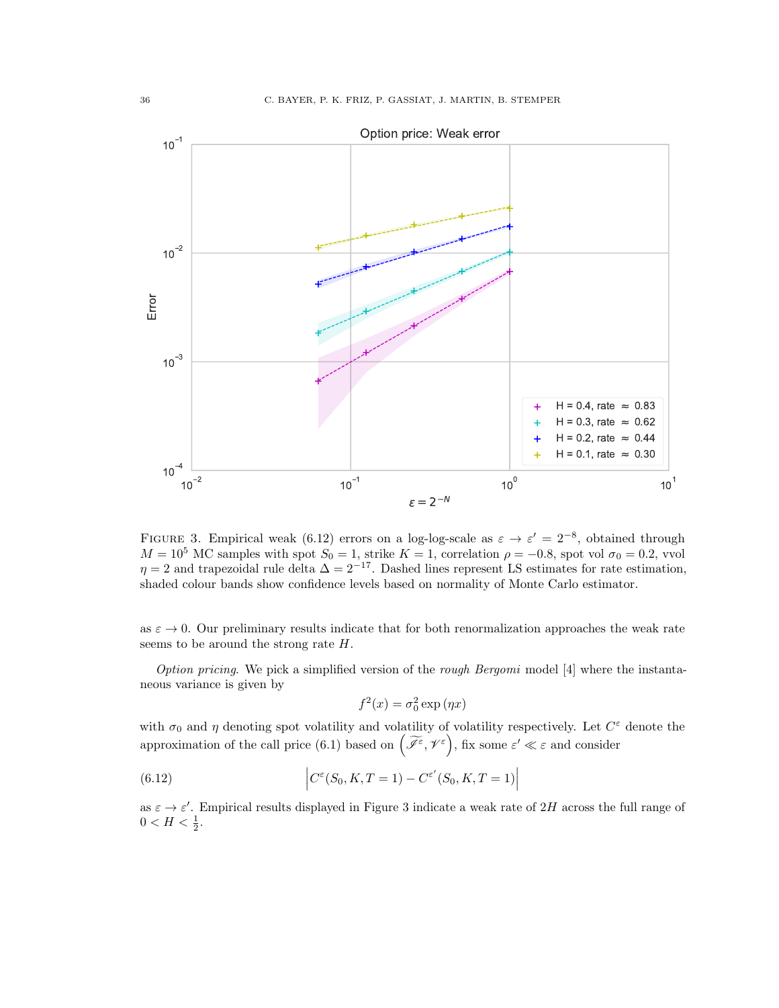<span id="page-35-1"></span>

FIGURE 3. Empirical weak [\(6.12\)](#page-35-0) errors on a log-log-scale as  $\varepsilon \to \varepsilon' = 2^{-8}$ , obtained through  $M = 10^5$  MC samples with spot  $S_0 = 1$ , strike  $K = 1$ , correlation  $\rho = -0.8$ , spot vol  $\sigma_0 = 0.2$ , vvol  $\eta = 2$  and trapezoidal rule delta  $\Delta = 2^{-17}$ . Dashed lines represent LS estimates for rate estimation, shaded colour bands show confidence levels based on normality of Monte Carlo estimator.

as  $\varepsilon \to 0$ . Our preliminary results indicate that for both renormalization approaches the weak rate seems to be around the strong rate H.

Option pricing. We pick a simplified version of the rough Bergomi model  $[4]$  where the instantaneous variance is given by

<span id="page-35-0"></span>
$$
f^2(x) = \sigma_0^2 \exp(\eta x)
$$

with  $\sigma_0$  and  $\eta$  denoting spot volatility and volatility of volatility respectively. Let  $C^{\varepsilon}$  denote the approximation of the call price [\(6.1\)](#page-31-5) based on  $(\widetilde{\mathscr{I}}^{\varepsilon}, \mathscr{V}^{\varepsilon})$ , fix some  $\varepsilon' \ll \varepsilon$  and consider

(6.12) 
$$
\left| C^{\varepsilon}(S_0, K, T = 1) - C^{\varepsilon'}(S_0, K, T = 1) \right|
$$

as  $\varepsilon \to \varepsilon'$ . Empirical results displayed in Figure [3](#page-35-1) indicate a weak rate of 2H across the full range of  $0 < H < \frac{1}{2}$ .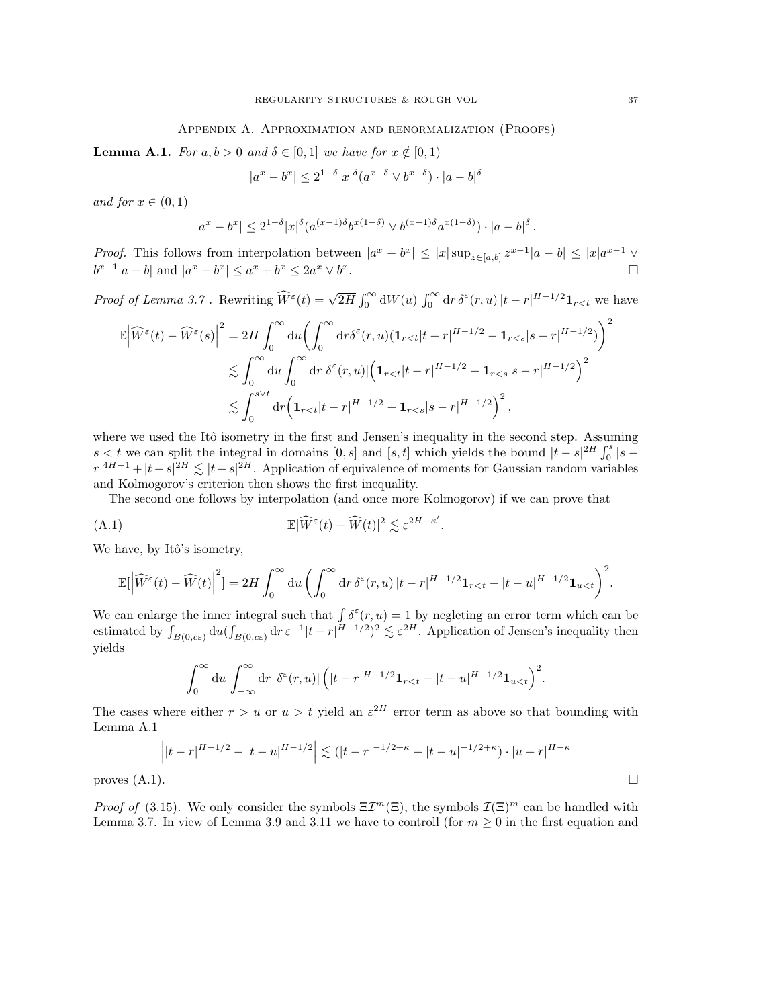### Appendix A. Approximation and renormalization (Proofs)

<span id="page-36-0"></span>**Lemma A.1.** For  $a, b > 0$  and  $\delta \in [0, 1]$  we have for  $x \notin [0, 1)$ 

$$
|a^x - b^x| \le 2^{1-\delta} |x|^{\delta} (a^{x-\delta} \vee b^{x-\delta}) \cdot |a-b|^{\delta}
$$

and for  $x \in (0,1)$ 

$$
|a^x-b^x|\leq 2^{1-\delta}|x|^{\delta}(a^{(x-1)\delta}b^{x(1-\delta)}\vee b^{(x-1)\delta}a^{x(1-\delta)})\cdot |a-b|^{\delta}.
$$

*Proof.* This follows from interpolation between  $|a^x - b^x| \leq |x| \sup_{z \in [a,b]} z^{x-1} |a-b| \leq |x| a^{x-1} \vee$  $b^{x-1}|a-b|$  and  $|a^x - b^x| \le a^x + b^x \le 2a^x \vee b^x$ .

Proof of Lemma [3.7](#page-14-0). Rewriting  $\widehat{W}^{\varepsilon}(t) = \sqrt{2H} \int_0^{\infty} dW(u) \int_0^{\infty} dr \, \delta^{\varepsilon}(r, u) \left| t - r \right|^{H-1/2} \mathbf{1}_{r < t}$  we have

$$
\mathbb{E}\left|\widehat{W}^{\varepsilon}(t)-\widehat{W}^{\varepsilon}(s)\right|^{2} = 2H \int_{0}^{\infty} du \left(\int_{0}^{\infty} dr \delta^{\varepsilon}(r, u)(\mathbf{1}_{r  

$$
\lesssim \int_{0}^{\infty} du \int_{0}^{\infty} dr |\delta^{\varepsilon}(r, u)| \left(\mathbf{1}_{r  

$$
\lesssim \int_{0}^{s \vee t} dr \left(\mathbf{1}_{r
$$
$$
$$

where we used the Itô isometry in the first and Jensen's inequality in the second step. Assuming  $s < t$  we can split the integral in domains [0, s] and [s, t] which yields the bound  $|t - s|^{2H} \int_0^s |s - s|^{2H}$  $r|^{4H-1} + |t-s|^{2H} \lesssim |t-s|^{2H}$ . Application of equivalence of moments for Gaussian random variables and Kolmogorov's criterion then shows the first inequality.

The second one follows by interpolation (and once more Kolmogorov) if we can prove that

(A.1) 
$$
\mathbb{E}|\widehat{W}^{\varepsilon}(t) - \widehat{W}(t)|^2 \lesssim \varepsilon^{2H - \kappa'}.
$$

We have, by Itô's isometry,

$$
\mathbb{E}[\left|\widehat{W}^{\varepsilon}(t)-\widehat{W}(t)\right|^{2}]=2H\int_{0}^{\infty} \mathrm{d}u\left(\int_{0}^{\infty} \mathrm{d}r\,\delta^{\varepsilon}(r,u)\left|t-r\right|^{H-1/2}\mathbf{1}_{r
$$

We can enlarge the inner integral such that  $\int \delta^{\epsilon}(r, u) = 1$  by negleting an error term which can be estimated by  $\int_{B(0,c\varepsilon)} du (\int_{B(0,c\varepsilon)} dr \varepsilon^{-1} |t-r|^{H-1/2})^2 \lesssim \varepsilon^{2H}$ . Application of Jensen's inequality then yields

$$
\int_0^\infty du \int_{-\infty}^\infty dr \, |\delta^\varepsilon(r, u)| \, \Big(|t - r|^{H - 1/2} \mathbf{1}_{r < t} - |t - u|^{H - 1/2} \mathbf{1}_{u < t} \Big)^2.
$$

The cases where either  $r > u$  or  $u > t$  yield an  $\varepsilon^{2H}$  error term as above so that bounding with Lemma [A.1](#page-3-1)

$$
\left| |t-r|^{H-1/2} - |t-u|^{H-1/2} \right| \lesssim (|t-r|^{-1/2+\kappa} + |t-u|^{-1/2+\kappa}) \cdot |u-r|^{H-\kappa}
$$
  
proves (A.1). □

*Proof of* [\(3.15\)](#page-17-1). We only consider the symbols  $\Xi T^m(\Xi)$ , the symbols  $\mathcal{I}(\Xi)^m$  can be handled with Lemma [3.7.](#page-14-0) In view of Lemma [3.9](#page-14-2) and [3.11](#page-15-2) we have to controll (for  $m \geq 0$  in the first equation and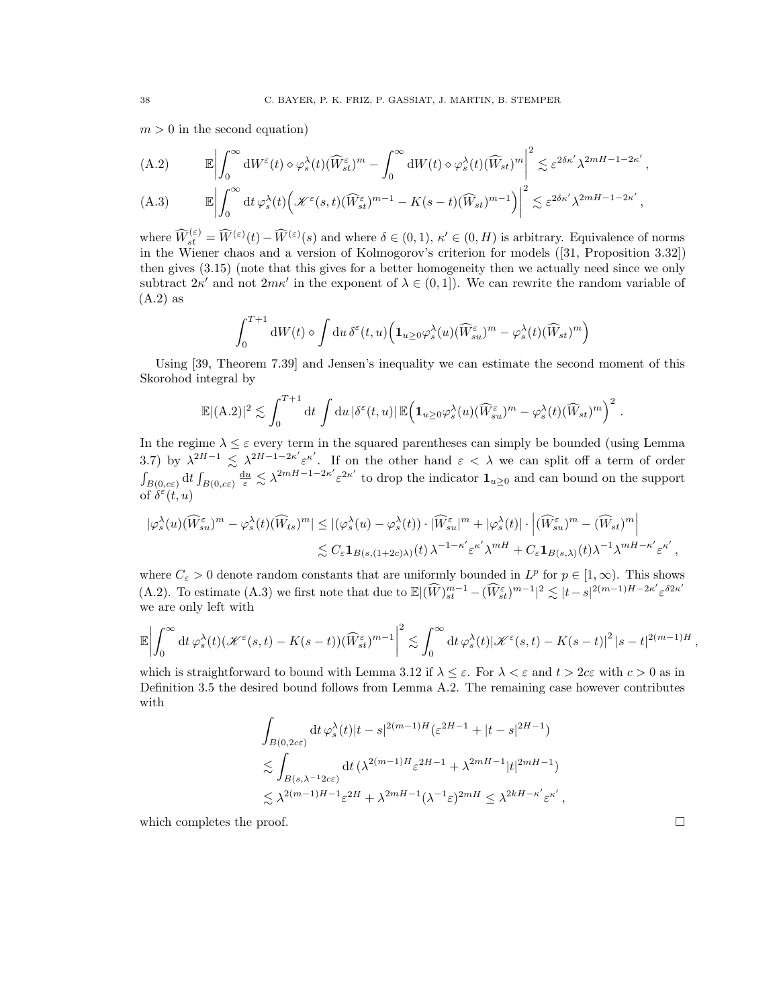$m > 0$  in the second equation)

(A.2) 
$$
\mathbb{E} \left| \int_0^{\infty} dW^{\varepsilon}(t) \diamond \varphi_s^{\lambda}(t) (\widehat{W}_{st}^{\varepsilon})^m - \int_0^{\infty} dW(t) \diamond \varphi_s^{\lambda}(t) (\widehat{W}_{st})^m \right|^2 \lesssim \varepsilon^{2\delta \kappa'} \lambda^{2mH-1-2\kappa'},
$$
  
(A.3) 
$$
\mathbb{E} \left| \int_0^{\infty} dt \, \varphi_s^{\lambda}(t) \left( \mathcal{K}^{\varepsilon}(s,t) (\widehat{W}_{st}^{\varepsilon})^{m-1} - K(s-t) (\widehat{W}_{st})^{m-1} \right) \right|^2 \lesssim \varepsilon^{2\delta \kappa'} \lambda^{2mH-1-2\kappa'},
$$

where  $\widehat{W}_{st}^{(\varepsilon)} = \widehat{W}^{(\varepsilon)}(t) - \widehat{W}^{(\varepsilon)}(s)$  and where  $\delta \in (0, 1)$ ,  $\kappa' \in (0, H)$  is arbitrary. Equivalence of norms in the Wiener chaos and a version of Kolmogorov's criterion for models([\[31,](#page-43-5) Proposition 3.32]) then gives [\(3.15\)](#page-17-1) (note that this gives for a better homogeneity then we actually need since we only subtract  $2\kappa'$  and not  $2m\kappa'$  in the exponent of  $\lambda \in (0,1]$ . We can rewrite the random variable of [\(A.2\)](#page-1-5) as

$$
\int_0^{T+1} \mathrm{d}W(t) \diamond \int \mathrm{d}u \, \delta^{\varepsilon}(t,u) \left( \mathbf{1}_{u \ge 0} \varphi_s^{\lambda}(u) (\widehat{W}_{su}^{\varepsilon})^m - \varphi_s^{\lambda}(t) (\widehat{W}_{st})^m \right)
$$

Using [\[39,](#page-43-11) Theorem 7.39] and Jensen's inequality we can estimate the second moment of this Skorohod integral by

$$
\mathbb{E}|(\mathbf{A}.2)|^2 \lesssim \int_0^{T+1} dt \int du |\delta^{\varepsilon}(t,u)| \mathbb{E}\Big(\mathbf{1}_{u\geq 0} \varphi_s^{\lambda}(u) (\widehat{W}_{su}^{\varepsilon})^m - \varphi_s^{\lambda}(t) (\widehat{W}_{st})^m\Big)^2.
$$

In the regime  $\lambda \leq \varepsilon$  every term in the squared parentheses can simply be bounded (using Lemma [3.7\)](#page-14-0) by  $\lambda^{2H-1} \leq \lambda^{2H-1-2\kappa'} \varepsilon^{\kappa'}$ . If on the other hand  $\varepsilon < \lambda$  we can split off a term of order  $\int_{B(0, c\varepsilon)} d\varepsilon \int_{B(0, c\varepsilon)} \frac{du}{\varepsilon} \lesssim \lambda^{2mH-1-2\kappa'} \varepsilon^{2\kappa'}$  to drop the indicator  $\mathbf{1}_{u\geq 0}$  and can bound on the support of  $\delta^{\varepsilon}(t,u)$ 

$$
\begin{aligned} |\varphi_s^{\lambda}(u)(\widehat{W}^{\varepsilon}_{su})^m-\varphi_s^{\lambda}(t)(\widehat{W}_{ts})^m| &\leq |(\varphi_s^{\lambda}(u)-\varphi_s^{\lambda}(t))\cdot|\widehat{W}^{\varepsilon}_{su}|^m+|\varphi_s^{\lambda}(t)|\cdot\left|(\widehat{W}^{\varepsilon}_{su})^m-(\widehat{W}_{st})^m\right|\\ &\lesssim C_\varepsilon\mathbf{1}_{B(s,(1+2c)\lambda)}(t)\,\lambda^{-1-\kappa'}\varepsilon^{\kappa'}\,\lambda^{mH}+C_\varepsilon\mathbf{1}_{B(s,\lambda)}(t)\lambda^{-1}\lambda^{mH-\kappa'}\varepsilon^{\kappa'}\,, \end{aligned}
$$

where  $C_{\varepsilon} > 0$  denote random constants that are uniformly bounded in  $L^p$  for  $p \in [1, \infty)$ . This shows [\(A.2\)](#page-1-5). To estimate [\(A.3\)](#page-1-4) we first note that due to  $\mathbb{E}|(\widehat{W})_{st}^{m-1} - (\widehat{W}_{st}^{\varepsilon})^{m-1}|^2 \lesssim |t-s|^{2(m-1)H-2\kappa'} \varepsilon^{\delta 2\kappa'}$ we are only left with

$$
\mathbb{E}\left|\int_0^\infty dt\,\varphi_s^{\lambda}(t)(\mathcal{K}^{\varepsilon}(s,t)-K(s-t))(\widehat{W}^{\varepsilon}_{st})^{m-1}\right|^2\lesssim \int_0^\infty dt\,\varphi_s^{\lambda}(t)|\mathcal{K}^{\varepsilon}(s,t)-K(s-t)|^2\left|s-t\right|^{2(m-1)H},
$$

which is straightforward to bound with Lemma [3.12](#page-16-1) if  $\lambda \leq \varepsilon$ . For  $\lambda \leq \varepsilon$  and  $t > 2c\varepsilon$  with  $c > 0$  as in Definition [3.5](#page-13-2) the desired bound follows from Lemma [A.2.](#page-3-3) The remaining case however contributes with

$$
\begin{split} & \int_{B(0,2c\varepsilon)} \mathrm{d}t\,\varphi_s^{\lambda}(t)|t-s|^{2(m-1)H}(\varepsilon^{2H-1}+|t-s|^{2H-1})\\ &\lesssim \int_{B(s,\lambda^{-1}2c\varepsilon)} \mathrm{d}t\,(\lambda^{2(m-1)H}\varepsilon^{2H-1}+\lambda^{2mH-1}|t|^{2mH-1})\\ &\lesssim \lambda^{2(m-1)H-1}\varepsilon^{2H}+\lambda^{2mH-1}(\lambda^{-1}\varepsilon)^{2mH}\leq \lambda^{2kH-\kappa'}\varepsilon^{\kappa'}\,, \end{split}
$$

which completes the proof.  $\Box$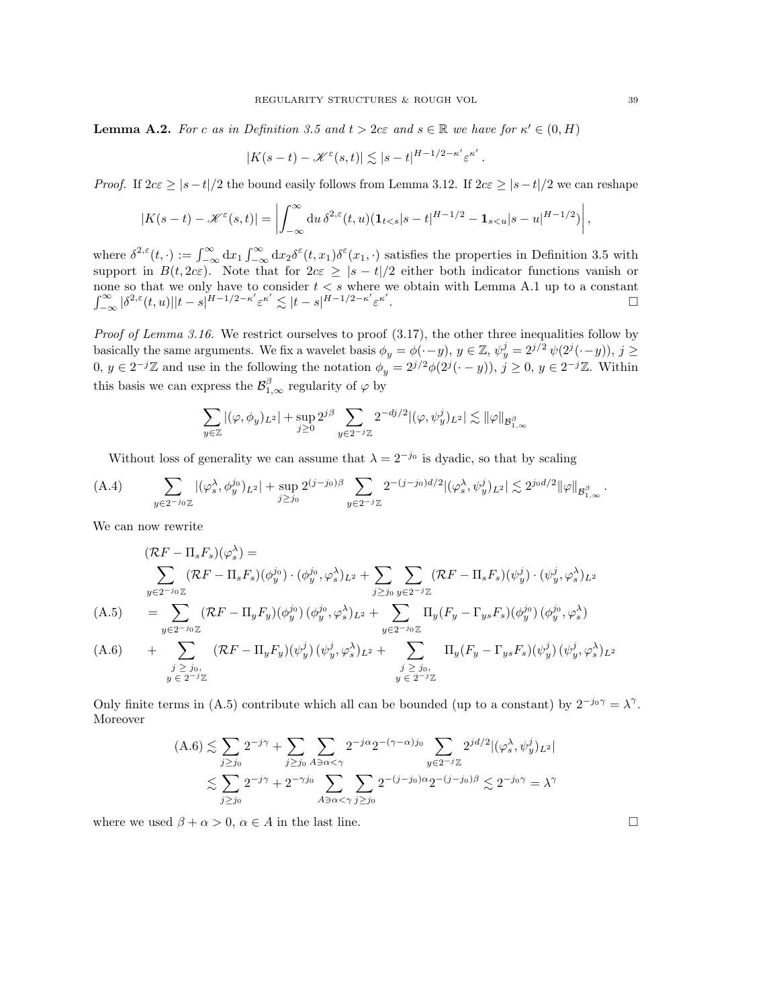**Lemma A.2.** For c as in Definition [3.5](#page-13-2) and  $t > 2c\varepsilon$  and  $s \in \mathbb{R}$  we have for  $\kappa' \in (0, H)$ 

$$
|K(s-t) - \mathcal{K}^{\varepsilon}(s,t)| \lesssim |s-t|^{H-1/2-\kappa'} \varepsilon^{\kappa'}.
$$

*Proof.* If  $2c\epsilon \ge |s-t|/2$  the bound easily follows from Lemma [3.12.](#page-16-1) If  $2c\epsilon \ge |s-t|/2$  we can reshape

$$
|K(s-t) - \mathcal{K}^{\varepsilon}(s,t)| = \left| \int_{-\infty}^{\infty} du \, \delta^{2,\varepsilon}(t,u) (\mathbf{1}_{t
$$

where  $\delta^{2,\epsilon}(t,\cdot) := \int_{-\infty}^{\infty} dx_1 \int_{-\infty}^{\infty} dx_2 \delta^{\epsilon}(t,x_1) \delta^{\epsilon}(x_1,\cdot)$  satisfies the properties in Definition [3.5](#page-13-2) with support in  $B(t, 2c\varepsilon)$ . Note that for  $2c\varepsilon \geq |s-t|/2$  either both indicator functions vanish or none so that we only have to consider  $t < s$  where we obtain with Lemma [A.1](#page-3-1) up to a constant  $\int_{-\infty}^{\infty}|\delta^{2,\varepsilon}(t,u)||t-s|^{H-1/2-\kappa'}\varepsilon^{\kappa'}\lesssim |t-s|^{H-1/2-\kappa'}\varepsilon^{\kappa'}$ . В последните последните последните последните последните последните последните последните последните последн<br>В последните последните последните последните последните последните последните последните последните последнит

*Proof of Lemma [3.16.](#page-18-0)* We restrict ourselves to proof  $(3.17)$ , the other three inequalities follow by basically the same arguments. We fix a wavelet basis  $\phi_y = \phi(\cdot - y)$ ,  $y \in \mathbb{Z}$ ,  $\psi_y^j = 2^{j/2} \psi(2^j(\cdot - y))$ ,  $j \geq$  $0, y \in 2^{-j}\mathbb{Z}$  and use in the following the notation  $\phi_y = 2^{j/2}\phi(2^j(\cdot - y)), j \ge 0, y \in 2^{-j}\mathbb{Z}$ . Within this basis we can express the  $\mathcal{B}^{\beta}_{1,\infty}$  regularity of  $\varphi$  by

$$
\sum_{y\in\mathbb{Z}}|(\varphi,\phi_y)_{L^2}|+\sup_{j\geq 0}2^{j\beta}\sum_{y\in 2^{-j}\mathbb{Z}}2^{-dj/2}|(\varphi,\psi_y^j)_{L^2}|\lesssim \|\varphi\|_{\mathcal{B}^\beta_{1,\infty}}
$$

Without loss of generality we can assume that  $\lambda = 2^{-j_0}$  is dyadic, so that by scaling

$$
(A.4) \qquad \sum_{y\in 2^{-j_0}\mathbb{Z}} |(\varphi_s^{\lambda}, \phi_y^{j_0})_{L^2}| + \sup_{j\geq j_0} 2^{(j-j_0)\beta} \sum_{y\in 2^{-j}\mathbb{Z}} 2^{-(j-j_0)d/2} |(\varphi_s^{\lambda}, \psi_y^j)_{L^2}| \lesssim 2^{j_0d/2} \|\varphi\|_{\mathcal{B}_{1,\infty}^{\beta}}.
$$

We can now rewrite

<span id="page-38-0"></span>
$$
\begin{aligned}\n(\mathcal{R}F - \Pi_s F_s)(\varphi_s^{\lambda}) &= \\
&\sum_{y \in 2^{-j_0}\mathbb{Z}} (\mathcal{R}F - \Pi_s F_s)(\phi_y^{j_0}) \cdot (\phi_y^{j_0}, \varphi_s^{\lambda})_{L^2} + \sum_{j \ge j_0} \sum_{y \in 2^{-j}\mathbb{Z}} (\mathcal{R}F - \Pi_s F_s)(\psi_y^j) \cdot (\psi_y^j, \varphi_s^{\lambda})_{L^2} \\
(\text{A.5}) &= \sum_{y \in 2^{-j_0}\mathbb{Z}} (\mathcal{R}F - \Pi_y F_y)(\phi_y^{j_0})(\phi_y^{j_0}, \varphi_s^{\lambda})_{L^2} + \sum_{y \in 2^{-j_0}\mathbb{Z}} \Pi_y (F_y - \Gamma_{ys} F_s)(\phi_y^{j_0})(\phi_y^{j_0}, \varphi_s^{\lambda}) \\
(\text{A.6}) &+ \sum_{\substack{j \ge j_0, \\ y \in 2^{-j}\mathbb{Z}}} (\mathcal{R}F - \Pi_y F_y)(\psi_y^j)(\psi_y^j, \varphi_s^{\lambda})_{L^2} + \sum_{\substack{j \ge j_0, \\ y \in 2^{-j}\mathbb{Z}}} \Pi_y (F_y - \Gamma_{ys} F_s)(\psi_y^j)(\psi_y^j, \varphi_s^{\lambda})_{L^2}\n\end{aligned}
$$

Only finite terms in [\(A.5\)](#page-38-0) contribute which all can be bounded (up to a constant) by  $2^{-j_0\gamma} = \lambda^{\gamma}$ . Moreover

$$
(A.6) \lesssim \sum_{j\geq j_0} 2^{-j\gamma} + \sum_{j\geq j_0} \sum_{A\ni \alpha < \gamma} 2^{-j\alpha} 2^{-(\gamma - \alpha)j_0} \sum_{y \in 2^{-j}\mathbb{Z}} 2^{jd/2} |(\varphi_s^{\lambda}, \psi_y^j)_{L^2}|
$$
  

$$
\lesssim \sum_{j\geq j_0} 2^{-j\gamma} + 2^{-\gamma j_0} \sum_{A\ni \alpha < \gamma} \sum_{j\geq j_0} 2^{-(j-j_0)\alpha} 2^{-(j-j_0)\beta} \lesssim 2^{-j_0\gamma} = \lambda^{\gamma}
$$

where we used  $\beta + \alpha > 0$ ,  $\alpha \in A$  in the last line.

,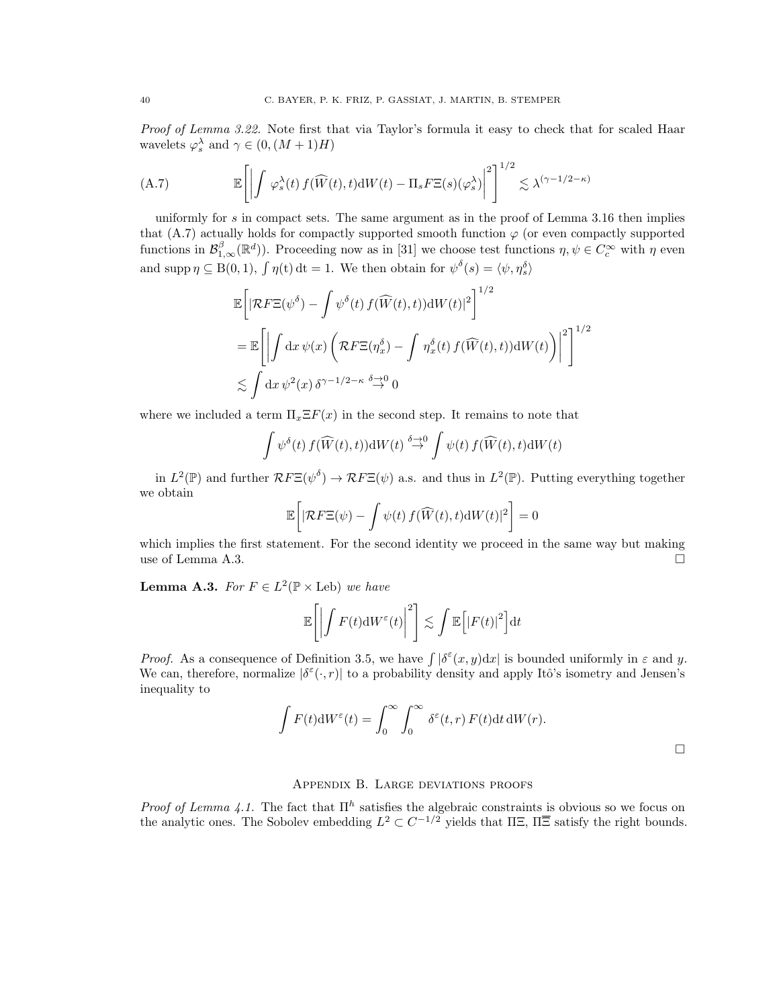Proof of Lemma [3.22.](#page-20-1) Note first that via Taylor's formula it easy to check that for scaled Haar wavelets  $\varphi_s^{\lambda}$  and  $\gamma \in (0, (M+1)H)$ 

<span id="page-39-1"></span>(A.7) 
$$
\mathbb{E}\left[\left|\int \varphi_s^{\lambda}(t) f(\widehat{W}(t), t) dW(t) - \Pi_s F\Xi(s)(\varphi_s^{\lambda})\right|^2\right]^{1/2} \lesssim \lambda^{(\gamma - 1/2 - \kappa)}
$$

uniformly for s in compact sets. The same argument as in the proof of Lemma [3.16](#page-18-0) then implies that [\(A.7\)](#page-39-1) actually holds for compactly supported smooth function  $\varphi$  (or even compactly supported functions in  $\mathcal{B}_{1,\infty}^{\beta}(\mathbb{R}^d)$ ). Proceeding now as in [\[31\]](#page-43-5) we choose test functions  $\eta, \psi \in C_c^{\infty}$  with  $\eta$  even and supp  $\eta \subseteq B(0,1)$ ,  $\int \eta(t) dt = 1$ . We then obtain for  $\psi^{\delta}(s) = \langle \psi, \eta_s^{\delta} \rangle$ 

$$
\mathbb{E}\left[\left|\mathcal{R}F\Xi(\psi^{\delta})-\int\psi^{\delta}(t)f(\widehat{W}(t),t))\mathrm{d}W(t)\right|^{2}\right]^{1/2}
$$
\n
$$
=\mathbb{E}\left[\left|\int\mathrm{d}x\,\psi(x)\left(\mathcal{R}F\Xi(\eta_{x}^{\delta})-\int\eta_{x}^{\delta}(t)f(\widehat{W}(t),t))\mathrm{d}W(t)\right)\right|^{2}\right]^{1/2}
$$
\n
$$
\lesssim \int\mathrm{d}x\,\psi^{2}(x)\,\delta^{\gamma-1/2-\kappa}\stackrel{\delta\to 0}{\to} 0
$$

where we included a term  $\Pi_x \Xi F(x)$  in the second step. It remains to note that

$$
\int \psi^{\delta}(t) f(\widehat{W}(t), t) dW(t) \stackrel{\delta \to 0}{\to} \int \psi(t) f(\widehat{W}(t), t) dW(t)
$$

in  $L^2(\mathbb{P})$  and further  $\mathcal{R}F\Xi(\psi^{\delta}) \to \mathcal{R}F\Xi(\psi)$  a.s. and thus in  $L^2(\mathbb{P})$ . Putting everything together we obtain

$$
\mathbb{E}\bigg[|\mathcal{R}F\Xi(\psi)-\int \psi(t)\,f(\widehat{W}(t),t)\mathrm{d}W(t)|^2\bigg]=0
$$

which implies the first statement. For the second identity we proceed in the same way but making use of Lemma [A.3.](#page-3-2)  $\Box$ 

**Lemma A.3.** For  $F \in L^2(\mathbb{P} \times \text{Leb})$  we have

$$
\mathbb{E}\left[\left|\int F(t)\mathrm{d}W^{\varepsilon}(t)\right|^{2}\right] \lesssim \int \mathbb{E}\left[\left|F(t)\right|^{2}\right] \mathrm{d}t
$$

*Proof.* As a consequence of Definition [3.5,](#page-13-2) we have  $\int |\delta^{\varepsilon}(x, y) dx|$  is bounded uniformly in  $\varepsilon$  and y. We can, therefore, normalize  $|\delta^{\varepsilon}(\cdot,r)|$  to a probability density and apply Itô's isometry and Jensen's inequality to

$$
\int F(t) \mathrm{d}W^{\varepsilon}(t) = \int_0^{\infty} \int_0^{\infty} \delta^{\varepsilon}(t, r) F(t) \mathrm{d}t \, \mathrm{d}W(r).
$$

## Appendix B. Large deviations proofs

<span id="page-39-0"></span>Proof of Lemma [4.1.](#page-24-3) The fact that  $\Pi^h$  satisfies the algebraic constraints is obvious so we focus on the analytic ones. The Sobolev embedding  $L^2 \subset C^{-1/2}$  yields that  $\Pi \Xi$ ,  $\Pi \overline{\Xi}$  satisfy the right bounds.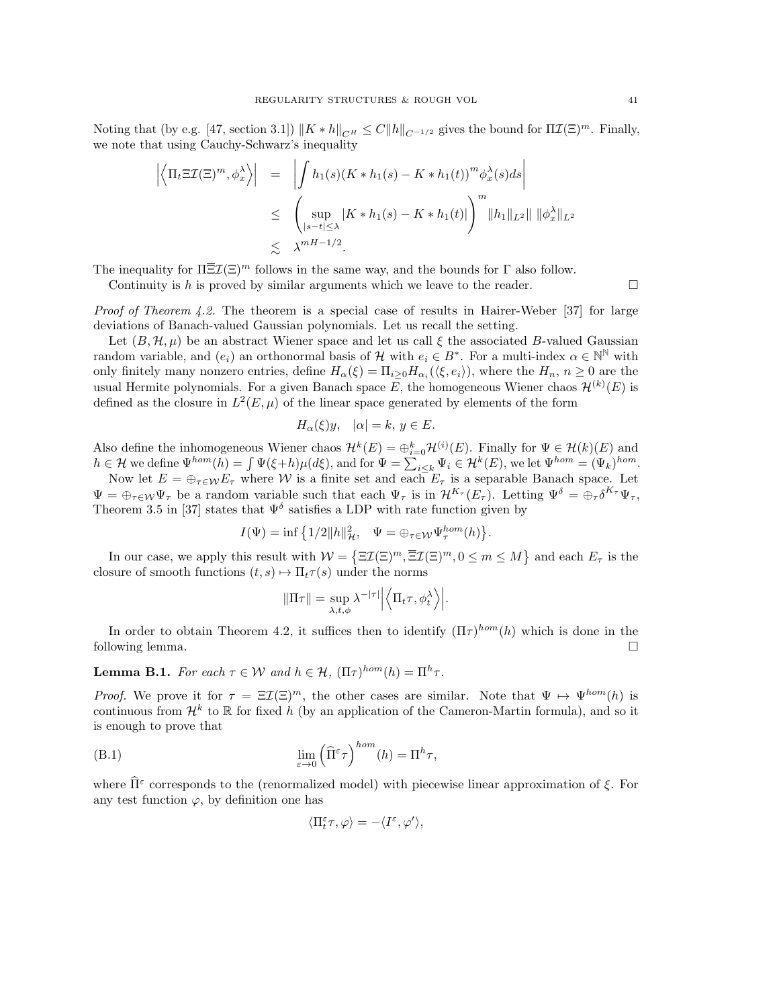Noting that (by e.g. [\[47,](#page-43-19) section 3.1])  $||K * h||_{CH} \leq C||h||_{C^{-1/2}}$  gives the bound for  $\Pi \mathcal{I}(\Xi)^m$ . Finally, we note that using Cauchy-Schwarz's inequality

$$
\left| \left\langle \Pi_t \Xi \mathcal{I}(\Xi)^m, \phi_x^{\lambda} \right\rangle \right| = \left| \int h_1(s) (K * h_1(s) - K * h_1(t))^m \phi_x^{\lambda}(s) ds \right|
$$
  
\n
$$
\leq \left( \sup_{|s-t| \leq \lambda} |K * h_1(s) - K * h_1(t)| \right)^m ||h_1||_{L^2} || \|\phi_x^{\lambda}||_{L^2}
$$
  
\n
$$
\leq \lambda^{mH-1/2}.
$$

The inequality for  $\Pi \overline{\Xi} \mathcal{I}(\Xi)^m$  follows in the same way, and the bounds for  $\Gamma$  also follow.

Continuity is h is proved by similar arguments which we leave to the reader.

Proof of Theorem [4.2.](#page-24-1) The theorem is a special case of results in Hairer-Weber [\[37\]](#page-43-18) for large deviations of Banach-valued Gaussian polynomials. Let us recall the setting.

Let  $(B, \mathcal{H}, \mu)$  be an abstract Wiener space and let us call  $\xi$  the associated B-valued Gaussian random variable, and  $(e_i)$  an orthonormal basis of H with  $e_i \in B^*$ . For a multi-index  $\alpha \in \mathbb{N}^{\mathbb{N}}$  with only finitely many nonzero entries, define  $H_{\alpha}(\xi) = \prod_{i \geq 0} H_{\alpha_i}(\langle \xi, e_i \rangle)$ , where the  $H_n$ ,  $n \geq 0$  are the usual Hermite polynomials. For a given Banach space E, the homogeneous Wiener chaos  $\mathcal{H}^{(k)}(E)$  is defined as the closure in  $L^2(E,\mu)$  of the linear space generated by elements of the form

$$
H_{\alpha}(\xi)y, \quad |\alpha| = k, \ y \in E.
$$

Also define the inhomogeneous Wiener chaos  $\mathcal{H}^k(E) = \bigoplus_{i=0}^k \mathcal{H}^{(i)}(E)$ . Finally for  $\Psi \in \mathcal{H}(k)(E)$  and  $h \in \mathcal{H}$  we define  $\Psi^{hom}(h) = \int \Psi(\xi + h) \mu(d\xi)$ , and for  $\Psi = \sum_{i \leq k} \Psi_i \in \mathcal{H}^k(E)$ , we let  $\Psi^{hom} = (\Psi_k)^{hom}$ .

Now let  $E = \bigoplus_{\tau \in \mathcal{W}} E_{\tau}$  where W is a finite set and each  $E_{\tau}$  is a separable Banach space. Let  $\Psi = \bigoplus_{\tau \in \mathcal{W}} \Psi_{\tau}$  be a random variable such that each  $\Psi_{\tau}$  is in  $\mathcal{H}^{K_{\tau}}(E_{\tau})$ . Letting  $\Psi^{\delta} = \bigoplus_{\tau} \delta^{K_{\tau}} \Psi_{\tau}$ , Theorem 3.5 in [\[37\]](#page-43-18) states that  $\Psi^{\delta}$  satisfies a LDP with rate function given by

$$
I(\Psi) = \inf \left\{ 1/2 ||h||_{{\mathcal{H}}}^2, \quad \Psi = \oplus_{\tau \in \mathcal{W}} \Psi_{\tau}^{hom}(h) \right\}.
$$

In our case, we apply this result with  $W = \{\Xi \mathcal{I}(\Xi)^m, \overline{\Xi} \mathcal{I}(\Xi)^m, 0 \leq m \leq M\}$  and each  $E_{\tau}$  is the closure of smooth functions  $(t, s) \mapsto \Pi_t \tau(s)$  under the norms

$$
\|\Pi \tau\| = \sup_{\lambda, t, \phi} \lambda^{-|\tau|} \left| \left\langle \Pi_t \tau, \phi_t^{\lambda} \right\rangle \right|.
$$

In order to obtain Theorem [4.2,](#page-24-1) it suffices then to identify  $(\Pi \tau)^{hom}(h)$  which is done in the following lemma.

**Lemma B.1.** For each  $\tau \in \mathcal{W}$  and  $h \in \mathcal{H}$ ,  $(\Pi \tau)^{hom}(h) = \Pi^h \tau$ .

*Proof.* We prove it for  $\tau = \Xi \mathcal{I}(\Xi)^m$ , the other cases are similar. Note that  $\Psi \mapsto \Psi^{hom}(h)$  is continuous from  $\mathcal{H}^k$  to R for fixed h (by an application of the Cameron-Martin formula), and so it is enough to prove that

(B.1) 
$$
\lim_{\varepsilon \to 0} \left( \widehat{\Pi}^{\varepsilon} \tau \right)^{hom}(h) = \Pi^{h} \tau,
$$

where  $\widehat{\Pi}^{\varepsilon}$  corresponds to the (renormalized model) with piecewise linear approximation of  $\xi$ . For any test function  $\varphi$ , by definition one has

$$
\langle \Pi_t^\varepsilon \tau, \varphi \rangle = - \langle I^\varepsilon, \varphi' \rangle,
$$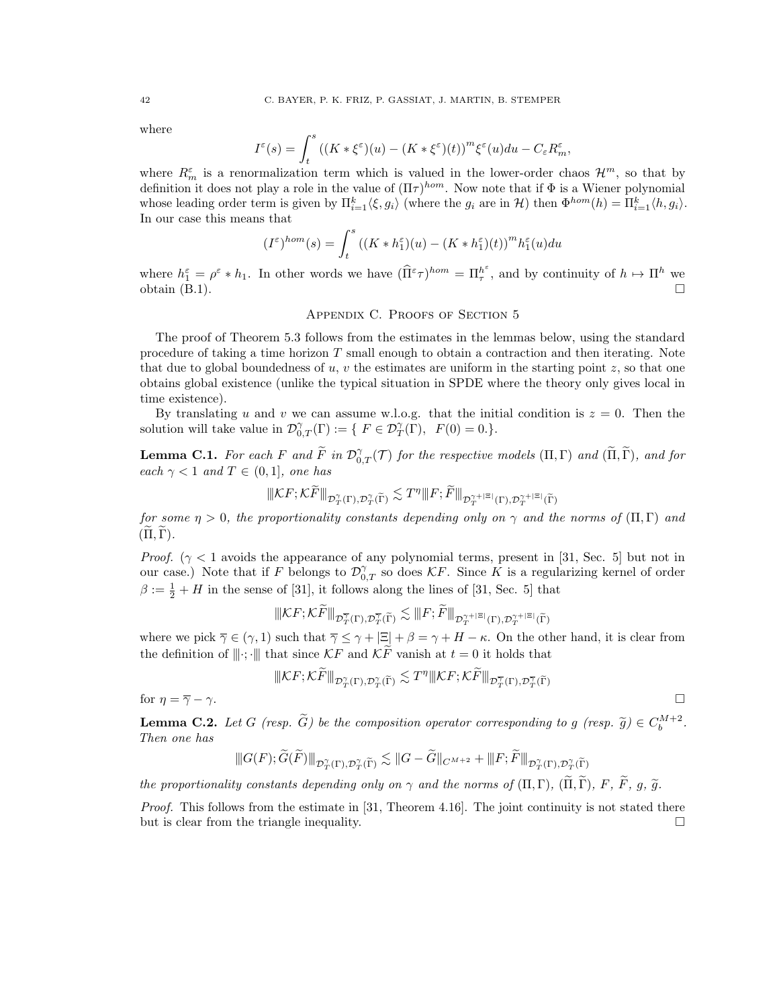where

$$
I^{\varepsilon}(s) = \int_{t}^{s} \left( (K * \xi^{\varepsilon})(u) - (K * \xi^{\varepsilon})(t) \right)^{m} \xi^{\varepsilon}(u) du - C_{\varepsilon} R_{m}^{\varepsilon},
$$

where  $R_m^{\varepsilon}$  is a renormalization term which is valued in the lower-order chaos  $\mathcal{H}^m$ , so that by definition it does not play a role in the value of  $(\Pi \tau)^{hom}$ . Now note that if  $\Phi$  is a Wiener polynomial whose leading order term is given by  $\Pi_{i=1}^k \langle \xi, g_i \rangle$  (where the  $g_i$  are in  $\mathcal{H}$ ) then  $\Phi^{hom}(h) = \Pi_{i=1}^k \langle h, g_i \rangle$ . In our case this means that

$$
(I^\varepsilon)^{hom}(s)=\int_t^s\left((K\ast h_1^\varepsilon)(u)-(K\ast h_1^\varepsilon)(t)\right)^mh_1^\varepsilon(u)du
$$

where  $h_1^{\varepsilon} = \rho^{\varepsilon} * h_1$ . In other words we have  $(\widehat{\Pi}^{\varepsilon} \tau)^{hom} = \Pi_{\tau}^{h^{\varepsilon}}$ , and by continuity of  $h \mapsto \Pi^h$  we obtain  $(B.1)$ .

## APPENDIX C. PROOFS OF SECTION [5](#page-25-0)

<span id="page-41-0"></span>The proof of Theorem [5.3](#page-28-2) follows from the estimates in the lemmas below, using the standard procedure of taking a time horizon  $T$  small enough to obtain a contraction and then iterating. Note that due to global boundedness of  $u, v$  the estimates are uniform in the starting point  $z$ , so that one obtains global existence (unlike the typical situation in SPDE where the theory only gives local in time existence).

By translating u and v we can assume w.l.o.g. that the initial condition is  $z = 0$ . Then the solution will take value in  $\mathcal{D}_{0,T}^{\gamma}(\Gamma) := \{ F \in \mathcal{D}_T^{\gamma}(\Gamma), \ F(0) = 0. \}.$ 

**Lemma C.1.** For each F and  $\widetilde{F}$  in  $\mathcal{D}_{0,T}^{\gamma}(\mathcal{T})$  for the respective models  $(\Pi,\Gamma)$  and  $(\widetilde{\Pi},\widetilde{\Gamma})$ , and for each  $\gamma < 1$  and  $T \in (0, 1]$ , one has

$$
|\|\mathcal{K}F;\mathcal{K}\widetilde{F}\|_{\mathcal{D}^{\gamma}_{T}(\Gamma),\mathcal{D}^{\gamma}_{T}(\widetilde{\Gamma})}\lesssim T^{\eta}\|F;\widetilde{F}\|_{\mathcal{D}^{\gamma+|\Xi|}_{T}(\Gamma),\mathcal{D}^{\gamma+|\Xi|}_{T}(\widetilde{\Gamma})}
$$

for some  $\eta > 0$ , the proportionality constants depending only on  $\gamma$  and the norms of  $(\Pi, \Gamma)$  and  $(\Pi, \Gamma)$ .

*Proof.* ( $\gamma$  < 1 avoids the appearance of any polynomial terms, present in [\[31,](#page-43-5) Sec. 5] but not in our case.) Note that if F belongs to  $\mathcal{D}_{0,T}^{\gamma}$  so does KF. Since K is a regularizing kernel of order  $\beta := \frac{1}{2} + H$  in the sense of [\[31\]](#page-43-5), it follows along the lines of [\[31,](#page-43-5) Sec. 5] that

$$
\| \mathcal{K} F ; \mathcal{K} \widetilde{F} \|_{\mathcal{D}^{\overline{\gamma}}_T(\Gamma), \mathcal{D}^{\overline{\gamma}}_T(\widetilde{\Gamma})} \lesssim \| F ; \widetilde{F} \|_{\mathcal{D}^{\gamma+|\Xi|}_T(\Gamma), \mathcal{D}^{\gamma+|\Xi|}_T(\widetilde{\Gamma})}
$$

where we pick  $\overline{\gamma} \in (\gamma, 1)$  such that  $\overline{\gamma} \leq \gamma + |\Xi| + \beta = \gamma + H - \kappa$ . On the other hand, it is clear from the definition of  $\|\cdot\|$ ;  $\|\$  that since KF and KF vanish at  $t = 0$  it holds that

$$
\|\mathcal{K}F; \mathcal{K}\widetilde{F}\|_{\mathcal{D}^{\gamma}_{T}(\Gamma), \mathcal{D}^{\gamma}_{T}(\widetilde{\Gamma})} \lesssim T^{\eta}\|\mathcal{K}F; \mathcal{K}\widetilde{F}\|_{\mathcal{D}^{\overline{\gamma}}_{T}(\Gamma), \mathcal{D}^{\overline{\gamma}}_{T}(\widetilde{\Gamma})}
$$

for  $\eta = \overline{\gamma} - \gamma$ .

**Lemma C.2.** Let G (resp.  $\widetilde{G}$ ) be the composition operator corresponding to g (resp.  $\widetilde{g}$ )  $\in C_b^{M+2}$ .<br>Then ane has Then one has

$$
\|G(F);\widetilde{G}(\widetilde{F})\|_{\mathcal{D}^{\gamma}_{T}(\Gamma),\mathcal{D}^{\gamma}_{T}(\widetilde{\Gamma})}\lesssim \|G-\widetilde{G}\|_{C^{M+2}}+\|F;\widetilde{F}\|_{\mathcal{D}^{\gamma}_{T}(\Gamma),\mathcal{D}^{\gamma}_{T}(\widetilde{\Gamma})}
$$

the proportionality constants depending only on  $\gamma$  and the norms of  $(\Pi, \Gamma)$ ,  $(\widetilde{\Pi}, \widetilde{\Gamma})$ , F,  $\widetilde{F}$ , g,  $\widetilde{g}$ .

Proof. This follows from the estimate in [\[31,](#page-43-5) Theorem 4.16]. The joint continuity is not stated there but is clear from the triangle inequality.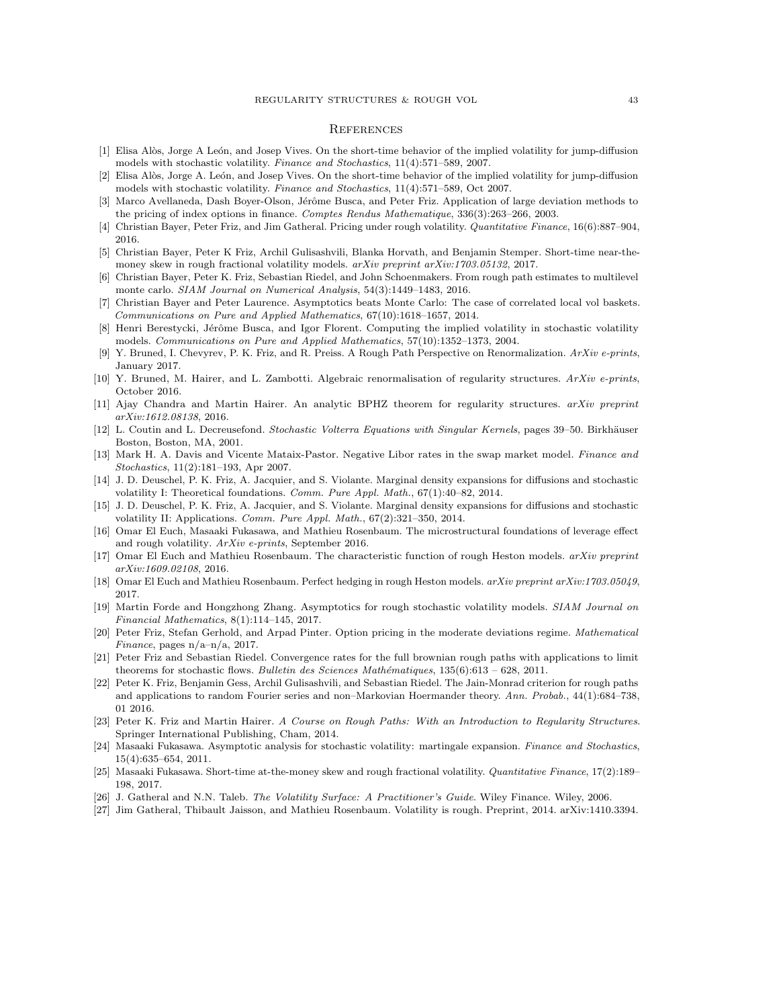#### <span id="page-42-0"></span>**REFERENCES**

- <span id="page-42-1"></span>[1] Elisa Al`os, Jorge A Le´on, and Josep Vives. On the short-time behavior of the implied volatility for jump-diffusion models with stochastic volatility. Finance and Stochastics, 11(4):571–589, 2007.
- <span id="page-42-21"></span>[2] Elisa Alòs, Jorge A. León, and Josep Vives. On the short-time behavior of the implied volatility for jump-diffusion models with stochastic volatility. Finance and Stochastics, 11(4):571–589, Oct 2007.
- <span id="page-42-14"></span>[3] Marco Avellaneda, Dash Boyer-Olson, Jérôme Busca, and Peter Friz. Application of large deviation methods to the pricing of index options in finance. Comptes Rendus Mathematique, 336(3):263–266, 2003.
- <span id="page-42-5"></span>[4] Christian Bayer, Peter Friz, and Jim Gatheral. Pricing under rough volatility. Quantitative Finance, 16(6):887–904, 2016.
- <span id="page-42-20"></span>[5] Christian Bayer, Peter K Friz, Archil Gulisashvili, Blanka Horvath, and Benjamin Stemper. Short-time near-themoney skew in rough fractional volatility models.  $arXiv$  preprint  $arXiv:1703.05132$ , 2017.
- <span id="page-42-13"></span>[6] Christian Bayer, Peter K. Friz, Sebastian Riedel, and John Schoenmakers. From rough path estimates to multilevel monte carlo. SIAM Journal on Numerical Analysis, 54(3):1449–1483, 2016.
- <span id="page-42-18"></span>[7] Christian Bayer and Peter Laurence. Asymptotics beats Monte Carlo: The case of correlated local vol baskets. Communications on Pure and Applied Mathematics, 67(10):1618–1657, 2014.
- <span id="page-42-15"></span>[8] Henri Berestycki, Jérôme Busca, and Igor Florent. Computing the implied volatility in stochastic volatility models. Communications on Pure and Applied Mathematics, 57(10):1352–1373, 2004.
- <span id="page-42-26"></span>[9] Y. Bruned, I. Chevyrev, P. K. Friz, and R. Preiss. A Rough Path Perspective on Renormalization. ArXiv e-prints, January 2017.
- <span id="page-42-27"></span>[10] Y. Bruned, M. Hairer, and L. Zambotti. Algebraic renormalisation of regularity structures. ArXiv e-prints, October 2016.
- <span id="page-42-12"></span>[11] Ajay Chandra and Martin Hairer. An analytic BPHZ theorem for regularity structures. arXiv preprint arXiv:1612.08138, 2016.
- <span id="page-42-25"></span>[12] L. Coutin and L. Decreusefond. Stochastic Volterra Equations with Singular Kernels, pages 39–50. Birkhäuser Boston, Boston, MA, 2001.
- <span id="page-42-10"></span>[13] Mark H. A. Davis and Vicente Mataix-Pastor. Negative Libor rates in the swap market model. Finance and Stochastics, 11(2):181–193, Apr 2007.
- <span id="page-42-16"></span>[14] J. D. Deuschel, P. K. Friz, A. Jacquier, and S. Violante. Marginal density expansions for diffusions and stochastic volatility I: Theoretical foundations. Comm. Pure Appl. Math., 67(1):40–82, 2014.
- <span id="page-42-17"></span>[15] J. D. Deuschel, P. K. Friz, A. Jacquier, and S. Violante. Marginal density expansions for diffusions and stochastic volatility II: Applications. Comm. Pure Appl. Math., 67(2):321–350, 2014.
- <span id="page-42-7"></span>[16] Omar El Euch, Masaaki Fukasawa, and Mathieu Rosenbaum. The microstructural foundations of leverage effect and rough volatility. ArXiv e-prints, September 2016.
- <span id="page-42-8"></span>[17] Omar El Euch and Mathieu Rosenbaum. The characteristic function of rough Heston models. arXiv preprint arXiv:1609.02108, 2016.
- <span id="page-42-9"></span>[18] Omar El Euch and Mathieu Rosenbaum. Perfect hedging in rough Heston models. arXiv preprint arXiv:1703.05049, 2017.
- <span id="page-42-6"></span>[19] Martin Forde and Hongzhong Zhang. Asymptotics for rough stochastic volatility models. SIAM Journal on Financial Mathematics, 8(1):114–145, 2017.
- <span id="page-42-19"></span>[20] Peter Friz, Stefan Gerhold, and Arpad Pinter. Option pricing in the moderate deviations regime. Mathematical Finance, pages  $n/a-n/a$ , 2017.
- <span id="page-42-23"></span>[21] Peter Friz and Sebastian Riedel. Convergence rates for the full brownian rough paths with applications to limit theorems for stochastic flows. Bulletin des Sciences Mathématiques,  $135(6):613 - 628$ , 2011.
- <span id="page-42-24"></span>[22] Peter K. Friz, Benjamin Gess, Archil Gulisashvili, and Sebastian Riedel. The Jain-Monrad criterion for rough paths and applications to random Fourier series and non–Markovian Hoermander theory. Ann. Probab., 44(1):684–738, 01 2016.
- <span id="page-42-11"></span>[23] Peter K. Friz and Martin Hairer. A Course on Rough Paths: With an Introduction to Regularity Structures. Springer International Publishing, Cham, 2014.
- <span id="page-42-2"></span>[24] Masaaki Fukasawa. Asymptotic analysis for stochastic volatility: martingale expansion. Finance and Stochastics, 15(4):635–654, 2011.
- <span id="page-42-3"></span>[25] Masaaki Fukasawa. Short-time at-the-money skew and rough fractional volatility. Quantitative Finance, 17(2):189– 198, 2017.
- <span id="page-42-22"></span>[26] J. Gatheral and N.N. Taleb. The Volatility Surface: A Practitioner's Guide. Wiley Finance. Wiley, 2006.
- <span id="page-42-4"></span>[27] Jim Gatheral, Thibault Jaisson, and Mathieu Rosenbaum. Volatility is rough. Preprint, 2014. arXiv:1410.3394.